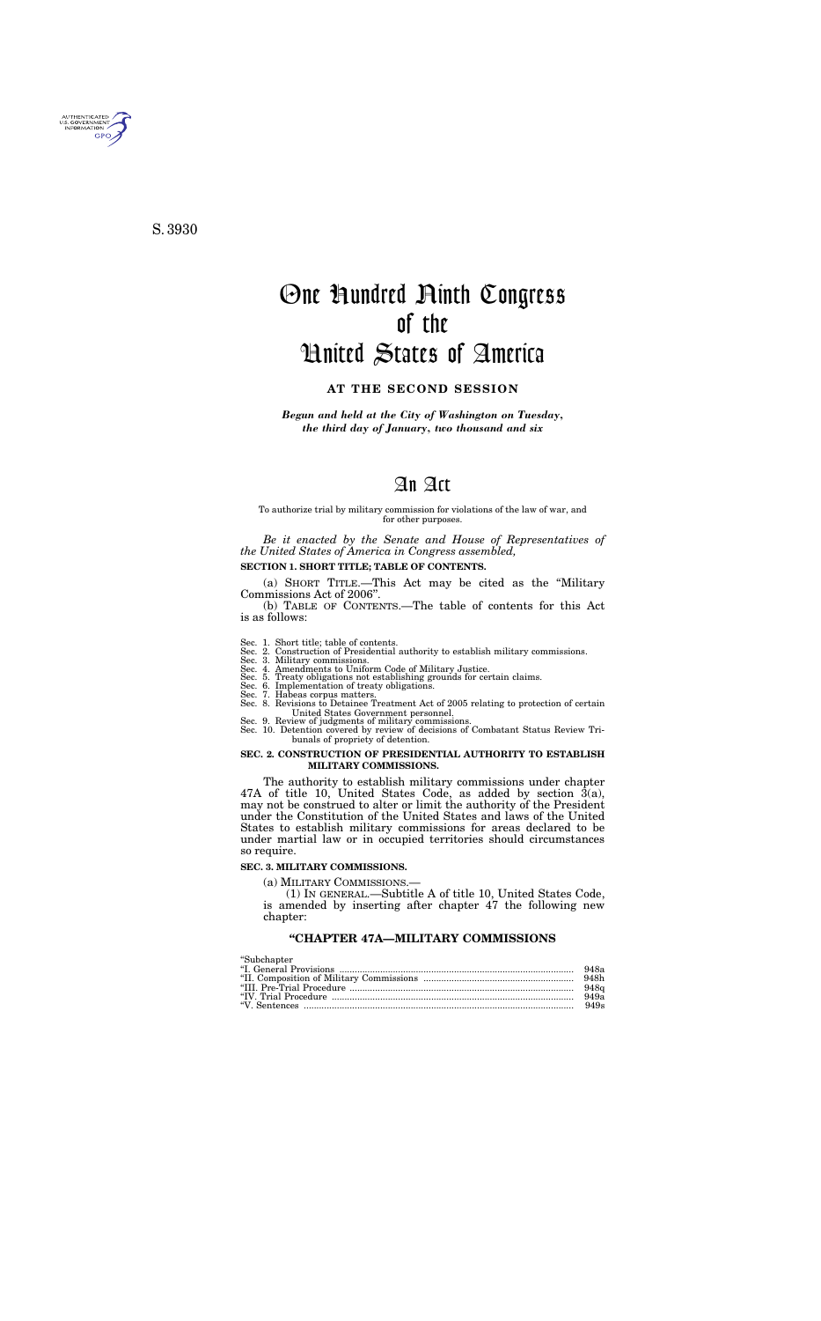*Begun and held at the City of Washington on Tuesday, the third day of January, two thousand and six*

# An Act

To authorize trial by military commission for violations of the law of war, and for other purposes.

*Be it enacted by the Senate and House of Representatives of the United States of America in Congress assembled,*

### **SECTION 1. SHORT TITLE; TABLE OF CONTENTS.**

(a) SHORT TITLE.—This Act may be cited as the ''Military Commissions Act of 2006''.

(b) TABLE OF CONTENTS.—The table of contents for this Act is as follows:

Sec. 1. Short title; table of contents.

Sec. 2. Construction of Presidential authority to establish military commissions. Sec. 3. Military commissions.

- Sec. 4. Amendments to Uniform Code of Military Justice. Sec. 5. Treaty obligations not establishing grounds for certain claims.
- 
- 
- 
- Sec. 6. Implementation of treaty obligations. Sec. 7. Habeas corpus matters. Sec. 8. Revisions to Detainee Treatment Act of 2005 relating to protection of certain United States Government personnel. Sec. 9. Review of judgments of military commissions. Sec. 10. Detention covered by review of decisions of Combatant Status Review Tri-
	-
- bunals of propriety of detention.

#### **SEC. 2. CONSTRUCTION OF PRESIDENTIAL AUTHORITY TO ESTABLISH MILITARY COMMISSIONS.**

The authority to establish military commissions under chapter 47A of title 10, United States Code, as added by section 3(a), may not be construed to alter or limit the authority of the President under the Constitution of the United States and laws of the United States to establish military commissions for areas declared to be under martial law or in occupied territories should circumstances so require.

#### **SEC. 3. MILITARY COMMISSIONS.**

(a) MILITARY COMMISSIONS.—

(1) IN GENERAL.—Subtitle A of title 10, United States Code, is amended by inserting after chapter 47 the following new chapter:

#### **''CHAPTER 47A—MILITARY COMMISSIONS**

| "Subchapter |  |
|-------------|--|
|             |  |
|             |  |
|             |  |
|             |  |
|             |  |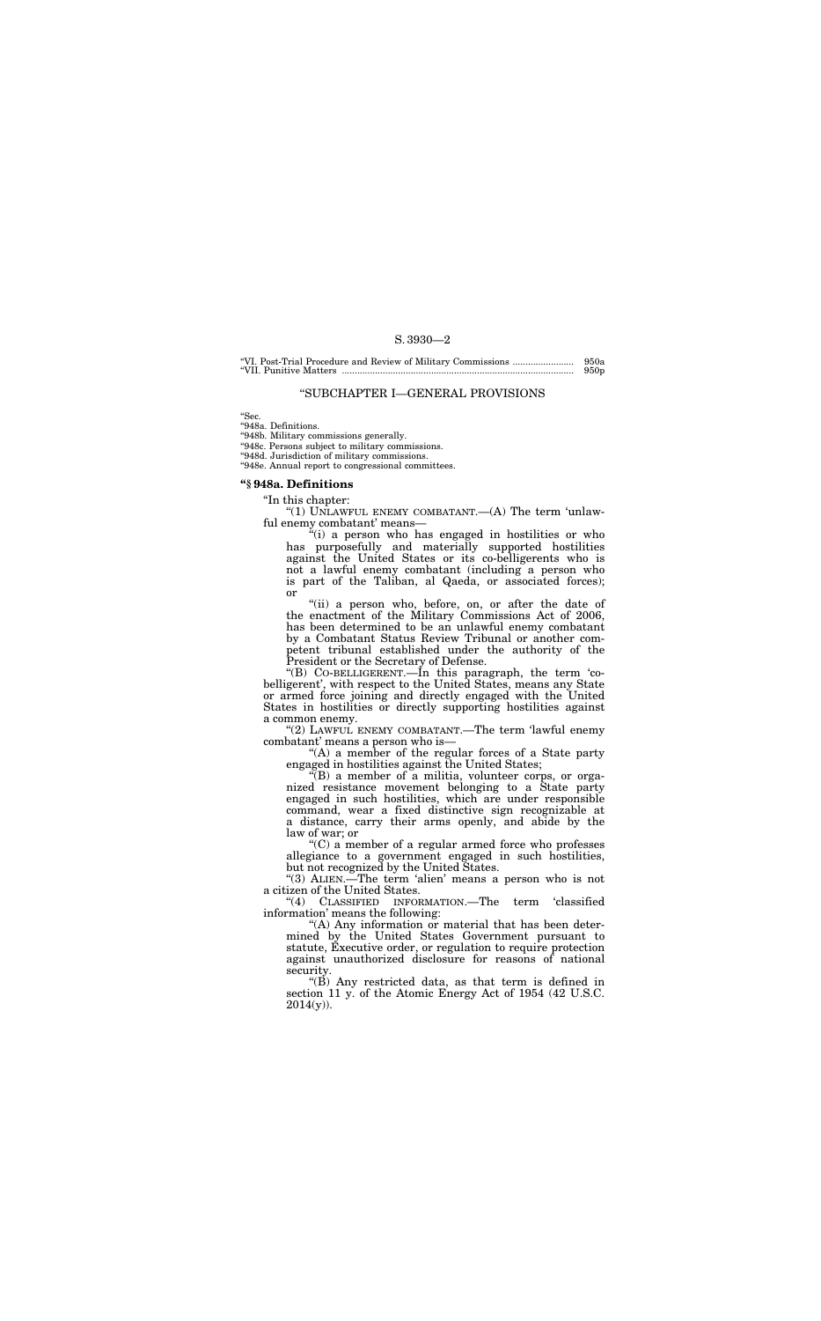| "VI. Post-Trial Procedure and Review of Military Commissions | 950a |
|--------------------------------------------------------------|------|
|                                                              | 950p |

#### ''SUBCHAPTER I—GENERAL PROVISIONS

''Sec.

''948a. Definitions.

"(1) UNLAWFUL ENEMY COMBATANT.— $(A)$  The term 'unlawful enemy combatant' means—

''948b. Military commissions generally.

''948c. Persons subject to military commissions.

''948d. Jurisdiction of military commissions.

''948e. Annual report to congressional committees.

#### **''§ 948a. Definitions**

''In this chapter:

"(ii) a person who, before, on, or after the date of the enactment of the Military Commissions Act of 2006, has been determined to be an unlawful enemy combatant by a Combatant Status Review Tribunal or another competent tribunal established under the authority of the President or the Secretary of Defense.

''(i) a person who has engaged in hostilities or who has purposefully and materially supported hostilities against the United States or its co-belligerents who is not a lawful enemy combatant (including a person who is part of the Taliban, al Qaeda, or associated forces); or

"(A) a member of the regular forces of a State party engaged in hostilities against the United States;

"(3) ALIEN.—The term 'alien' means a person who is not a citizen of the United States.

"(A) Any information or material that has been determined by the United States Government pursuant to statute, Executive order, or regulation to require protection against unauthorized disclosure for reasons of national security.

''(B) CO-BELLIGERENT.—In this paragraph, the term 'cobelligerent', with respect to the United States, means any State or armed force joining and directly engaged with the United States in hostilities or directly supporting hostilities against a common enemy.

''(2) LAWFUL ENEMY COMBATANT.—The term 'lawful enemy combatant' means a person who is—

''(B) a member of a militia, volunteer corps, or organized resistance movement belonging to a State party engaged in such hostilities, which are under responsible command, wear a fixed distinctive sign recognizable at a distance, carry their arms openly, and abide by the law of war; or

''(C) a member of a regular armed force who professes allegiance to a government engaged in such hostilities, but not recognized by the United States.

''(4) CLASSIFIED INFORMATION.—The term 'classified information' means the following:

''(B) Any restricted data, as that term is defined in section 11 y. of the Atomic Energy Act of 1954 (42 U.S.C. 2014(y)).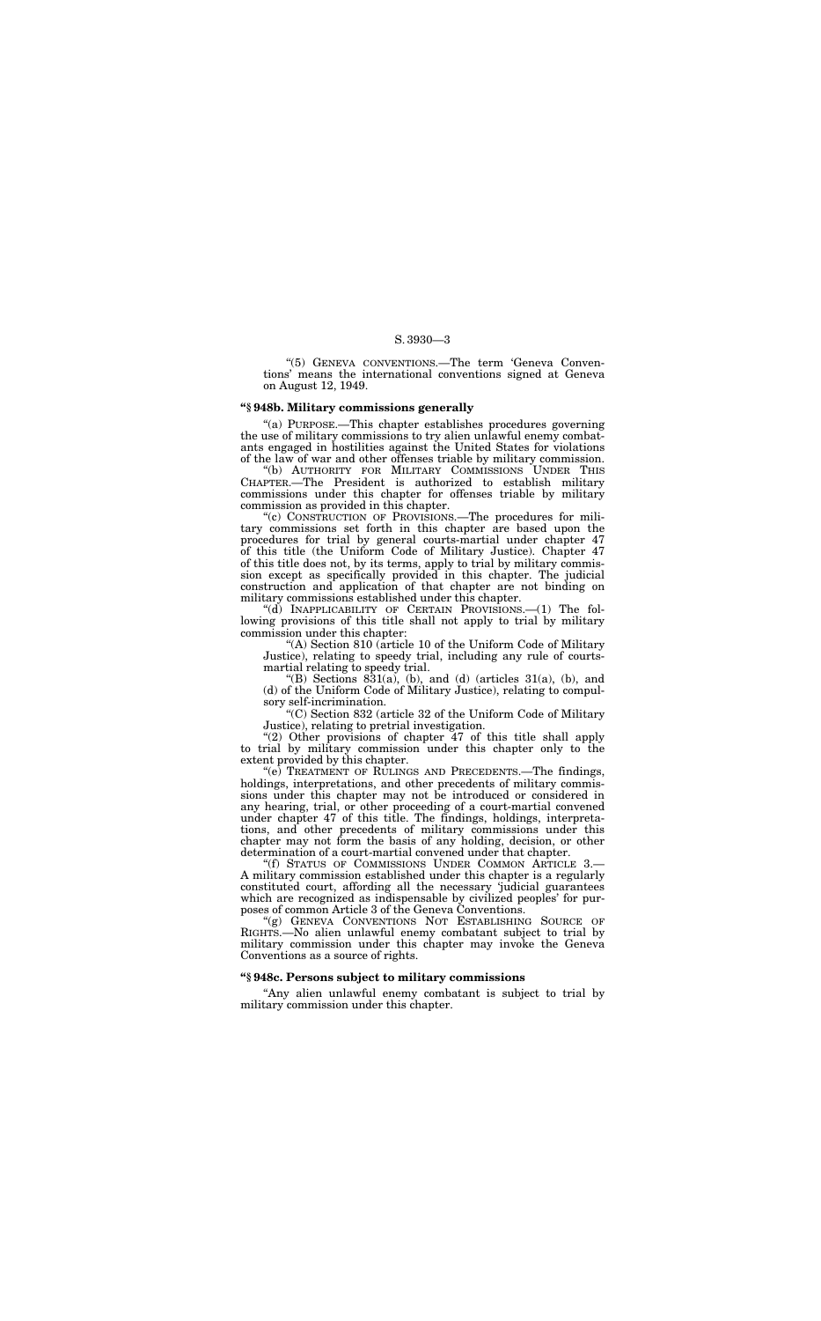''(5) GENEVA CONVENTIONS.—The term 'Geneva Conventions' means the international conventions signed at Geneva on August 12, 1949.

#### **''§ 948b. Military commissions generally**

''(a) PURPOSE.—This chapter establishes procedures governing the use of military commissions to try alien unlawful enemy combatants engaged in hostilities against the United States for violations of the law of war and other offenses triable by military commission.

''(b) AUTHORITY FOR MILITARY COMMISSIONS UNDER THIS CHAPTER.—The President is authorized to establish military commissions under this chapter for offenses triable by military commission as provided in this chapter.

"(d) INAPPLICABILITY OF CERTAIN PROVISIONS.—(1) The following provisions of this title shall not apply to trial by military commission under this chapter:

"(B) Sections  $831(a)$ , (b), and (d) (articles  $31(a)$ , (b), and (d) of the Uniform Code of Military Justice), relating to compulsory self-incrimination.

''(c) CONSTRUCTION OF PROVISIONS.—The procedures for military commissions set forth in this chapter are based upon the procedures for trial by general courts-martial under chapter 47 of this title (the Uniform Code of Military Justice). Chapter 47 of this title does not, by its terms, apply to trial by military commission except as specifically provided in this chapter. The judicial construction and application of that chapter are not binding on military commissions established under this chapter.

"(e) TREATMENT OF RULINGS AND PRECEDENTS.—The findings, holdings, interpretations, and other precedents of military commissions under this chapter may not be introduced or considered in any hearing, trial, or other proceeding of a court-martial convened under chapter 47 of this title. The findings, holdings, interpretations, and other precedents of military commissions under this chapter may not form the basis of any holding, decision, or other determination of a court-martial convened under that chapter.

''(A) Section 810 (article 10 of the Uniform Code of Military Justice), relating to speedy trial, including any rule of courtsmartial relating to speedy trial.

''(C) Section 832 (article 32 of the Uniform Code of Military Justice), relating to pretrial investigation.

''(2) Other provisions of chapter 47 of this title shall apply to trial by military commission under this chapter only to the extent provided by this chapter.

''(f) STATUS OF COMMISSIONS UNDER COMMON ARTICLE 3.— A military commission established under this chapter is a regularly constituted court, affording all the necessary 'judicial guarantees which are recognized as indispensable by civilized peoples' for purposes of common Article 3 of the Geneva Conventions.

''(g) GENEVA CONVENTIONS NOT ESTABLISHING SOURCE OF RIGHTS.—No alien unlawful enemy combatant subject to trial by military commission under this chapter may invoke the Geneva Conventions as a source of rights.

#### **''§ 948c. Persons subject to military commissions**

''Any alien unlawful enemy combatant is subject to trial by military commission under this chapter.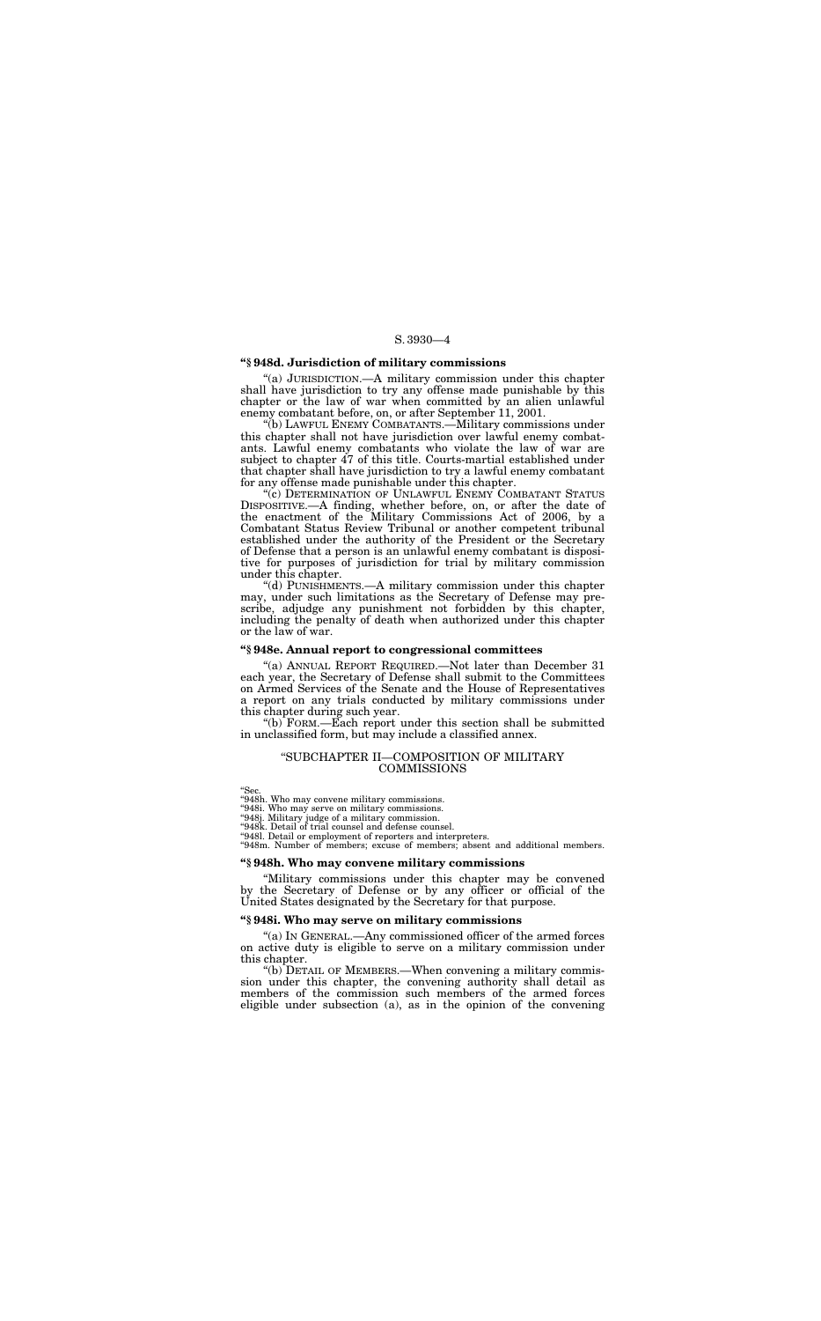## **''§ 948d. Jurisdiction of military commissions**

''(a) JURISDICTION.—A military commission under this chapter shall have jurisdiction to try any offense made punishable by this chapter or the law of war when committed by an alien unlawful enemy combatant before, on, or after September 11, 2001.

''(c) DETERMINATION OF UNLAWFUL ENEMY COMBATANT STATUS DISPOSITIVE.—A finding, whether before, on, or after the date of the enactment of the Military Commissions Act of 2006, by a Combatant Status Review Tribunal or another competent tribunal established under the authority of the President or the Secretary of Defense that a person is an unlawful enemy combatant is dispositive for purposes of jurisdiction for trial by military commission under this chapter.

''(b) LAWFUL ENEMY COMBATANTS.—Military commissions under this chapter shall not have jurisdiction over lawful enemy combatants. Lawful enemy combatants who violate the law of war are subject to chapter 47 of this title. Courts-martial established under that chapter shall have jurisdiction to try a lawful enemy combatant for any offense made punishable under this chapter.

"(d) PUNISHMENTS.—A military commission under this chapter may, under such limitations as the Secretary of Defense may prescribe, adjudge any punishment not forbidden by this chapter, including the penalty of death when authorized under this chapter or the law of war.

''(a) ANNUAL REPORT REQUIRED.—Not later than December 31 each year, the Secretary of Defense shall submit to the Committees on Armed Services of the Senate and the House of Representatives a report on any trials conducted by military commissions under this chapter during such year.

"(b) FORM.—Each report under this section shall be submitted in unclassified form, but may include a classified annex.

## **''§ 948e. Annual report to congressional committees**

this chapter.<br>"(b) DETAIL OF MEMBERS.—When convening a military commission under this chapter, the convening authority shall detail as members of the commission such members of the armed forces eligible under subsection (a), as in the opinion of the convening

### ''SUBCHAPTER II—COMPOSITION OF MILITARY COMMISSIONS

''Sec.

''948h. Who may convene military commissions.

''948i. Who may serve on military commissions.

''948j. Military judge of a military commission.

''948k. Detail of trial counsel and defense counsel. ''948l. Detail or employment of reporters and interpreters.

"948m. Number of members; excuse of members; absent and additional members.

## **''§ 948h. Who may convene military commissions**

''Military commissions under this chapter may be convened by the Secretary of Defense or by any officer or official of the United States designated by the Secretary for that purpose.

## **''§ 948i. Who may serve on military commissions**

''(a) IN GENERAL.—Any commissioned officer of the armed forces on active duty is eligible to serve on a military commission under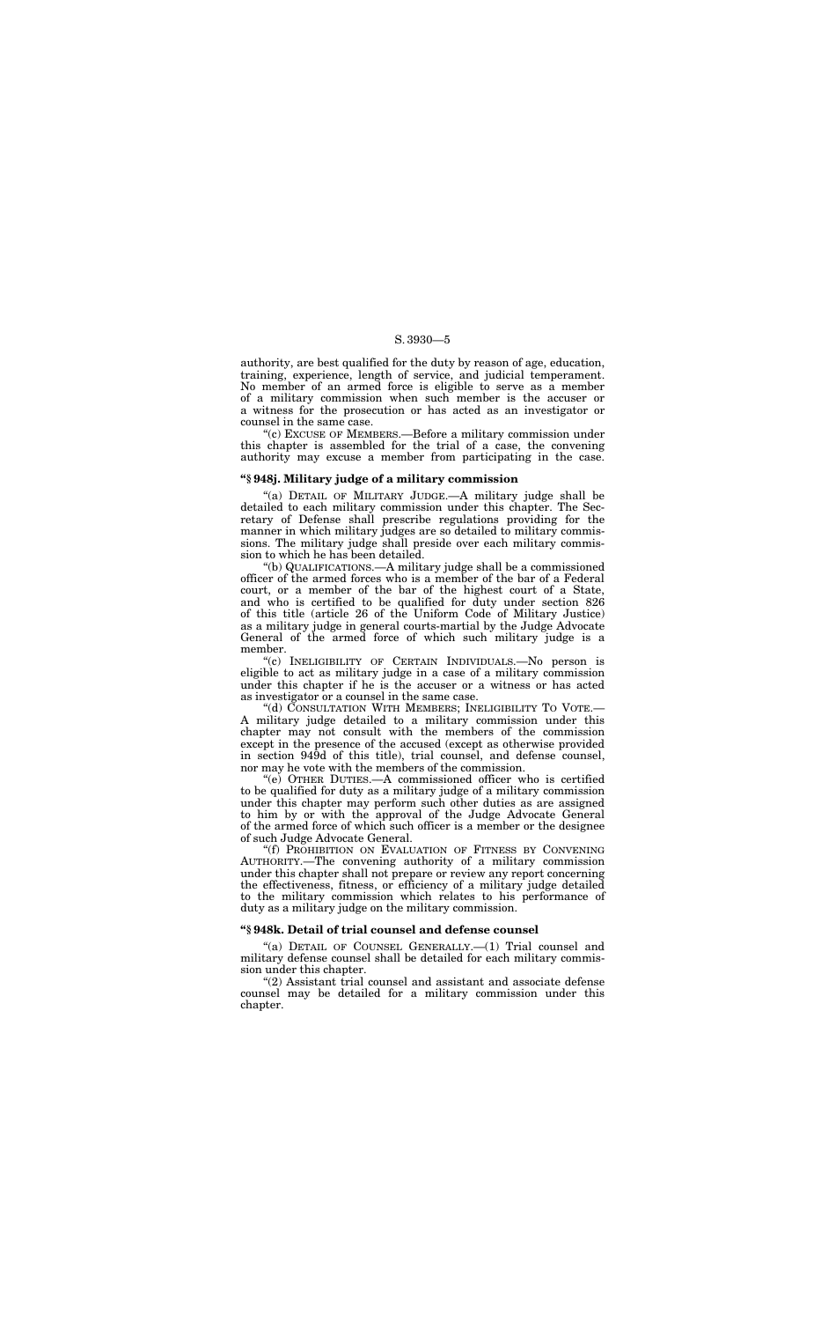authority, are best qualified for the duty by reason of age, education, training, experience, length of service, and judicial temperament. No member of an armed force is eligible to serve as a member of a military commission when such member is the accuser or a witness for the prosecution or has acted as an investigator or counsel in the same case.

''(c) EXCUSE OF MEMBERS.—Before a military commission under this chapter is assembled for the trial of a case, the convening authority may excuse a member from participating in the case.

"(a) DETAIL OF MILITARY JUDGE .- A military judge shall be detailed to each military commission under this chapter. The Secretary of Defense shall prescribe regulations providing for the manner in which military judges are so detailed to military commissions. The military judge shall preside over each military commission to which he has been detailed.

## **''§ 948j. Military judge of a military commission**

"(d) CONSULTATION WITH MEMBERS; INELIGIBILITY TO VOTE.— A military judge detailed to a military commission under this chapter may not consult with the members of the commission except in the presence of the accused (except as otherwise provided in section 949d of this title), trial counsel, and defense counsel, nor may he vote with the members of the commission.

''(b) QUALIFICATIONS.—A military judge shall be a commissioned officer of the armed forces who is a member of the bar of a Federal court, or a member of the bar of the highest court of a State, and who is certified to be qualified for duty under section 826 of this title (article 26 of the Uniform Code of Military Justice) as a military judge in general courts-martial by the Judge Advocate General of the armed force of which such military judge is a member.

"(a) DETAIL OF COUNSEL GENERALLY.—(1) Trial counsel and military defense counsel shall be detailed for each military commission under this chapter.

''(c) INELIGIBILITY OF CERTAIN INDIVIDUALS.—No person is eligible to act as military judge in a case of a military commission under this chapter if he is the accuser or a witness or has acted as investigator or a counsel in the same case.

" $(2)$  Assistant trial counsel and assistant and associate defense counsel may be detailed for a military commission under this chapter.

''(e) OTHER DUTIES.—A commissioned officer who is certified to be qualified for duty as a military judge of a military commission under this chapter may perform such other duties as are assigned to him by or with the approval of the Judge Advocate General of the armed force of which such officer is a member or the designee of such Judge Advocate General.

''(f) PROHIBITION ON EVALUATION OF FITNESS BY CONVENING AUTHORITY.—The convening authority of a military commission under this chapter shall not prepare or review any report concerning the effectiveness, fitness, or efficiency of a military judge detailed to the military commission which relates to his performance of duty as a military judge on the military commission.

## **''§ 948k. Detail of trial counsel and defense counsel**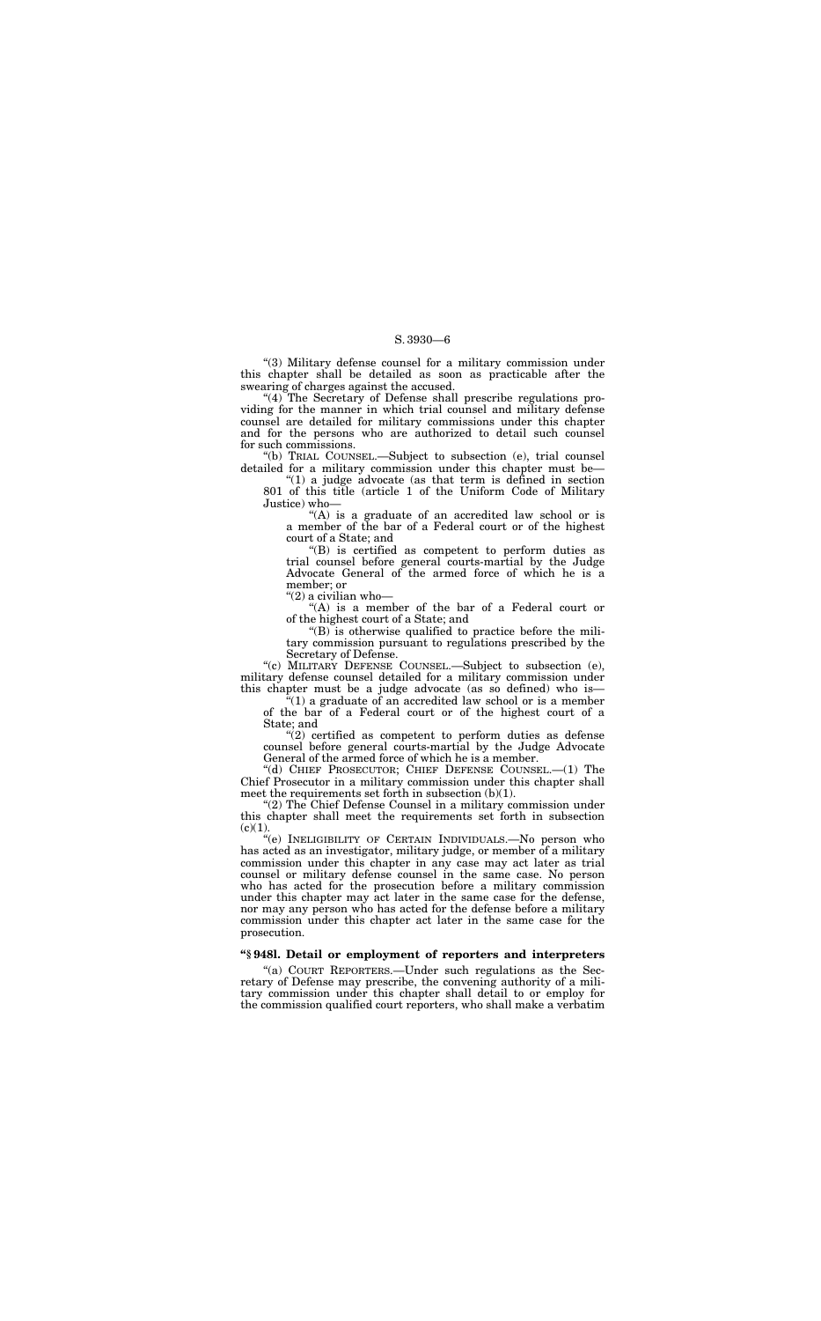''(3) Military defense counsel for a military commission under this chapter shall be detailed as soon as practicable after the swearing of charges against the accused.

"(4) The Secretary of Defense shall prescribe regulations providing for the manner in which trial counsel and military defense counsel are detailed for military commissions under this chapter and for the persons who are authorized to detail such counsel for such commissions.

" $(1)$  a judge advocate (as that term is defined in section 801 of this title (article 1 of the Uniform Code of Military Justice) who—

''(b) TRIAL COUNSEL.—Subject to subsection (e), trial counsel detailed for a military commission under this chapter must be—

> $\mathrm{``(B)}$  is otherwise qualified to practice before the military commission pursuant to regulations prescribed by the Secretary of Defense.

"(c) MILITARY DEFENSE COUNSEL.—Subject to subsection (e), military defense counsel detailed for a military commission under this chapter must be a judge advocate (as so defined) who is—

''(A) is a graduate of an accredited law school or is a member of the bar of a Federal court or of the highest court of a State; and

 $^{\prime}\text{(1)}$  a graduate of an accredited law school or is a member of the bar of a Federal court or of the highest court of a State; and

"(2) certified as competent to perform duties as defense counsel before general courts-martial by the Judge Advocate General of the armed force of which he is a member.

''(B) is certified as competent to perform duties as trial counsel before general courts-martial by the Judge Advocate General of the armed force of which he is a member; or

''(2) a civilian who—

''(A) is a member of the bar of a Federal court or of the highest court of a State; and

''(d) CHIEF PROSECUTOR; CHIEF DEFENSE COUNSEL.—(1) The Chief Prosecutor in a military commission under this chapter shall meet the requirements set forth in subsection (b)(1).

"(2) The Chief Defense Counsel in a military commission under this chapter shall meet the requirements set forth in subsection  $(c)(1)$ .

''(e) INELIGIBILITY OF CERTAIN INDIVIDUALS.—No person who has acted as an investigator, military judge, or member of a military commission under this chapter in any case may act later as trial counsel or military defense counsel in the same case. No person who has acted for the prosecution before a military commission under this chapter may act later in the same case for the defense, nor may any person who has acted for the defense before a military commission under this chapter act later in the same case for the prosecution.

## **''§ 948l. Detail or employment of reporters and interpreters**

''(a) COURT REPORTERS.—Under such regulations as the Secretary of Defense may prescribe, the convening authority of a military commission under this chapter shall detail to or employ for the commission qualified court reporters, who shall make a verbatim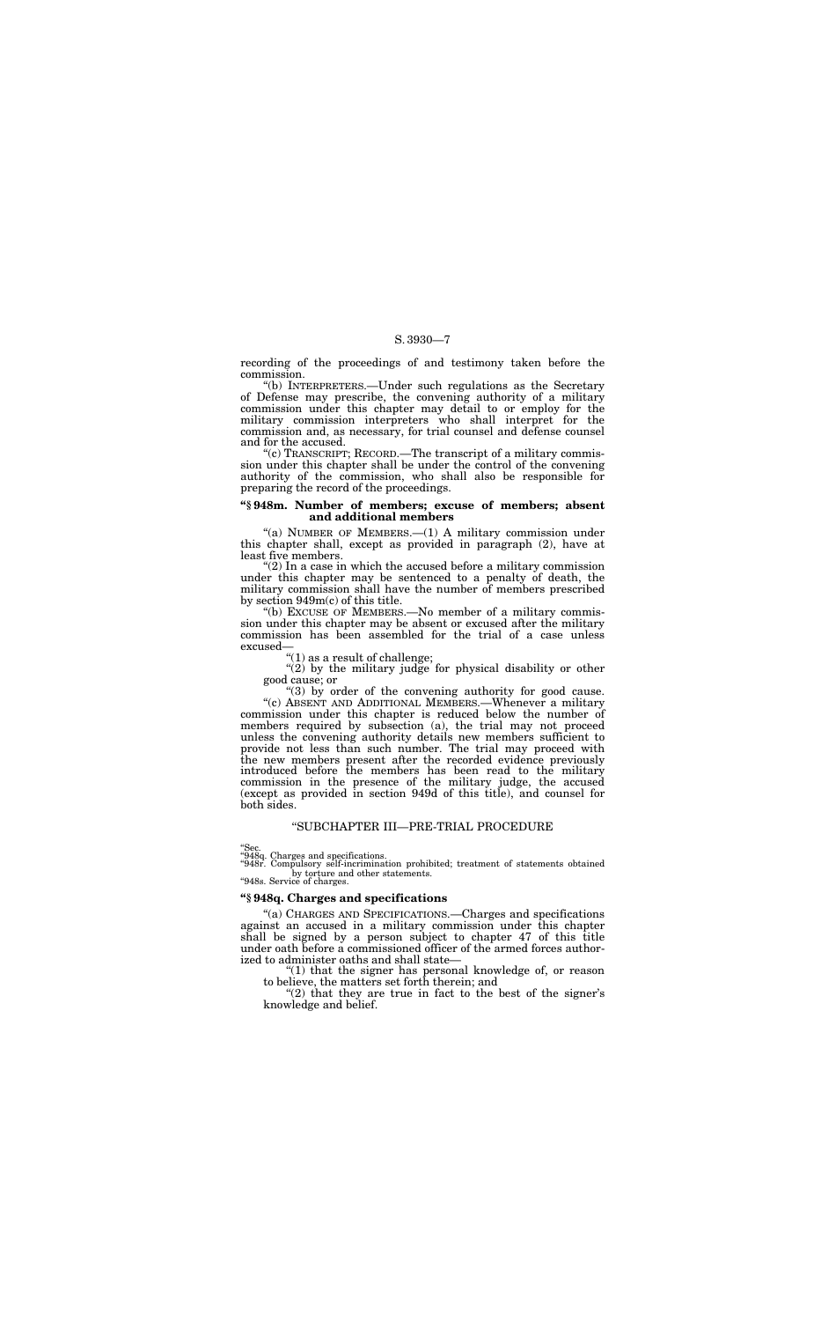of Defense may prescribe, the convening authority of a military commission under this chapter may detail to or employ for the military commission interpreters who shall interpret for the commission and, as necessary, for trial counsel and defense counsel and for the accused.<br>"(c) TRANSCRIPT; RECORD.—The transcript of a military commis-

recording of the proceedings of and testimony taken before the commission. ''(b) INTERPRETERS.—Under such regulations as the Secretary

under this chapter may be sentenced to a penalty of death, the military commission shall have the number of members prescribed by section  $949m(c)$  of this title.<br>"(b) EXCUSE OF MEMBERS.—No member of a military commis-

sion under this chapter shall be under the control of the convening authority of the commission, who shall also be responsible for preparing the record of the proceedings.

sion under this chapter may be absent or excused after the military commission has been assembled for the trial of a case unless excused—

#### **''§ 948m. Number of members; excuse of members; absent and additional members**

"(a) NUMBER OF MEMBERS.—(1) A military commission under this chapter shall, except as provided in paragraph (2), have at least five members.<br>"(2) In a case in which the accused before a military commission

"(3) by order of the convening authority for good cause. "(c) ABSENT AND ADDITIONAL MEMBERS.—Whenever a military commission under this chapter is reduced below the number of members required by subsection (a), the trial may not proceed unless the convening authority details new members sufficient to provide not less than such number. The trial may proceed with the new members present after the recorded evidence previously introduced before the members has been read to the military commission in the presence of the military judge, the accused (except as provided in section 949d of this title), and counsel for both sides.

''(a) CHARGES AND SPECIFICATIONS.—Charges and specifications against an accused in a military commission under this chapter shall be signed by a person subject to chapter 47 of this title under oath before a commissioned officer of the armed forces author-<br>ized to administer oaths and shall state—

"(1) that the signer has personal knowledge of, or reason to believe, the matters set forth therein; and

''(1) as a result of challenge;

 $\sqrt{\frac{2}{2}}$  by the military judge for physical disability or other good cause; or

" $(2)$  that they are true in fact to the best of the signer's knowledge and belief.

### ''SUBCHAPTER III—PRE-TRIAL PROCEDURE

''Sec.

''948q. Charges and specifications. ''948r. Compulsory self-incrimination prohibited; treatment of statements obtained by torture and other statements. ''948s. Service of charges.

## **''§ 948q. Charges and specifications**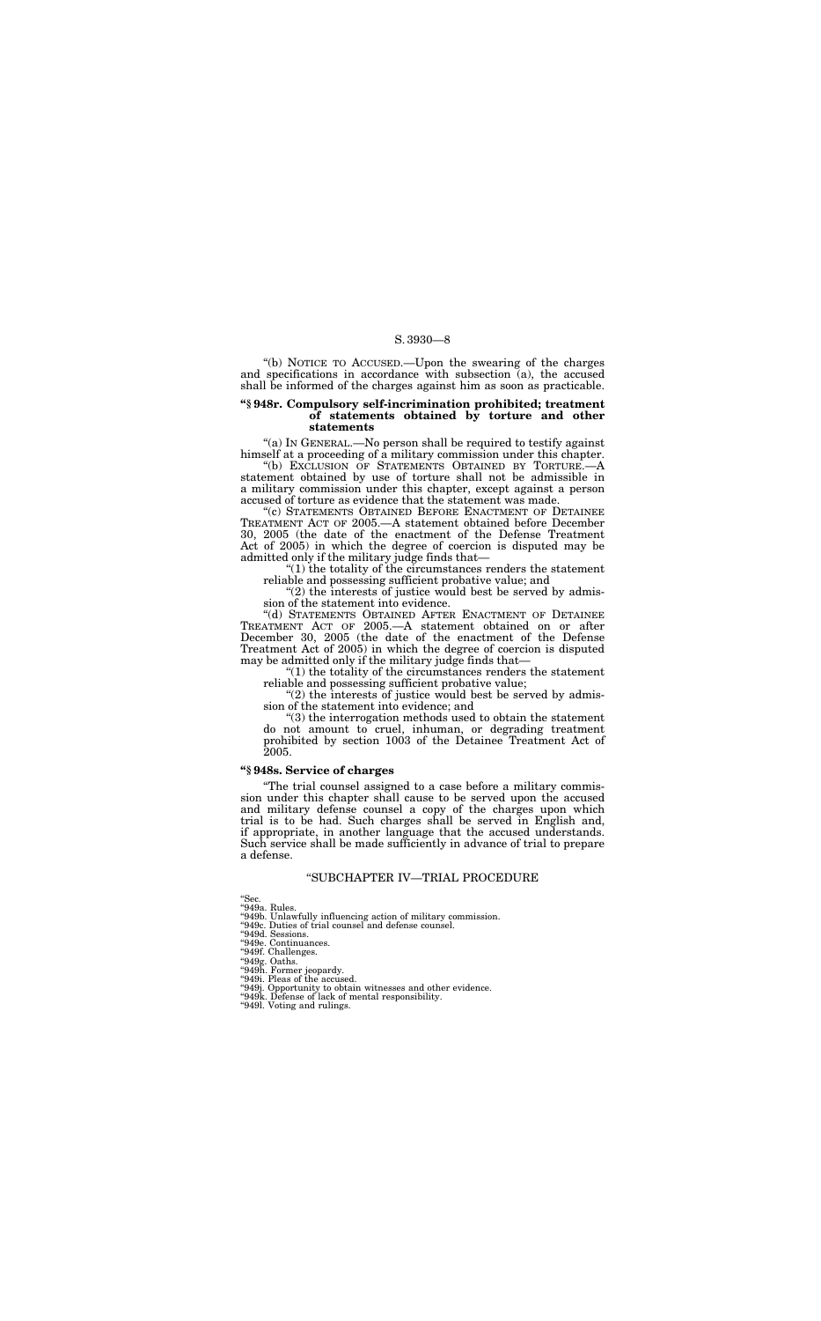''(b) NOTICE TO ACCUSED.—Upon the swearing of the charges and specifications in accordance with subsection (a), the accused shall be informed of the charges against him as soon as practicable.

''(a) IN GENERAL.—No person shall be required to testify against himself at a proceeding of a military commission under this chapter. "(b) EXCLUSION OF STATEMENTS OBTAINED BY TORTURE.—A

#### **''§ 948r. Compulsory self-incrimination prohibited; treatment of statements obtained by torture and other statements**

"(c) STATEMENTS OBTAINED BEFORE ENACTMENT OF DETAINEE TREATMENT ACT OF 2005.—A statement obtained before December 30, 2005 (the date of the enactment of the Defense Treatment Act of 2005) in which the degree of coercion is disputed may be admitted only if the military judge finds that—

"(1) the totality of the circumstances renders the statement reliable and possessing sufficient probative value; and

statement obtained by use of torture shall not be admissible in a military commission under this chapter, except against a person

 $'(2)$  the interests of justice would best be served by admission of the statement into evidence.

 $'(2)$  the interests of justice would best be served by admission of the statement into evidence; and

''(d) STATEMENTS OBTAINED AFTER ENACTMENT OF DETAINEE TREATMENT ACT OF 2005.—A statement obtained on or after December 30, 2005 (the date of the enactment of the Defense Treatment Act of 2005) in which the degree of coercion is disputed may be admitted only if the military judge finds that—

''(1) the totality of the circumstances renders the statement reliable and possessing sufficient probative value;

''(3) the interrogation methods used to obtain the statement do not amount to cruel, inhuman, or degrading treatment prohibited by section 1003 of the Detainee Treatment Act of 2005.

### **''§ 948s. Service of charges**

''The trial counsel assigned to a case before a military commission under this chapter shall cause to be served upon the accused and military defense counsel a copy of the charges upon which trial is to be had. Such charges shall be served in English and, if appropriate, in another language that the accused understands. Such service shall be made sufficiently in advance of trial to prepare a defense.

#### ''SUBCHAPTER IV—TRIAL PROCEDURE

''Sec.

''949a. Rules.

''949b. Unlawfully influencing action of military commission. ''949c. Duties of trial counsel and defense counsel.

''949d. Sessions.

''949e. Continuances. ''949f. Challenges.

''949g. Oaths. ''949h. Former jeopardy. ''949i. Pleas of the accused.

''949j. Opportunity to obtain witnesses and other evidence. ''949k. Defense of lack of mental responsibility.

''949l. Voting and rulings.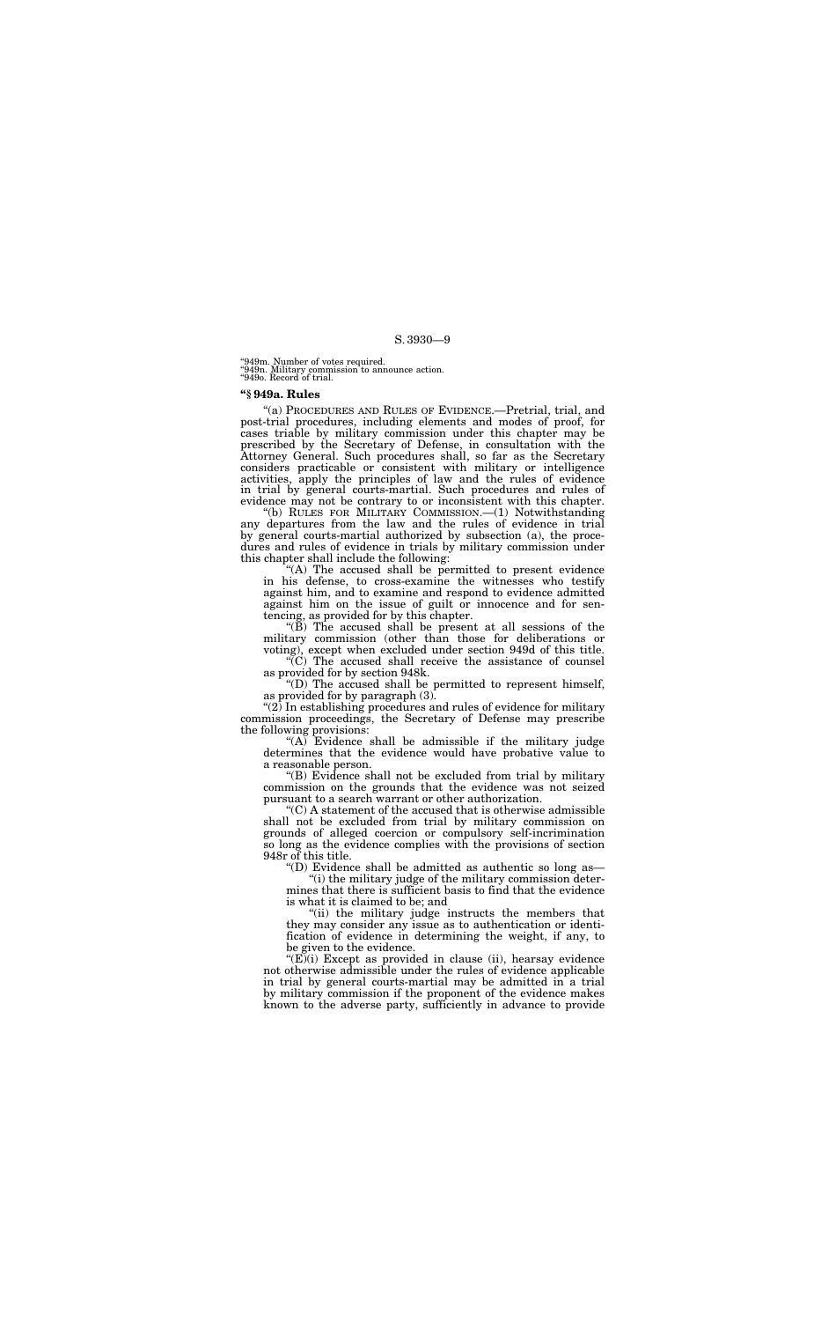''949m. Number of votes required. ''949n. Military commission to announce action. ''949o. Record of trial.

### **''§ 949a. Rules**

''(a) PROCEDURES AND RULES OF EVIDENCE.—Pretrial, trial, and post-trial procedures, including elements and modes of proof, for cases triable by military commission under this chapter may be prescribed by the Secretary of Defense, in consultation with the Attorney General. Such procedures shall, so far as the Secretary considers practicable or consistent with military or intelligence activities, apply the principles of law and the rules of evidence in trial by general courts-martial. Such procedures and rules of

"(b) RULES FOR MILITARY COMMISSION.—(1) Notwithstanding any departures from the law and the rules of evidence in trial by general courts-martial authorized by subsection (a), the procedures and rules of evidence in trials by military commission under this chapter shall include the following:

 $f(A)$  The accused shall be permitted to present evidence in his defense, to cross-examine the witnesses who testify against him, and to examine and respond to evidence admitted against him on the issue of guilt or innocence and for sentencing, as provided for by this chapter.

 $\tilde{C}$ ) The accused shall receive the assistance of counsel as provided for by section 948k.

 $C(2)$  In establishing procedures and rules of evidence for military commission proceedings, the Secretary of Defense may prescribe

" $(A)$  Evidence shall be admissible if the military judge determines that the evidence would have probative value to

"(B) Evidence shall not be excluded from trial by military commission on the grounds that the evidence was not seized

 $\mathrm{C}^{\prime}(\mathrm{C})$  A statement of the accused that is otherwise admissible shall not be excluded from trial by military commission on grounds of alleged coercion or compulsory self-incrimination so long as the evidence complies with the provisions of section 948r of this title.

"(D) Evidence shall be admitted as authentic so long as— "(i) the military judge of the military commission determines that there is sufficient basis to find that the evidence

''(B) The accused shall be present at all sessions of the military commission (other than those for deliberations or voting), except when excluded under section 949d of this title.

is the military judge instructs the members that they may consider any issue as to authentication or identification of evidence in determining the weight, if any, to be given to the evidence.

"(E)(i) Except as provided in clause (ii), hearsay evidence not otherwise admissible under the rules of evidence applicable in trial by general courts-martial may be admitted in a trial by military commission if the proponent of the evidence makes known to the adverse party, sufficiently in advance to provide

''(D) The accused shall be permitted to represent himself, as provided for by paragraph (3).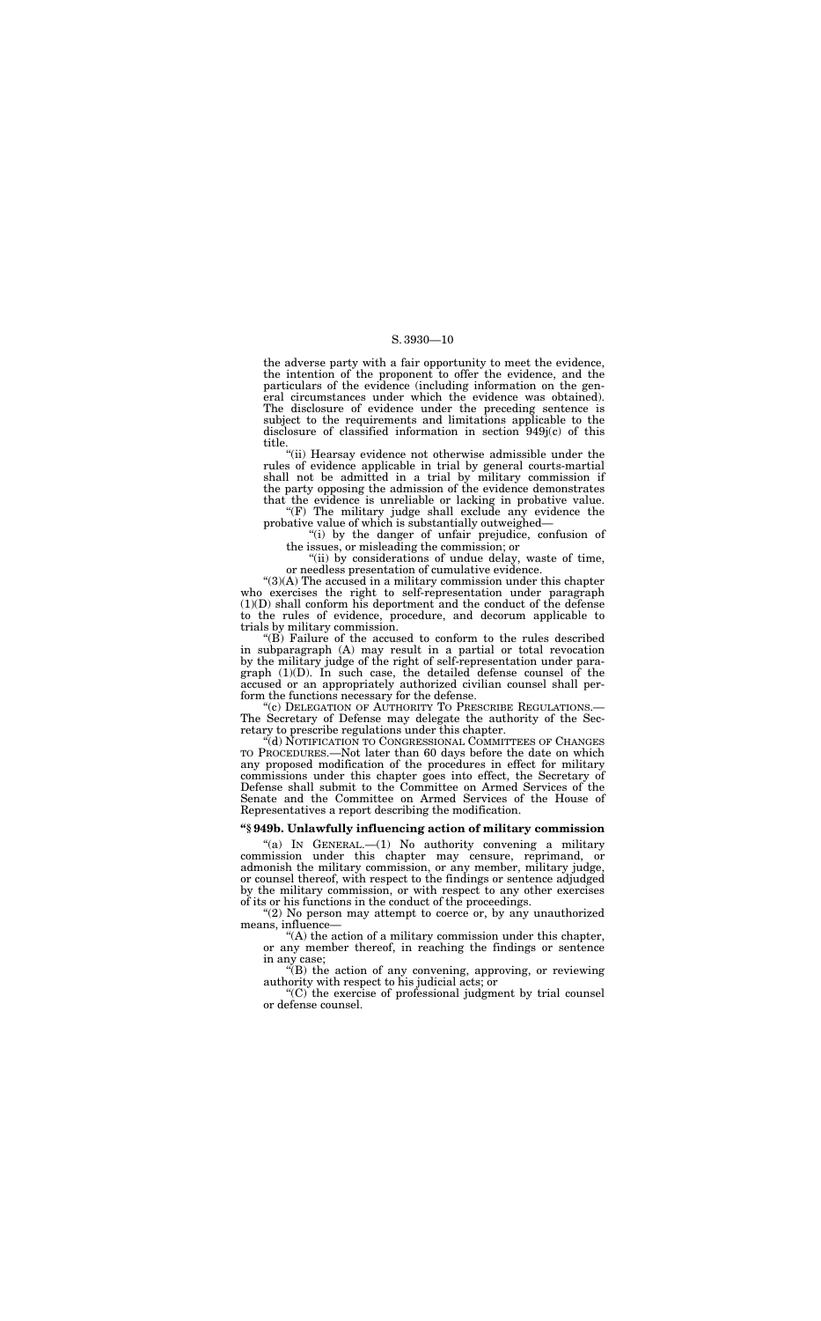the adverse party with a fair opportunity to meet the evidence, the intention of the proponent to offer the evidence, and the particulars of the evidence (including information on the general circumstances under which the evidence was obtained). The disclosure of evidence under the preceding sentence is subject to the requirements and limitations applicable to the disclosure of classified information in section 949j(c) of this

title.<br>"(ii) Hearsay evidence not otherwise admissible under the rules of evidence applicable in trial by general courts-martial shall not be admitted in a trial by military commission if the party opposing the admission of the evidence demonstrates that the evidence is unreliable or lacking in probative value.

" $(3)(A)$  The accused in a military commission under this chapter who exercises the right to self-representation under paragraph (1)(D) shall conform his deportment and the conduct of the defense to the rules of evidence, procedure, and decorum applicable to trials by military commission.

that the evidence is unreliable or lacking in probative value. ''(F) The military judge shall exclude any evidence the

probative value of which is substantially outweighed—<br>"(i) by the danger of unfair prejudice, confusion of "(i) by the danger of unfair prejudice, confusion of the issues, or misleading the commission; or "(ii) by considerations of undue delay, waste of time, or needless presentation of cumulative evidence.

(c) DELEGATION OF AUTHORITY TO PRESCRIBE REGULATIONS.— The Secretary of Defense may delegate the authority of the Secretary to prescribe regulations under this chapter.

"(a) IN GENERAL.-(1) No authority convening a military commission under this chapter may censure, reprimand, or admonish the military commission, or any member, military judge, or counsel thereof, with respect to the findings or sentence adjudged by the military commission, or with respect to any other exercises of its or his functions in the conduct of the proceedings.

"(2) No person may attempt to coerce or, by any unauthorized means, influence—

''(B) Failure of the accused to conform to the rules described in subparagraph (A) may result in a partial or total revocation by the military judge of the right of self-representation under paragraph  $(1)(D)$ . In such case, the detailed defense counsel of the accused or an appropriately authorized civilian counsel shall perform the functions necessary for the defense.

 $\mathcal{L}(B)$  the action of any convening, approving, or reviewing authority with respect to his judicial acts; or

''(d) NOTIFICATION TO CONGRESSIONAL COMMITTEES OF CHANGES TO PROCEDURES.—Not later than 60 days before the date on which any proposed modification of the procedures in effect for military commissions under this chapter goes into effect, the Secretary of Defense shall submit to the Committee on Armed Services of the Senate and the Committee on Armed Services of the House of Representatives a report describing the modification.

#### **''§ 949b. Unlawfully influencing action of military commission**

''(A) the action of a military commission under this chapter, or any member thereof, in reaching the findings or sentence in any case;

''(C) the exercise of professional judgment by trial counsel or defense counsel.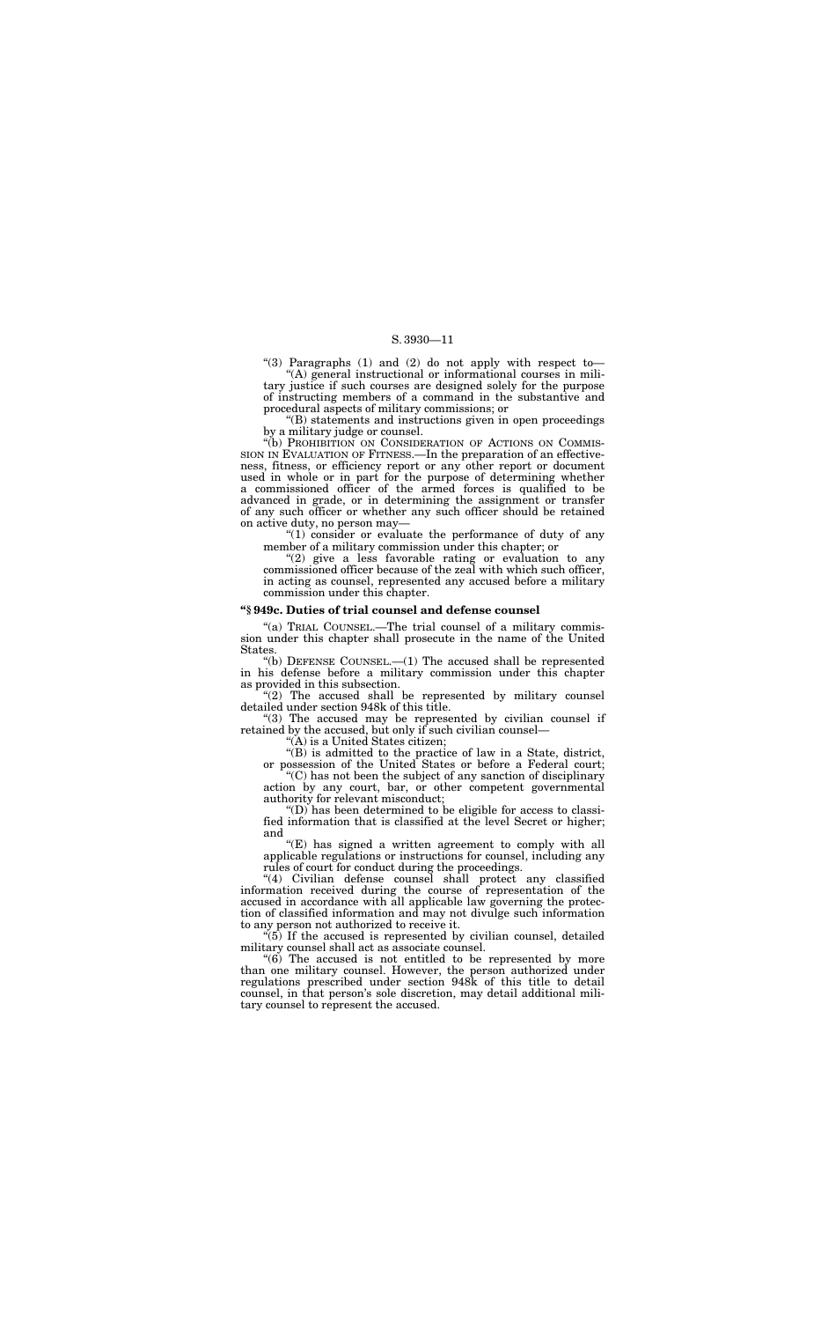''(3) Paragraphs (1) and (2) do not apply with respect to— ''(A) general instructional or informational courses in mili-

tary justice if such courses are designed solely for the purpose of instructing members of a command in the substantive and

 $f(B)$  statements and instructions given in open proceedings by a military judge or counsel.

"(2) give a less favorable rating or evaluation to any commissioned officer because of the zeal with which such officer, in acting as counsel, represented any accused before a military commission under this chapter.

''(b) PROHIBITION ON CONSIDERATION OF ACTIONS ON COMMIS-SION IN EVALUATION OF FITNESS.—In the preparation of an effectiveness, fitness, or efficiency report or any other report or document used in whole or in part for the purpose of determining whether a commissioned officer of the armed forces is qualified to be advanced in grade, or in determining the assignment or transfer of any such officer or whether any such officer should be retained on active duty, no person may—

"(b) DEFENSE COUNSEL. $-(1)$  The accused shall be represented in his defense before a military commission under this chapter as provided in this subsection.

" $(2)$  The accused shall be represented by military counsel detailed under section 948k of this title.

"(3) The accused may be represented by civilian counsel if retained by the accused, but only if such civilian counsel—

''(1) consider or evaluate the performance of duty of any member of a military commission under this chapter; or

"(C) has not been the subject of any sanction of disciplinary action by any court, bar, or other competent governmental authority for relevant misconduct;

"(E) has signed a written agreement to comply with all applicable regulations or instructions for counsel, including any rules of court for conduct during the proceedings.

## **''§ 949c. Duties of trial counsel and defense counsel**

''(a) TRIAL COUNSEL.—The trial counsel of a military commission under this chapter shall prosecute in the name of the United States.

military counsel shall act as associate counsel.<br>"(6) The accused is not entitled to be represented by more than one military counsel. However, the person authorized under regulations prescribed under section 948k of this title to detail counsel, in that person's sole discretion, may detail additional military counsel to represent the accused.

''(A) is a United States citizen;

''(B) is admitted to the practice of law in a State, district, or possession of the United States or before a Federal court;

''(D) has been determined to be eligible for access to classified information that is classified at the level Secret or higher; and

''(4) Civilian defense counsel shall protect any classified information received during the course of representation of the accused in accordance with all applicable law governing the protection of classified information and may not divulge such information to any person not authorized to receive it.

 $\cdot$ <sup>'(5)</sup> If the accused is represented by civilian counsel, detailed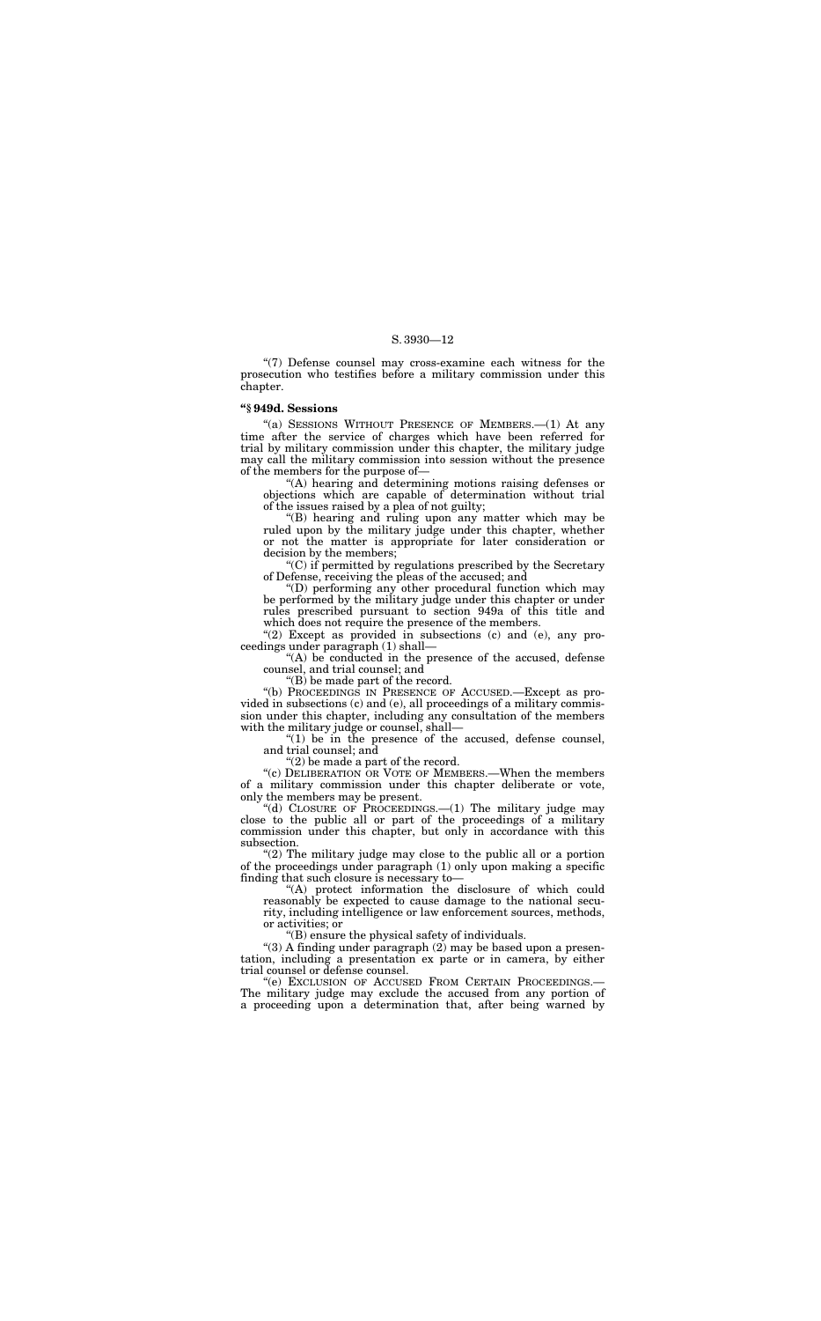''(7) Defense counsel may cross-examine each witness for the prosecution who testifies before a military commission under this chapter.

## **''§ 949d. Sessions**

"(a) SESSIONS WITHOUT PRESENCE OF MEMBERS. - (1) At any time after the service of charges which have been referred for trial by military commission under this chapter, the military judge may call the military commission into session without the presence of the members for the purpose of—

''(A) hearing and determining motions raising defenses or objections which are capable of determination without trial of the issues raised by a plea of not guilty;

"(2) Except as provided in subsections (c) and (e), any proceedings under paragraph (1) shall—

''(B) hearing and ruling upon any matter which may be ruled upon by the military judge under this chapter, whether or not the matter is appropriate for later consideration or decision by the members;

" $(1)$  be in the presence of the accused, defense counsel, and trial counsel; and

 $f(2)$  be made a part of the record.

''(C) if permitted by regulations prescribed by the Secretary of Defense, receiving the pleas of the accused; and

''(D) performing any other procedural function which may be performed by the military judge under this chapter or under rules prescribed pursuant to section 949a of this title and which does not require the presence of the members.

"(2) The military judge may close to the public all or a portion of the proceedings under paragraph (1) only upon making a specific finding that such closure is necessary to—

"(A) protect information the disclosure of which could reasonably be expected to cause damage to the national security, including intelligence or law enforcement sources, methods, or activities; or

''(A) be conducted in the presence of the accused, defense counsel, and trial counsel; and

''(B) be made part of the record.

(e) EXCLUSION OF ACCUSED FROM CERTAIN PROCEEDINGS.-The military judge may exclude the accused from any portion of a proceeding upon a determination that, after being warned by

''(b) PROCEEDINGS IN PRESENCE OF ACCUSED.—Except as provided in subsections (c) and (e), all proceedings of a military commission under this chapter, including any consultation of the members with the military judge or counsel, shall—

''(c) DELIBERATION OR VOTE OF MEMBERS.—When the members of a military commission under this chapter deliberate or vote, only the members may be present.

''(d) CLOSURE OF PROCEEDINGS.—(1) The military judge may close to the public all or part of the proceedings of a military commission under this chapter, but only in accordance with this subsection.

''(B) ensure the physical safety of individuals.

''(3) A finding under paragraph (2) may be based upon a presentation, including a presentation ex parte or in camera, by either trial counsel or defense counsel.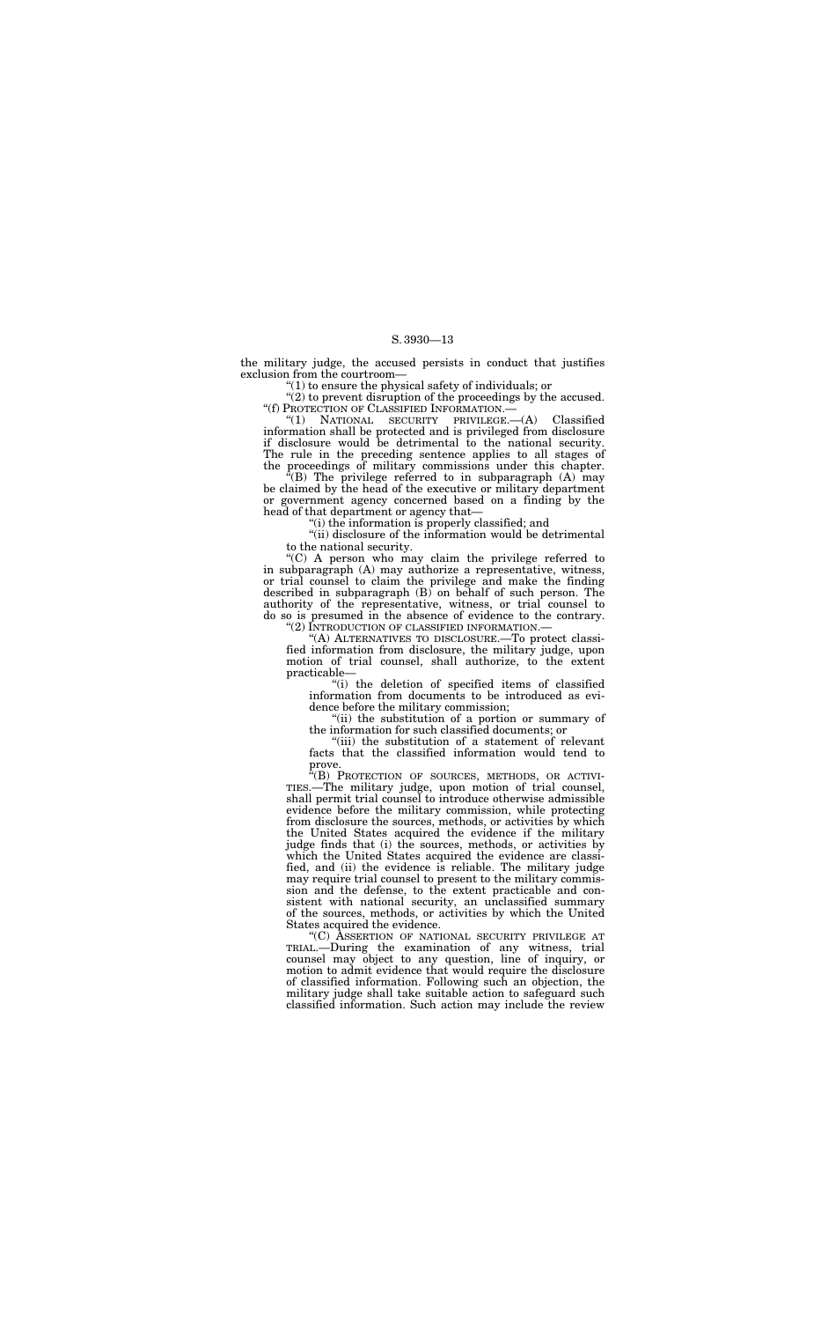the military judge, the accused persists in conduct that justifies exclusion from the courtroom—<br>"(1) to ensure the physical safety of individuals; or

"(2) to prevent disruption of the proceedings by the accused.<br>"(f) PROTECTION OF CLASSIFIED INFORMATION.—<br>"(1) NATIONAL SECURITY PRIVILEGE.—(A) Classified

"(1) NATIONAL SECURITY PRIVILEGE.—(A) information shall be protected and is privileged from disclosure if disclosure would be detrimental to the national security. The rule in the preceding sentence applies to all stages of the proceedings of military commissions under this chapter.

(B) The privilege referred to in subparagraph (A) may be claimed by the head of the executive or military department or government agency concerned based on a finding by the head of that department or agency that—

''(i) the information is properly classified; and

''(ii) disclosure of the information would be detrimental to the national security.

''(C) A person who may claim the privilege referred to in subparagraph (A) may authorize a representative, witness, or trial counsel to claim the privilege and make the finding described in subparagraph (B) on behalf of such person. The authority of the representative, witness, or trial counsel to do so is presumed in the absence of evidence to the contrary. ''(2) INTRODUCTION OF CLASSIFIED INFORMATION.—

''(A) ALTERNATIVES TO DISCLOSURE.—To protect classified information from disclosure, the military judge, upon motion of trial counsel, shall authorize, to the extent practicable—

''(i) the deletion of specified items of classified information from documents to be introduced as evidence before the military commission;

''(ii) the substitution of a portion or summary of the information for such classified documents; or

''(iii) the substitution of a statement of relevant facts that the classified information would tend to prove.

''(B) PROTECTION OF SOURCES, METHODS, OR ACTIVI-TIES.—The military judge, upon motion of trial counsel, shall permit trial counsel to introduce otherwise admissible evidence before the military commission, while protecting from disclosure the sources, methods, or activities by which the United States acquired the evidence if the military judge finds that (i) the sources, methods, or activities by which the United States acquired the evidence are classified, and (ii) the evidence is reliable. The military judge may require trial counsel to present to the military commission and the defense, to the extent practicable and consistent with national security, an unclassified summary of the sources, methods, or activities by which the United States acquired the evidence.

''(C) ASSERTION OF NATIONAL SECURITY PRIVILEGE AT TRIAL.—During the examination of any witness, trial counsel may object to any question, line of inquiry, or motion to admit evidence that would require the disclosure of classified information. Following such an objection, the military judge shall take suitable action to safeguard such classified information. Such action may include the review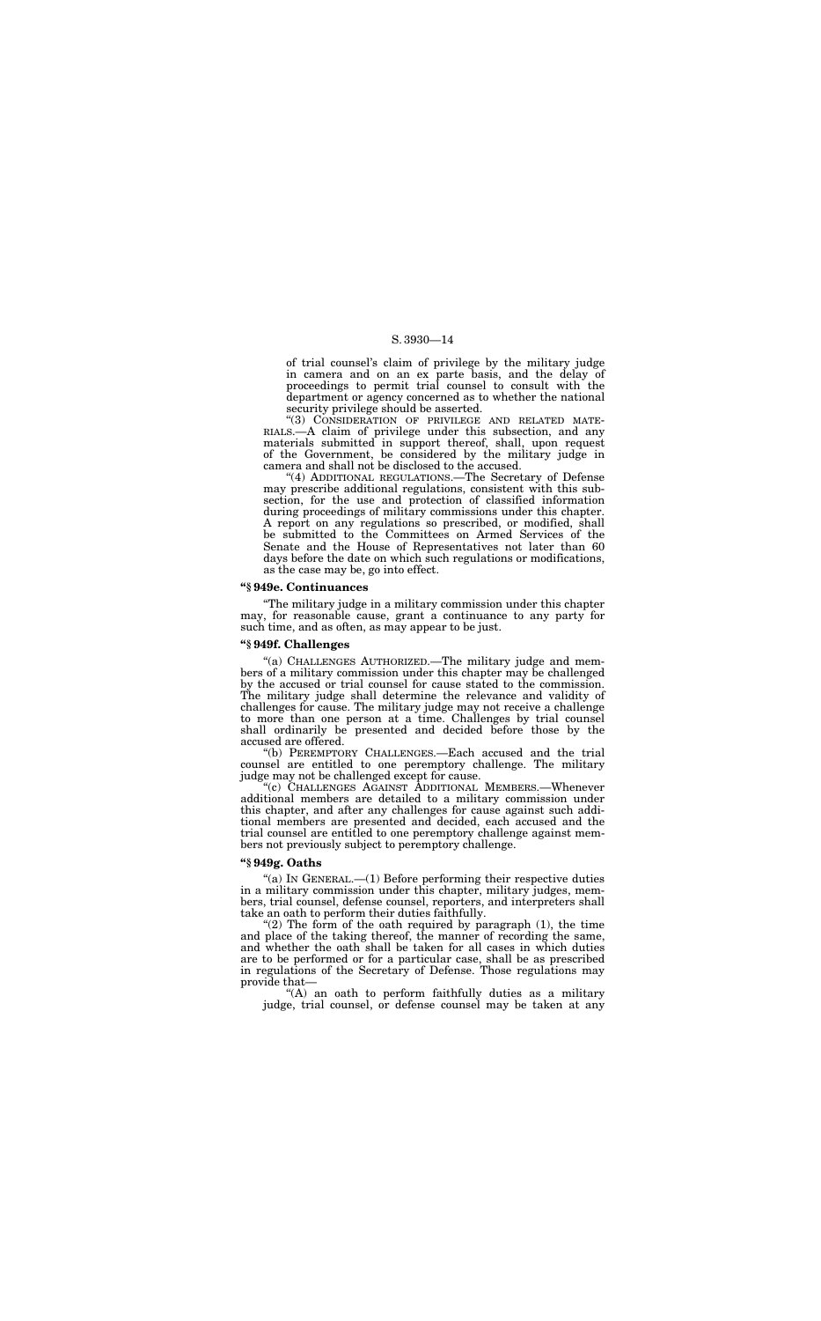of trial counsel's claim of privilege by the military judge in camera and on an ex parte basis, and the delay of proceedings to permit trial counsel to consult with the department or agency concerned as to whether the national security privilege should be asserted.

''(3) CONSIDERATION OF PRIVILEGE AND RELATED MATE-RIALS.—A claim of privilege under this subsection, and any materials submitted in support thereof, shall, upon request of the Government, be considered by the military judge in camera and shall not be disclosed to the accused.

''(4) ADDITIONAL REGULATIONS.—The Secretary of Defense may prescribe additional regulations, consistent with this subsection, for the use and protection of classified information during proceedings of military commissions under this chapter. A report on any regulations so prescribed, or modified, shall be submitted to the Committees on Armed Services of the Senate and the House of Representatives not later than 60 days before the date on which such regulations or modifications, as the case may be, go into effect.

#### **''§ 949e. Continuances**

''The military judge in a military commission under this chapter may, for reasonable cause, grant a continuance to any party for such time, and as often, as may appear to be just.

"(a) IN GENERAL. $-(1)$  Before performing their respective duties in a military commission under this chapter, military judges, members, trial counsel, defense counsel, reporters, and interpreters shall take an oath to perform their duties faithfully.

## **''§ 949f. Challenges**

" $(2)$  The form of the oath required by paragraph  $(1)$ , the time and place of the taking thereof, the manner of recording the same, and whether the oath shall be taken for all cases in which duties are to be performed or for a particular case, shall be as prescribed in regulations of the Secretary of Defense. Those regulations may provide that—

"(A) an oath to perform faithfully duties as a military judge, trial counsel, or defense counsel may be taken at any

''(a) CHALLENGES AUTHORIZED.—The military judge and members of a military commission under this chapter may be challenged by the accused or trial counsel for cause stated to the commission. The military judge shall determine the relevance and validity of challenges for cause. The military judge may not receive a challenge to more than one person at a time. Challenges by trial counsel shall ordinarily be presented and decided before those by the accused are offered.

''(b) PEREMPTORY CHALLENGES.—Each accused and the trial counsel are entitled to one peremptory challenge. The military judge may not be challenged except for cause.

''(c) CHALLENGES AGAINST ADDITIONAL MEMBERS.—Whenever additional members are detailed to a military commission under this chapter, and after any challenges for cause against such additional members are presented and decided, each accused and the trial counsel are entitled to one peremptory challenge against members not previously subject to peremptory challenge.

#### **''§ 949g. Oaths**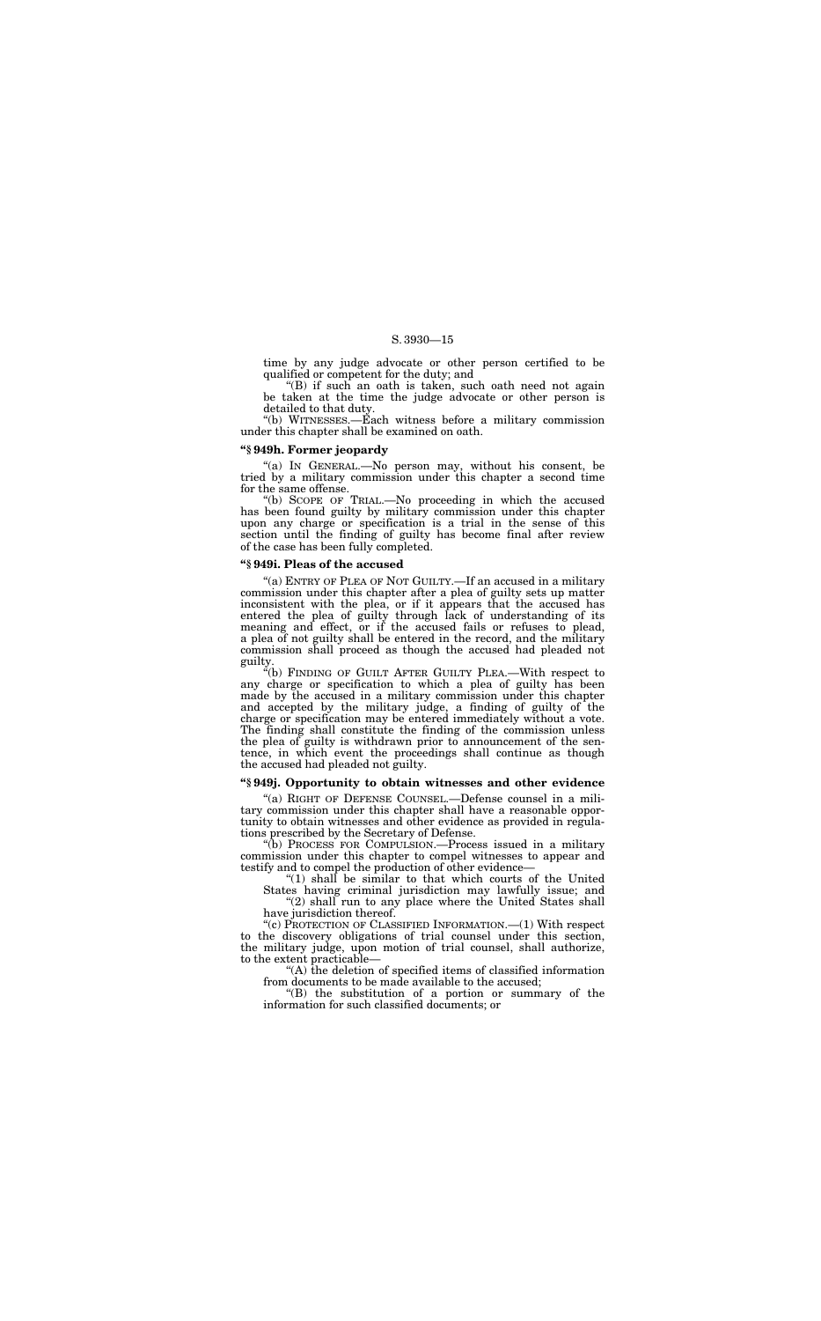time by any judge advocate or other person certified to be

 $\mathrm{H}(B)$  if such an oath is taken, such oath need not again be taken at the time the judge advocate or other person is detailed to that duty.

"(a) IN GENERAL.—No person may, without his consent, be tried by a military commission under this chapter a second time for the same offense.

''(b) WITNESSES.—Each witness before a military commission under this chapter shall be examined on oath.

## **''§ 949h. Former jeopardy**

''(b) SCOPE OF TRIAL.—No proceeding in which the accused has been found guilty by military commission under this chapter upon any charge or specification is a trial in the sense of this section until the finding of guilty has become final after review of the case has been fully completed.

### **''§ 949i. Pleas of the accused**

"(b) FINDING OF GUILT AFTER GUILTY PLEA.—With respect to any charge or specification to which a plea of guilty has been any charge or specification to which a plea of guilty has been made by the accused in a military commission under this chapter and accepted by the military judge, a finding of guilty of the charge or specification may be entered immediately without a vote. The finding shall constitute the finding of the commission unless the plea of guilty is withdrawn prior to announcement of the sentence, in which event the proceedings shall continue as though the accused had pleaded not guilty.

''(a) ENTRY OF PLEA OF NOT GUILTY.—If an accused in a military commission under this chapter after a plea of guilty sets up matter inconsistent with the plea, or if it appears that the accused has entered the plea of guilty through lack of understanding of its meaning and effect, or if the accused fails or refuses to plead, a plea of not guilty shall be entered in the record, and the military commission shall proceed as though the accused had pleaded not guilty.

"(2) shall run to any place where the United States shall have jurisdiction thereof.

"(c) PROTECTION OF CLASSIFIED INFORMATION.— $(1)$  With respect to the discovery obligations of trial counsel under this section, the military judge, upon motion of trial counsel, shall authorize, to the extent practicable—

## **''§ 949j. Opportunity to obtain witnesses and other evidence**

''(a) RIGHT OF DEFENSE COUNSEL.—Defense counsel in a military commission under this chapter shall have a reasonable opportunity to obtain witnesses and other evidence as provided in regulations prescribed by the Secretary of Defense.

''(b) PROCESS FOR COMPULSION.—Process issued in a military commission under this chapter to compel witnesses to appear and testify and to compel the production of other evidence—

''(1) shall be similar to that which courts of the United States having criminal jurisdiction may lawfully issue; and

''(A) the deletion of specified items of classified information from documents to be made available to the accused;

''(B) the substitution of a portion or summary of the information for such classified documents; or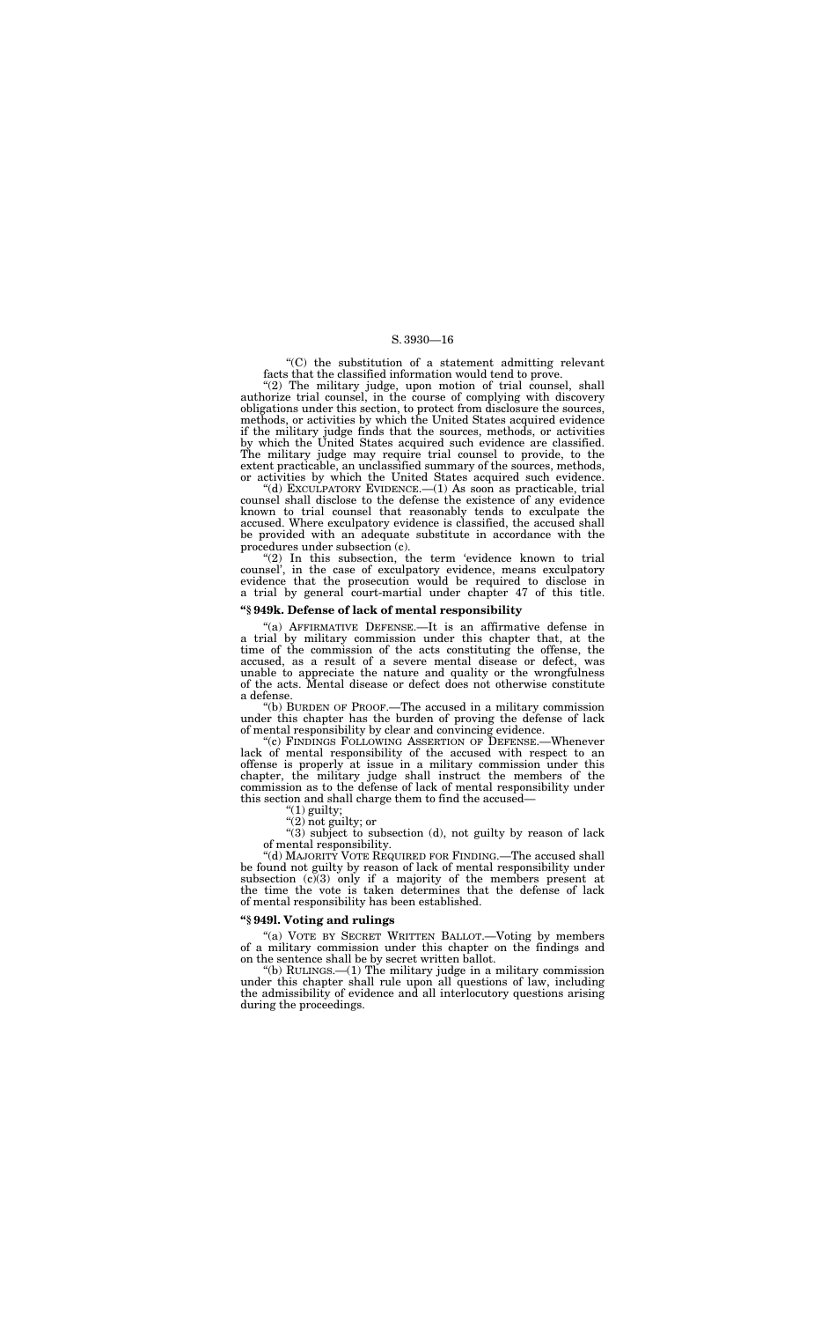''(C) the substitution of a statement admitting relevant facts that the classified information would tend to prove.

"(2) The military judge, upon motion of trial counsel, shall authorize trial counsel, in the course of complying with discovery obligations under this section, to protect from disclosure the sources, methods, or activities by which the United States acquired evidence if the military judge finds that the sources, methods, or activities by which the United States acquired such evidence are classified. The military judge may require trial counsel to provide, to the extent practicable, an unclassified summary of the sources, methods,

"(2) In this subsection, the term 'evidence known to trial counsel', in the case of exculpatory evidence, means exculpatory evidence that the prosecution would be required to disclose in a trial by general court-martial under chapter 47 of this title.

or activities by which the United States acquired such evidence. ''(d) EXCULPATORY EVIDENCE.—(1) As soon as practicable, trial counsel shall disclose to the defense the existence of any evidence known to trial counsel that reasonably tends to exculpate the accused. Where exculpatory evidence is classified, the accused shall be provided with an adequate substitute in accordance with the procedures under subsection (c).

"(3) subject to subsection (d), not guilty by reason of lack of mental responsibility.

## **''§ 949k. Defense of lack of mental responsibility**

"(a) VOTE BY SECRET WRITTEN BALLOT.—Voting by members of a military commission under this chapter on the findings and

''(a) AFFIRMATIVE DEFENSE.—It is an affirmative defense in a trial by military commission under this chapter that, at the time of the commission of the acts constituting the offense, the accused, as a result of a severe mental disease or defect, was unable to appreciate the nature and quality or the wrongfulness of the acts. Mental disease or defect does not otherwise constitute a defense.

"(b) RULINGS.— $(1)$  The military judge in a military commission under this chapter shall rule upon all questions of law, including the admissibility of evidence and all interlocutory questions arising during the proceedings.

''(b) BURDEN OF PROOF.—The accused in a military commission under this chapter has the burden of proving the defense of lack of mental responsibility by clear and convincing evidence.

''(c) FINDINGS FOLLOWING ASSERTION OF DEFENSE.—Whenever lack of mental responsibility of the accused with respect to an offense is properly at issue in a military commission under this chapter, the military judge shall instruct the members of the commission as to the defense of lack of mental responsibility under this section and shall charge them to find the accused—

 $^{\circ}(1)$  guilty;

"(2) not guilty; or

''(d) MAJORITY VOTE REQUIRED FOR FINDING.—The accused shall be found not guilty by reason of lack of mental responsibility under subsection (c)(3) only if a majority of the members present at the time the vote is taken determines that the defense of lack of mental responsibility has been established.

## **''§ 949l. Voting and rulings**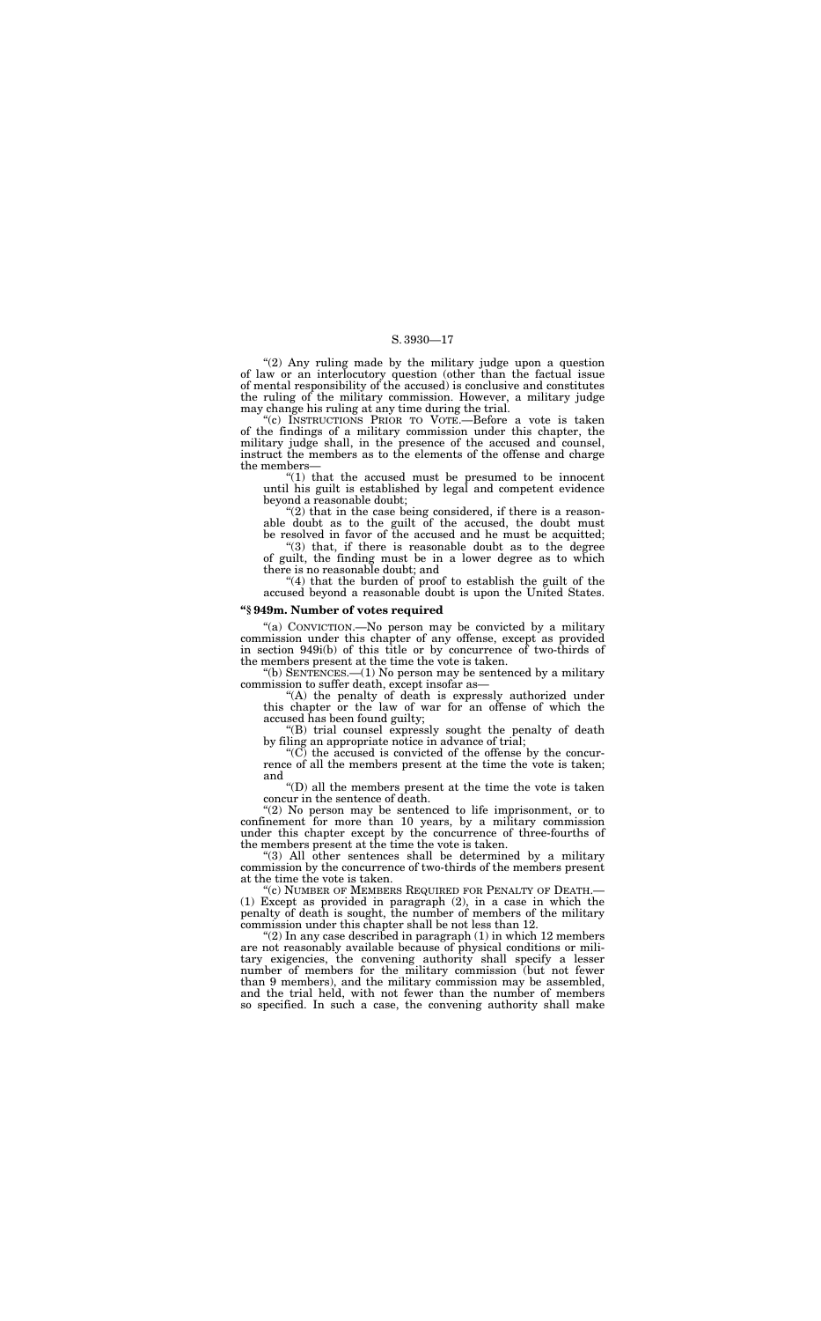" $(2)$  Any ruling made by the military judge upon a question of law or an interlocutory question (other than the factual issue of mental responsibility of the accused) is conclusive and constitutes the ruling of the military commission. However, a military judge

"(c) INSTRUCTIONS PRIOR TO VOTE.—Before a vote is taken of the findings of a military commission under this chapter, the military judge shall, in the presence of the accused and counsel, instruct the members as to the elements of the offense and charge the members-

" $(1)$  that the accused must be presumed to be innocent until his guilt is established by legal and competent evidence beyond a reasonable doubt;

" $(2)$  that in the case being considered, if there is a reasonable doubt as to the guilt of the accused, the doubt must be resolved in favor of the accused and he must be acquitted;

" $(3)$  that, if there is reasonable doubt as to the degree of guilt, the finding must be in a lower degree as to which there is no reasonable doubt; and

" $(4)$  that the burden of proof to establish the guilt of the accused beyond a reasonable doubt is upon the United States.

"(b) SENTENCES.— $(1)$  No person may be sentenced by a military commission to suffer death, except insofar as—

"(B) trial counsel expressly sought the penalty of death by filing an appropriate notice in advance of trial;

 $(C)$  the accused is convicted of the offense by the concurrence of all the members present at the time the vote is taken; and

## **''§ 949m. Number of votes required**

''(a) CONVICTION.—No person may be convicted by a military commission under this chapter of any offense, except as provided in section 949i(b) of this title or by concurrence of two-thirds of the members present at the time the vote is taken.

''(A) the penalty of death is expressly authorized under this chapter or the law of war for an offense of which the accused has been found guilty;

''(D) all the members present at the time the vote is taken concur in the sentence of death.

''(2) No person may be sentenced to life imprisonment, or to confinement for more than 10 years, by a military commission under this chapter except by the concurrence of three-fourths of the members present at the time the vote is taken.

''(3) All other sentences shall be determined by a military commission by the concurrence of two-thirds of the members present at the time the vote is taken.

''(c) NUMBER OF MEMBERS REQUIRED FOR PENALTY OF DEATH.— (1) Except as provided in paragraph (2), in a case in which the penalty of death is sought, the number of members of the military commission under this chapter shall be not less than 12.

''(2) In any case described in paragraph (1) in which 12 members are not reasonably available because of physical conditions or military exigencies, the convening authority shall specify a lesser number of members for the military commission (but not fewer than 9 members), and the military commission may be assembled, and the trial held, with not fewer than the number of members so specified. In such a case, the convening authority shall make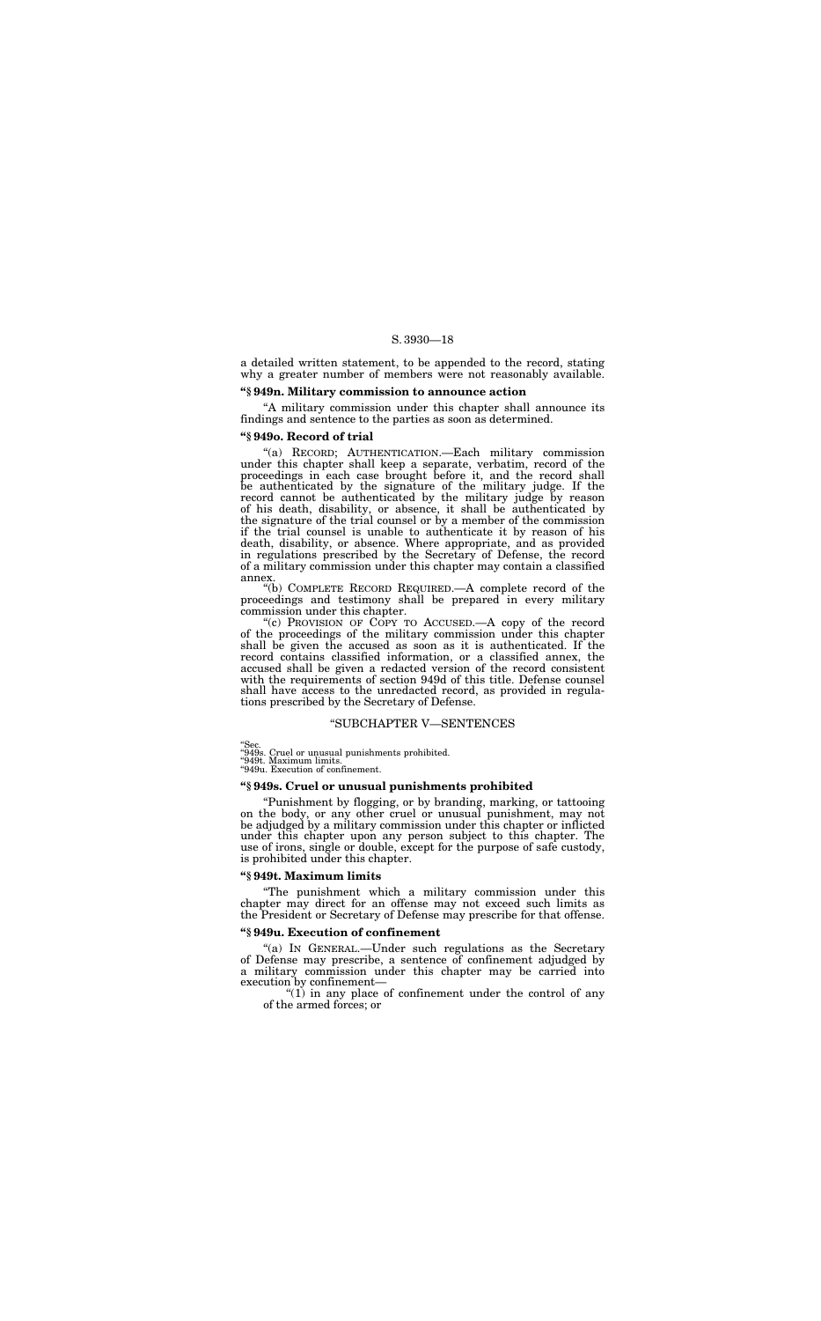a detailed written statement, to be appended to the record, stating why a greater number of members were not reasonably available.

#### **''§ 949n. Military commission to announce action**

''A military commission under this chapter shall announce its findings and sentence to the parties as soon as determined.

#### **''§ 949o. Record of trial**

''(a) RECORD; AUTHENTICATION.—Each military commission under this chapter shall keep a separate, verbatim, record of the proceedings in each case brought before it, and the record shall be authenticated by the signature of the military judge. If the record cannot be authenticated by the military judge by reason of his death, disability, or absence, it shall be authenticated by the signature of the trial counsel or by a member of the commission if the trial counsel is unable to authenticate it by reason of his death, disability, or absence. Where appropriate, and as provided in regulations prescribed by the Secretary of Defense, the record of a military commission under this chapter may contain a classified

"(b) COMPLETE RECORD REQUIRED.—A complete record of the proceedings and testimony shall be prepared in every military commission under this chapter.

"(a) IN GENERAL.-Under such regulations as the Secretary of Defense may prescribe, a sentence of confinement adjudged by a military commission under this chapter may be carried into

execution by confinement—<br>"(1) in any place of confinement under the control of any of the armed forces; or

commission under this chapter. ''(c) PROVISION OF COPY TO ACCUSED.—A copy of the record of the proceedings of the military commission under this chapter shall be given the accused as soon as it is authenticated. If the record contains classified information, or a classified annex, the accused shall be given a redacted version of the record consistent with the requirements of section 949d of this title. Defense counsel shall have access to the unredacted record, as provided in regulations prescribed by the Secretary of Defense.

#### ''SUBCHAPTER V—SENTENCES

''Sec. ''949s. Cruel or unusual punishments prohibited.

''949t. Maximum limits. ''949u. Execution of confinement.

## **''§ 949s. Cruel or unusual punishments prohibited**

''Punishment by flogging, or by branding, marking, or tattooing on the body, or any other cruel or unusual punishment, may not be adjudged by a military commission under this chapter or inflicted under this chapter upon any person subject to this chapter. The use of irons, single or double, except for the purpose of safe custody, is prohibited under this chapter.

## **''§ 949t. Maximum limits**

''The punishment which a military commission under this chapter may direct for an offense may not exceed such limits as the President or Secretary of Defense may prescribe for that offense.

### **''§ 949u. Execution of confinement**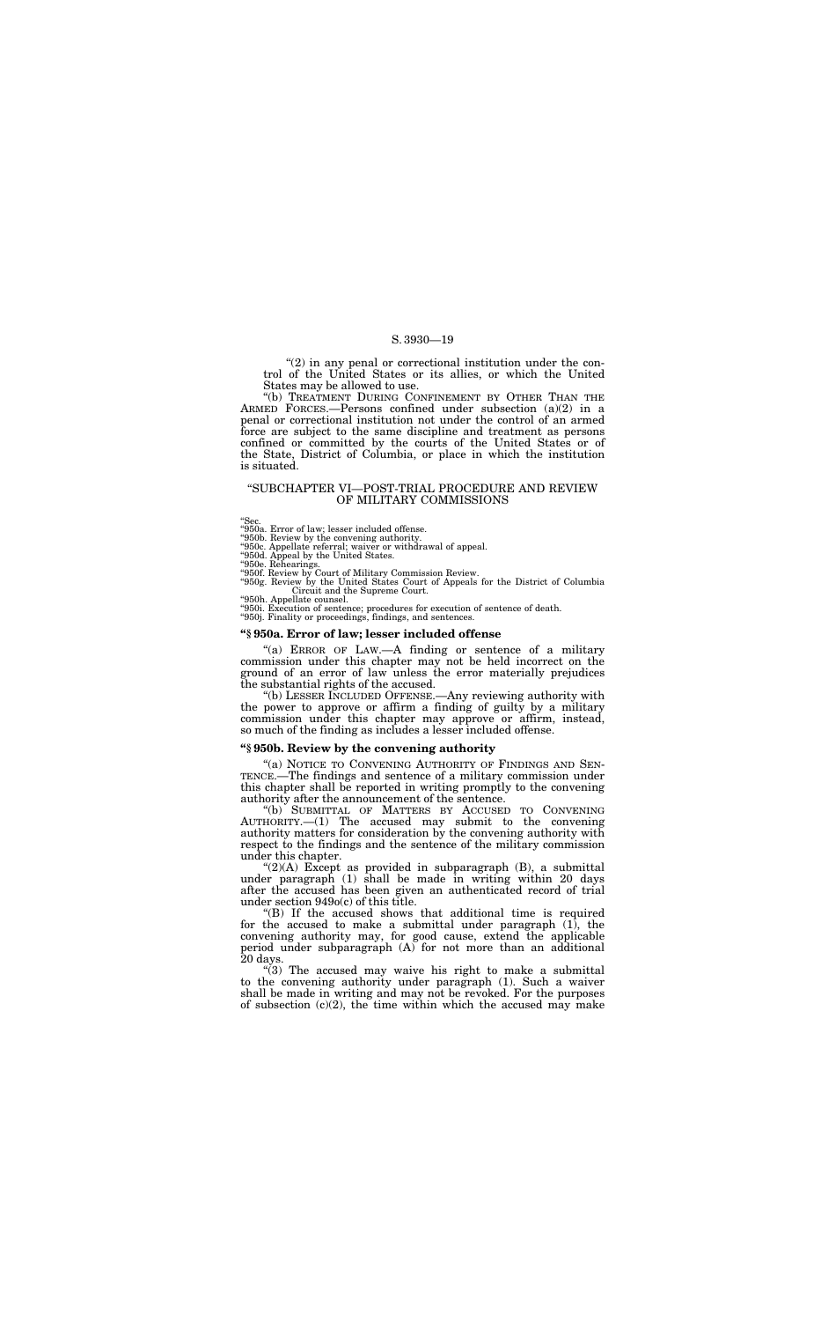$''(2)$  in any penal or correctional institution under the control of the United States or its allies, or which the United States may be allowed to use.

''(b) TREATMENT DURING CONFINEMENT BY OTHER THAN THE ARMED FORCES.—Persons confined under subsection (a)(2) in a penal or correctional institution not under the control of an armed force are subject to the same discipline and treatment as persons confined or committed by the courts of the United States or of the State, District of Columbia, or place in which the institution is situated.

''950d. Appeal by the United States. ''950e. Rehearings. ''950f. Review by Court of Military Commission Review. ''950g. Review by the United States Court of Appeals for the District of Columbia Circuit and the Supreme Court.<br>"950h. Appellate counsel.

### ''SUBCHAPTER VI—POST-TRIAL PROCEDURE AND REVIEW OF MILITARY COMMISSIONS

''Sec.

"(a) ERROR OF LAW.—A finding or sentence of a military commission under this chapter may not be held incorrect on the ground of an error of law unless the error materially prejudices

''950a. Error of law; lesser included offense. ''950b. Review by the convening authority. ''950c. Appellate referral; waiver or withdrawal of appeal.

"(b) LESSER INCLUDED OFFENSE.—Any reviewing authority with the power to approve or affirm a finding of guilty by a military commission under this chapter may approve or affirm, instead, so much of the finding as includes a lesser included offense.

"(a) NOTICE TO CONVENING AUTHORITY OF FINDINGS AND SEN-TENCE.—The findings and sentence of a military commission under this chapter shall be reported in writing promptly to the convening authority after the announcement of the sentence.

''950i. Execution of sentence; procedures for execution of sentence of death. ''950j. Finality or proceedings, findings, and sentences.

## **''§ 950a. Error of law; lesser included offense**

## **''§ 950b. Review by the convening authority**

''(b) SUBMITTAL OF MATTERS BY ACCUSED TO CONVENING AUTHORITY.—(1) The accused may submit to the convening authority matters for consideration by the convening authority with respect to the findings and the sentence of the military commission under this chapter.

''(2)(A) Except as provided in subparagraph (B), a submittal under paragraph (1) shall be made in writing within 20 days after the accused has been given an authenticated record of trial under section 949o(c) of this title.

''(B) If the accused shows that additional time is required for the accused to make a submittal under paragraph (1), the convening authority may, for good cause, extend the applicable period under subparagraph (A) for not more than an additional 20 days.

 $\degree$ (3) The accused may waive his right to make a submittal to the convening authority under paragraph (1). Such a waiver shall be made in writing and may not be revoked. For the purposes of subsection  $(c)(2)$ , the time within which the accused may make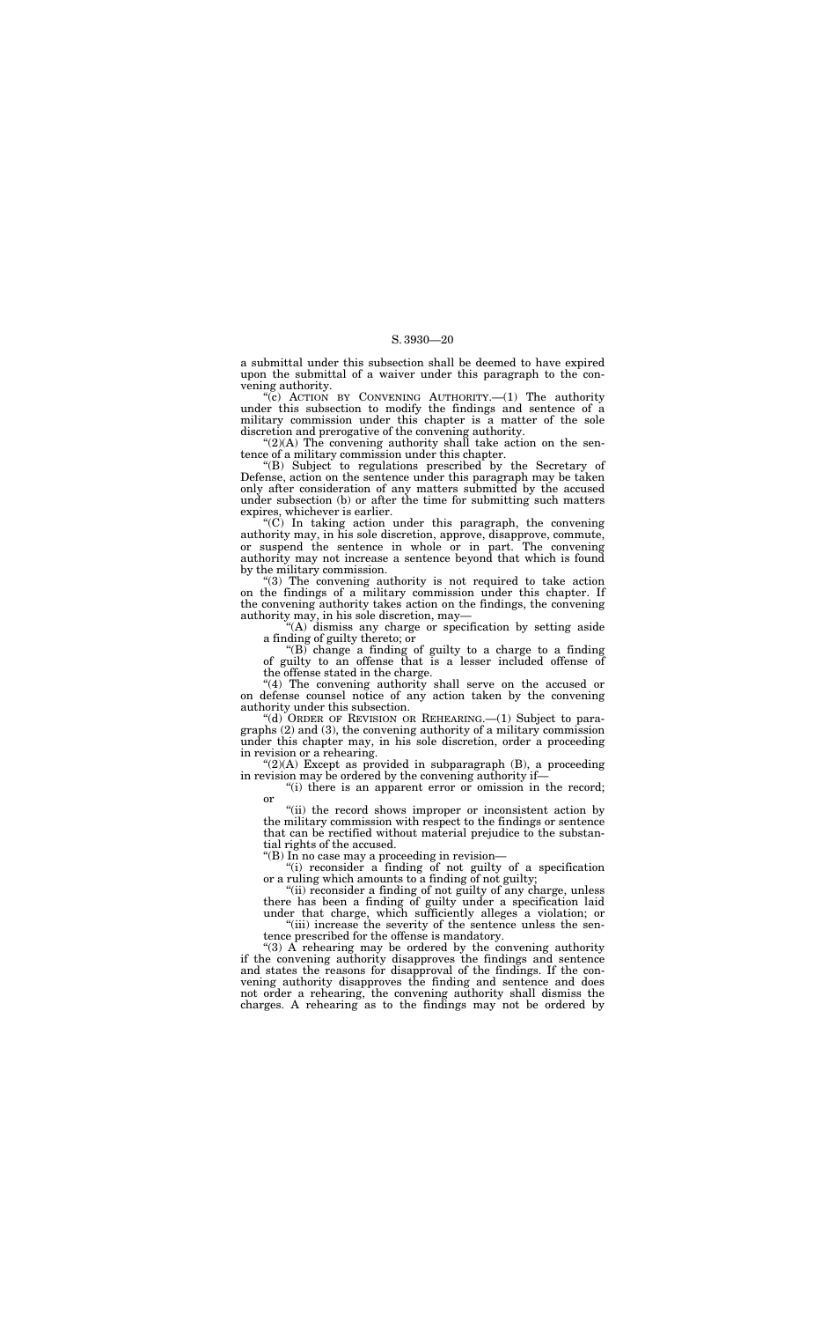a submittal under this subsection shall be deemed to have expired upon the submittal of a waiver under this paragraph to the convening authority.

"(c) ACTION BY CONVENING AUTHORITY.— $(1)$  The authority under this subsection to modify the findings and sentence of a military commission under this chapter is a matter of the sole discretion and prerogative of the convening authority.

" $(2)(A)$  The convening authority shall take action on the sentence of a military commission under this chapter.

''(3) The convening authority is not required to take action on the findings of a military commission under this chapter. If the convening authority takes action on the findings, the convening authority may, in his sole discretion, may—

''(B) Subject to regulations prescribed by the Secretary of Defense, action on the sentence under this paragraph may be taken only after consideration of any matters submitted by the accused under subsection (b) or after the time for submitting such matters expires, whichever is earlier.

'(A) dismiss any charge or specification by setting aside a finding of guilty thereto; or

"(4) The convening authority shall serve on the accused or on defense counsel notice of any action taken by the convening authority under this subsection.

''(C) In taking action under this paragraph, the convening authority may, in his sole discretion, approve, disapprove, commute, or suspend the sentence in whole or in part. The convening authority may not increase a sentence beyond that which is found by the military commission.

" $(2)(A)$  Except as provided in subparagraph  $(B)$ , a proceeding in revision may be ordered by the convening authority if—

"(i) there is an apparent error or omission in the record; or

"(ii) the record shows improper or inconsistent action by the military commission with respect to the findings or sentence that can be rectified without material prejudice to the substantial rights of the accused.

"(ii) reconsider a finding of not guilty of any charge, unless there has been a finding of guilty under a specification laid under that charge, which sufficiently alleges a violation; or

"(iii) increase the severity of the sentence unless the sentence prescribed for the offense is mandatory.

''(3) A rehearing may be ordered by the convening authority if the convening authority disapproves the findings and sentence and states the reasons for disapproval of the findings. If the convening authority disapproves the finding and sentence and does not order a rehearing, the convening authority shall dismiss the charges. A rehearing as to the findings may not be ordered by

''(B) change a finding of guilty to a charge to a finding of guilty to an offense that is a lesser included offense of the offense stated in the charge.

''(d) ORDER OF REVISION OR REHEARING.—(1) Subject to paragraphs (2) and (3), the convening authority of a military commission under this chapter may, in his sole discretion, order a proceeding in revision or a rehearing.

''(B) In no case may a proceeding in revision—

''(i) reconsider a finding of not guilty of a specification or a ruling which amounts to a finding of not guilty;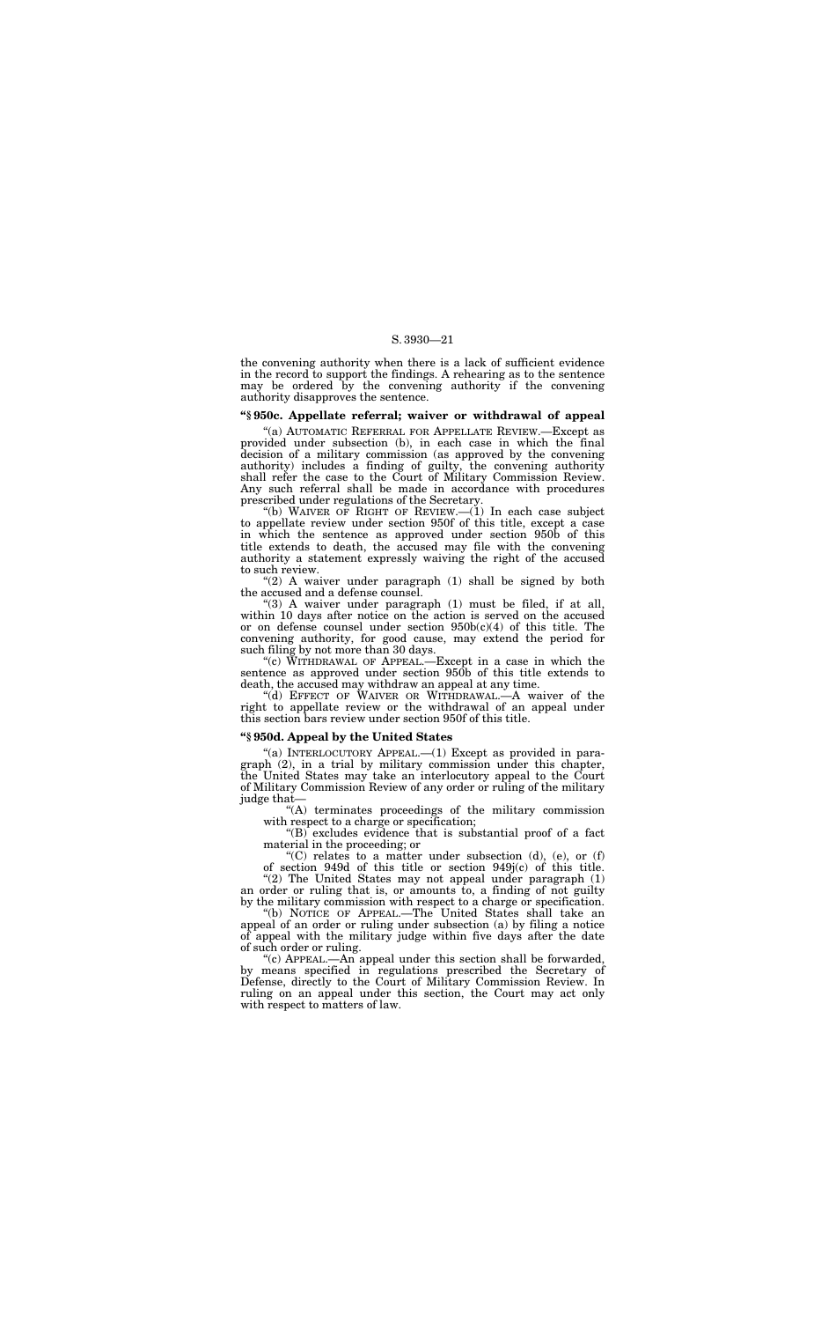the convening authority when there is a lack of sufficient evidence in the record to support the findings. A rehearing as to the sentence may be ordered by the convening authority if the convening authority disapproves the sentence.

#### **''§ 950c. Appellate referral; waiver or withdrawal of appeal**

''(a) AUTOMATIC REFERRAL FOR APPELLATE REVIEW.—Except as provided under subsection (b), in each case in which the final decision of a military commission (as approved by the convening authority) includes a finding of guilty, the convening authority shall refer the case to the Court of Military Commission Review. Any such referral shall be made in accordance with procedures prescribed under regulations of the Secretary.

"(b) WAIVER OF RIGHT OF REVIEW.— $(i)$  In each case subject to appellate review under section 950f of this title, except a case in which the sentence as approved under section 950b of this title extends to death, the accused may file with the convening authority a statement expressly waiving the right of the accused to such review.

" $(2)$  A waiver under paragraph  $(1)$  shall be signed by both the accused and a defense counsel.

"(3) A waiver under paragraph (1) must be filed, if at all, within 10 days after notice on the action is served on the accused or on defense counsel under section 950b(c)(4) of this title. The convening authority, for good cause, may extend the period for such filing by not more than 30 days.

"(c) WITHDRAWAL OF APPEAL.—Except in a case in which the sentence as approved under section 950b of this title extends to death, the accused may withdraw an appeal at any time.

"(d) EFFECT OF WAIVER OR WITHDRAWAL.—A waiver of the right to appellate review or the withdrawal of an appeal under this section bars review under section 950f of this title.

"(a) INTERLOCUTORY APPEAL.—(1) Except as provided in paragraph (2), in a trial by military commission under this chapter, the United States may take an interlocutory appeal to the Court of Military Commission Review of any order or ruling of the military judge that—

"(C) relates to a matter under subsection  $(d)$ ,  $(e)$ , or  $(f)$ of section 949d of this title or section 949j(c) of this title. ''(2) The United States may not appeal under paragraph (1)

"(c) APPEAL.—An appeal under this section shall be forwarded, by means specified in regulations prescribed the Secretary of Defense, directly to the Court of Military Commission Review. In ruling on an appeal under this section, the Court may act only with respect to matters of law.

#### **''§ 950d. Appeal by the United States**

''(A) terminates proceedings of the military commission with respect to a charge or specification;

''(B) excludes evidence that is substantial proof of a fact material in the proceeding; or

an order or ruling that is, or amounts to, a finding of not guilty by the military commission with respect to a charge or specification.

''(b) NOTICE OF APPEAL.—The United States shall take an appeal of an order or ruling under subsection (a) by filing a notice of appeal with the military judge within five days after the date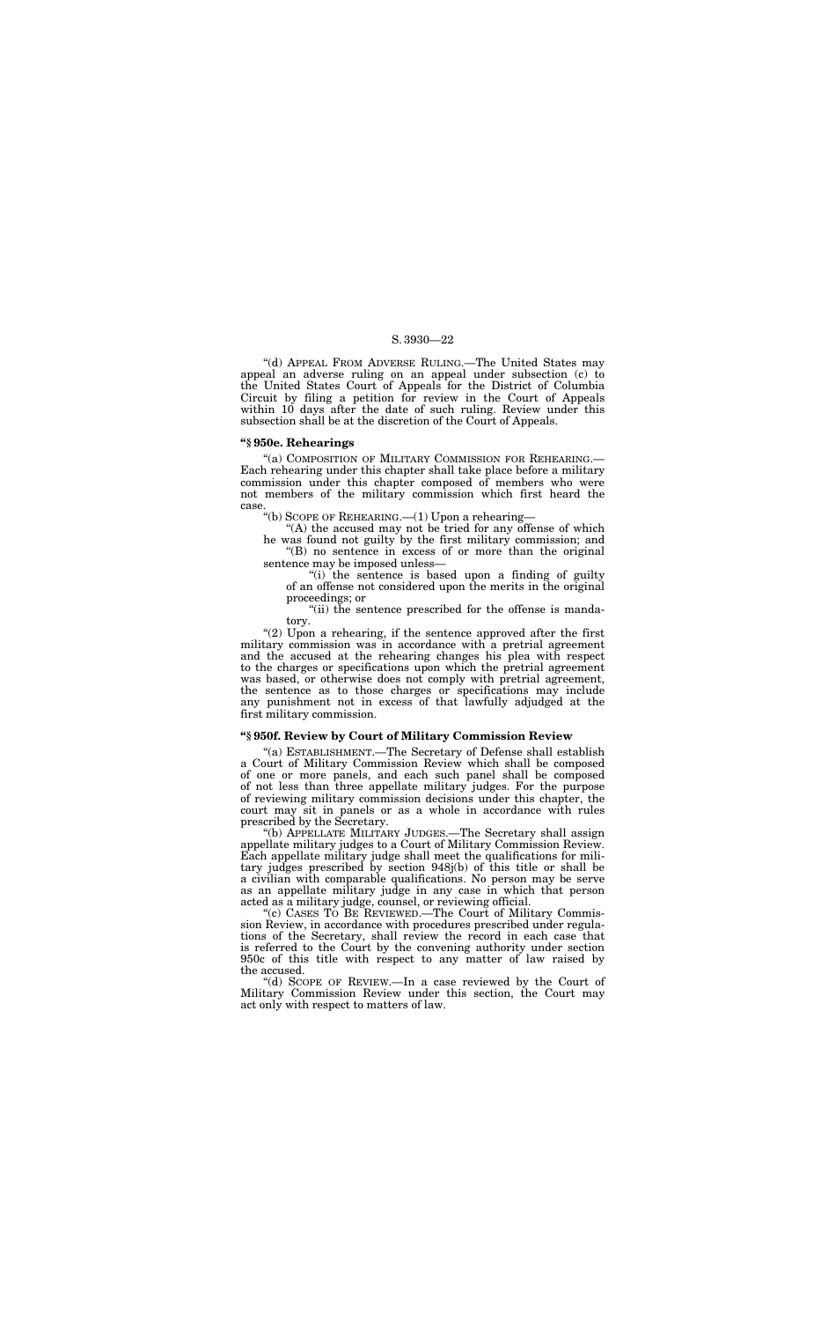''(d) APPEAL FROM ADVERSE RULING.—The United States may appeal an adverse ruling on an appeal under subsection (c) to the United States Court of Appeals for the District of Columbia Circuit by filing a petition for review in the Court of Appeals within 10 days after the date of such ruling. Review under this subsection shall be at the discretion of the Court of Appeals.

#### **''§ 950e. Rehearings**

"(i) the sentence is based upon a finding of guilty of an offense not considered upon the merits in the original proceedings; or

''(a) COMPOSITION OF MILITARY COMMISSION FOR REHEARING.— Each rehearing under this chapter shall take place before a military commission under this chapter composed of members who were not members of the military commission which first heard the case.

''(b) SCOPE OF REHEARING.—(1) Upon a rehearing—

''(A) the accused may not be tried for any offense of which he was found not guilty by the first military commission; and

"(2) Upon a rehearing, if the sentence approved after the first military commission was in accordance with a pretrial agreement and the accused at the rehearing changes his plea with respect to the charges or specifications upon which the pretrial agreement was based, or otherwise does not comply with pretrial agreement, the sentence as to those charges or specifications may include any punishment not in excess of that lawfully adjudged at the first military commission.

''(B) no sentence in excess of or more than the original sentence may be imposed unless—

''(b) APPELLATE MILITARY JUDGES.—The Secretary shall assign appellate military judges to a Court of Military Commission Review. Each appellate military judge shall meet the qualifications for military judges prescribed by section 948j(b) of this title or shall be a civilian with comparable qualifications. No person may be serve as an appellate military judge in any case in which that person acted as a military judge, counsel, or reviewing official.<br>
"(c) CASES TO BE REVIEWED.—The Court of Military Commis-

''(ii) the sentence prescribed for the offense is mandatory.

#### **''§ 950f. Review by Court of Military Commission Review**

''(a) ESTABLISHMENT.—The Secretary of Defense shall establish a Court of Military Commission Review which shall be composed of one or more panels, and each such panel shall be composed of not less than three appellate military judges. For the purpose of reviewing military commission decisions under this chapter, the court may sit in panels or as a whole in accordance with rules prescribed by the Secretary.

sion Review, in accordance with procedures prescribed under regulations of the Secretary, shall review the record in each case that is referred to the Court by the convening authority under section 950c of this title with respect to any matter of law raised by the accused.

''(d) SCOPE OF REVIEW.—In a case reviewed by the Court of Military Commission Review under this section, the Court may act only with respect to matters of law.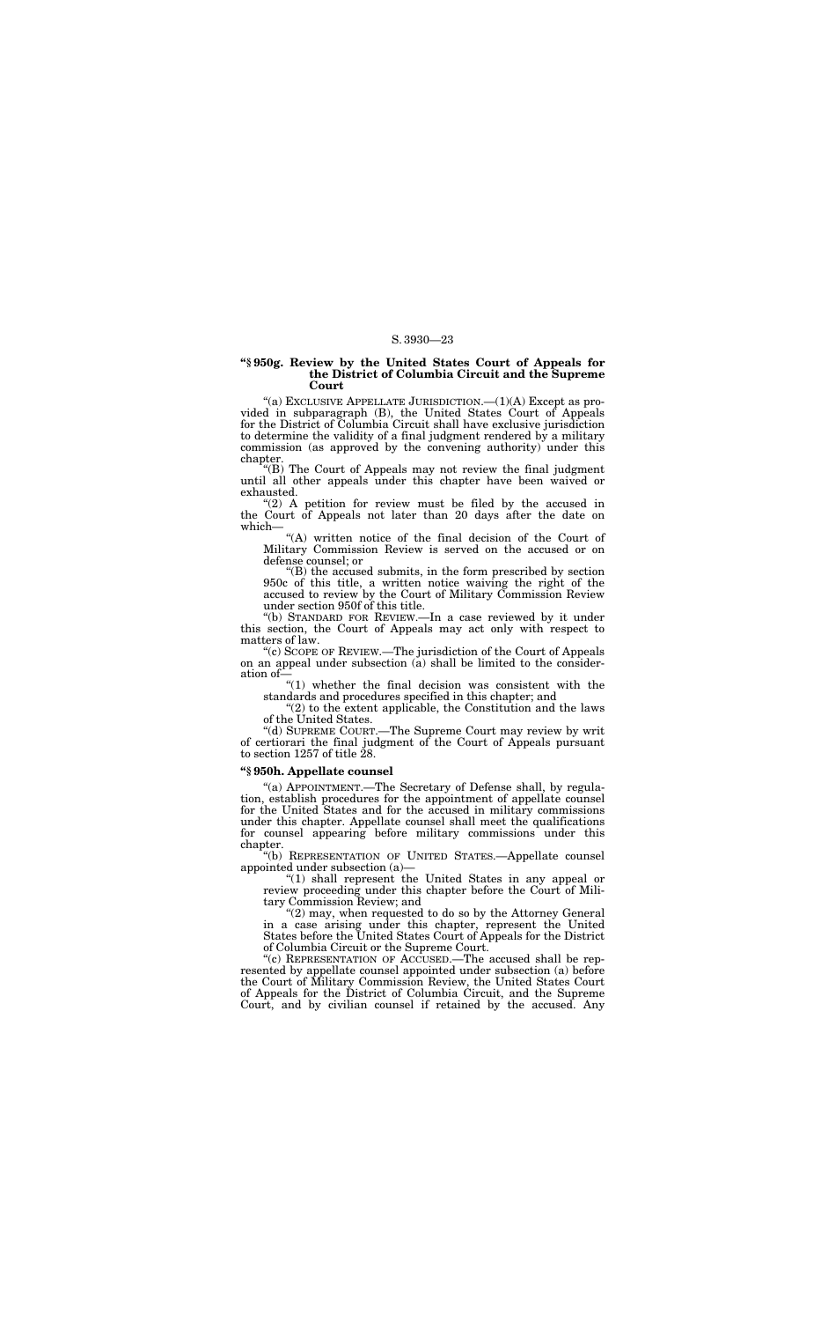#### **''§ 950g. Review by the United States Court of Appeals for the District of Columbia Circuit and the Supreme Court**

"(a) Exclusive Appellate Jurisdiction.— $(1)$ (A) Except as provided in subparagraph (B), the United States Court of Appeals for the District of Columbia Circuit shall have exclusive jurisdiction to determine the validity of a final judgment rendered by a military commission (as approved by the convening authority) under this

chapter.<br>"(B) The Court of Appeals may not review the final judgment until all other appeals under this chapter have been waived or exhausted.

" $(2)$  A petition for review must be filed by the accused in the Court of Appeals not later than 20 days after the date on which— $''(A)$  written notice of the final decision of the Court of

defense counsel; or  $\degree$ (B) the accused submits, in the form prescribed by section 950c of this title, a written notice waiving the right of the accused to review by the Court of Military Commission Review under section 950f of this title.

"(c) SCOPE OF REVIEW.—The jurisdiction of the Court of Appeals on an appeal under subsection (a) shall be limited to the consideration of—

"(1) whether the final decision was consistent with the

standards and procedures specified in this chapter; and "(2) to the extent applicable, the Constitution and the laws of the United States.

''(d) SUPREME COURT.—The Supreme Court may review by writ of certiorari the final judgment of the Court of Appeals pursuant to section 1257 of title  $28$ .

Military Commission Review is served on the accused or on

"(a) APPOINTMENT.—The Secretary of Defense shall, by regulation, establish procedures for the appointment of appellate counsel for the United States and for the accused in military commissions under this chapter. Appellate counsel shall meet the qualifications for counsel appearing before military commissions under this chapter.

''(b) STANDARD FOR REVIEW.—In a case reviewed by it under this section, the Court of Appeals may act only with respect to

"(2) may, when requested to do so by the Attorney General in a case arising under this chapter, represent the United States before the United States Court of Appeals for the District of Columbia Circuit or the Supreme Court.

## **''§ 950h. Appellate counsel**

''(b) REPRESENTATION OF UNITED STATES.—Appellate counsel appointed under subsection (a)—

''(1) shall represent the United States in any appeal or review proceeding under this chapter before the Court of Military Commission Review; and

''(c) REPRESENTATION OF ACCUSED.—The accused shall be represented by appellate counsel appointed under subsection (a) before the Court of Military Commission Review, the United States Court of Appeals for the District of Columbia Circuit, and the Supreme Court, and by civilian counsel if retained by the accused. Any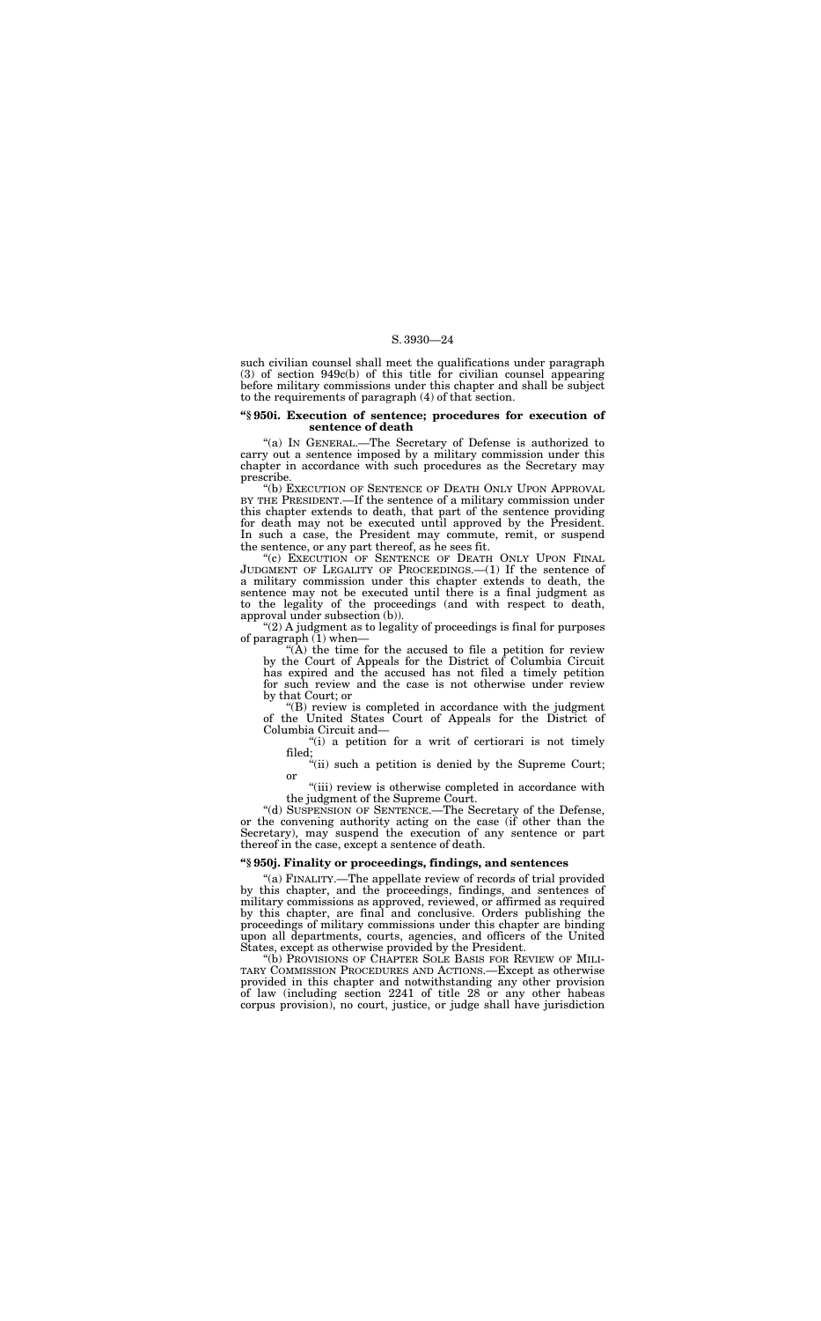such civilian counsel shall meet the qualifications under paragraph (3) of section 949c(b) of this title for civilian counsel appearing before military commissions under this chapter and shall be subject to the requirements of paragraph (4) of that section.

#### **''§ 950i. Execution of sentence; procedures for execution of sentence of death**

''(a) IN GENERAL.—The Secretary of Defense is authorized to carry out a sentence imposed by a military commission under this chapter in accordance with such procedures as the Secretary may prescribe.

''(b) EXECUTION OF SENTENCE OF DEATH ONLY UPON APPROVAL BY THE PRESIDENT.—If the sentence of a military commission under this chapter extends to death, that part of the sentence providing for death may not be executed until approved by the President. In such a case, the President may commute, remit, or suspend the sentence, or any part thereof, as he sees fit.

 $f(B)$  review is completed in accordance with the judgment of the United States Court of Appeals for the District of Columbia Circuit and—

 $\cdot$ <sup>"(ii)</sup> such a petition is denied by the Supreme Court; or

"(iii) review is otherwise completed in accordance with the judgment of the Supreme Court.

''(c) EXECUTION OF SENTENCE OF DEATH ONLY UPON FINAL JUDGMENT OF LEGALITY OF PROCEEDINGS.—(1) If the sentence of a military commission under this chapter extends to death, the sentence may not be executed until there is a final judgment as to the legality of the proceedings (and with respect to death, approval under subsection (b)).

 $(2)$  A judgment as to legality of proceedings is final for purposes of paragraph  $(1)$  when-

''(a) FINALITY.—The appellate review of records of trial provided by this chapter, and the proceedings, findings, and sentences of military commissions as approved, reviewed, or affirmed as required by this chapter, are final and conclusive. Orders publishing the proceedings of military commissions under this chapter are binding upon all departments, courts, agencies, and officers of the United States, except as otherwise provided by the President.

''(A) the time for the accused to file a petition for review by the Court of Appeals for the District of Columbia Circuit has expired and the accused has not filed a timely petition for such review and the case is not otherwise under review by that Court; or

"(b) PROVISIONS OF CHAPTER SOLE BASIS FOR REVIEW OF MILI-TARY COMMISSION PROCEDURES AND ACTIONS.—Except as otherwise provided in this chapter and notwithstanding any other provision of law (including section 2241 of title 28 or any other habeas corpus provision), no court, justice, or judge shall have jurisdiction

''(i) a petition for a writ of certiorari is not timely filed;

''(d) SUSPENSION OF SENTENCE.—The Secretary of the Defense, or the convening authority acting on the case (if other than the Secretary), may suspend the execution of any sentence or part thereof in the case, except a sentence of death.

### **''§ 950j. Finality or proceedings, findings, and sentences**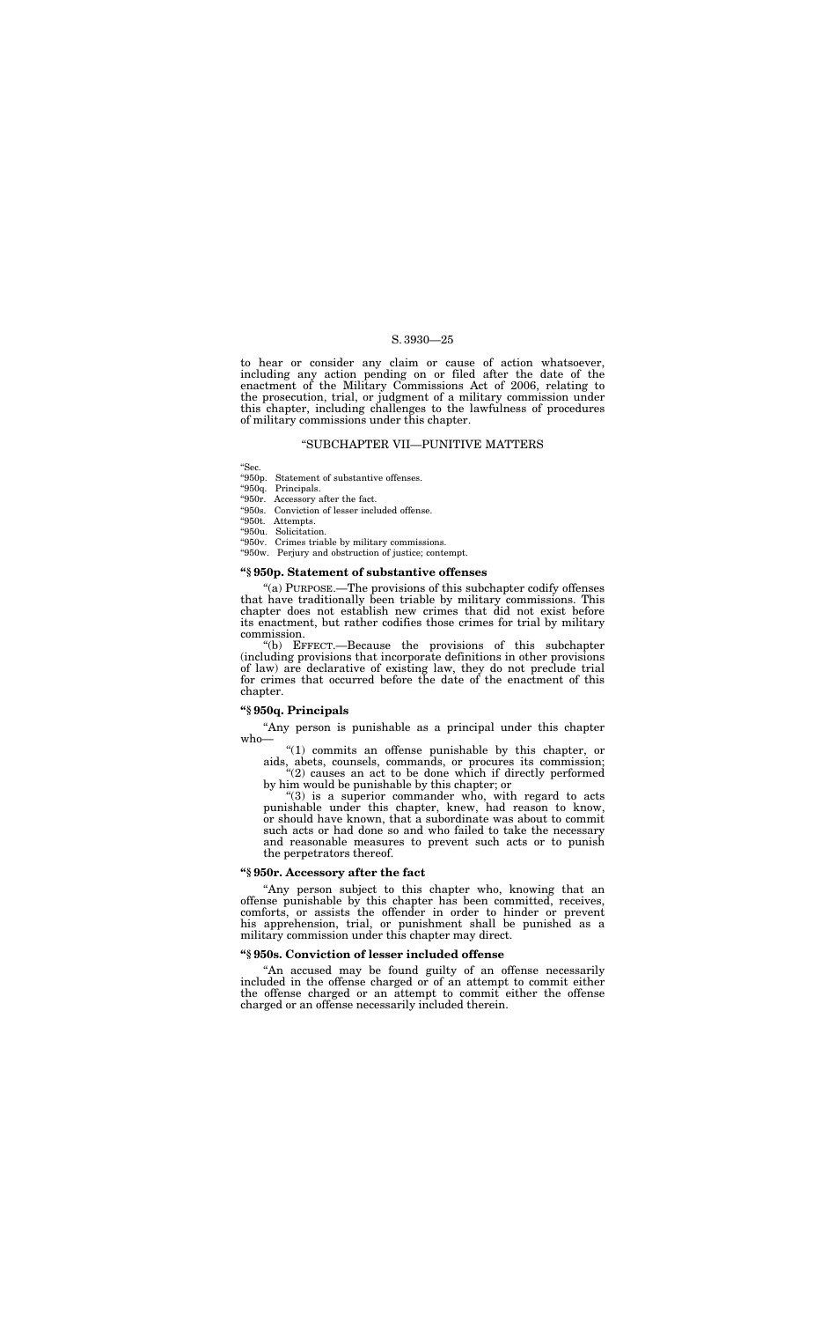to hear or consider any claim or cause of action whatsoever, including any action pending on or filed after the date of the enactment of the Military Commissions Act of 2006, relating to the prosecution, trial, or judgment of a military commission under this chapter, including challenges to the lawfulness of procedures of military commissions under this chapter.

#### ''SUBCHAPTER VII—PUNITIVE MATTERS

''Sec.

''950p. Statement of substantive offenses.

''950q. Principals.

''950r. Accessory after the fact.

''950s. Conviction of lesser included offense.

''950t. Attempts.

''950u. Solicitation.

''950v. Crimes triable by military commissions.

''950w. Perjury and obstruction of justice; contempt.

"Any person is punishable as a principal under this chapter who—

## **''§ 950p. Statement of substantive offenses**

"(2) causes an act to be done which if directly performed by him would be punishable by this chapter; or

''(a) PURPOSE.—The provisions of this subchapter codify offenses that have traditionally been triable by military commissions. This chapter does not establish new crimes that did not exist before its enactment, but rather codifies those crimes for trial by military commission.

"Any person subject to this chapter who, knowing that an offense punishable by this chapter has been committed, receives, comforts, or assists the offender in order to hinder or prevent his apprehension, trial, or punishment shall be punished as a military commission under this chapter may direct.

''(b) EFFECT.—Because the provisions of this subchapter (including provisions that incorporate definitions in other provisions of law) are declarative of existing law, they do not preclude trial for crimes that occurred before the date of the enactment of this chapter.

## **''§ 950q. Principals**

''(1) commits an offense punishable by this chapter, or aids, abets, counsels, commands, or procures its commission;

''(3) is a superior commander who, with regard to acts punishable under this chapter, knew, had reason to know, or should have known, that a subordinate was about to commit such acts or had done so and who failed to take the necessary and reasonable measures to prevent such acts or to punish the perpetrators thereof.

#### **''§ 950r. Accessory after the fact**

## **''§ 950s. Conviction of lesser included offense**

''An accused may be found guilty of an offense necessarily included in the offense charged or of an attempt to commit either the offense charged or an attempt to commit either the offense charged or an offense necessarily included therein.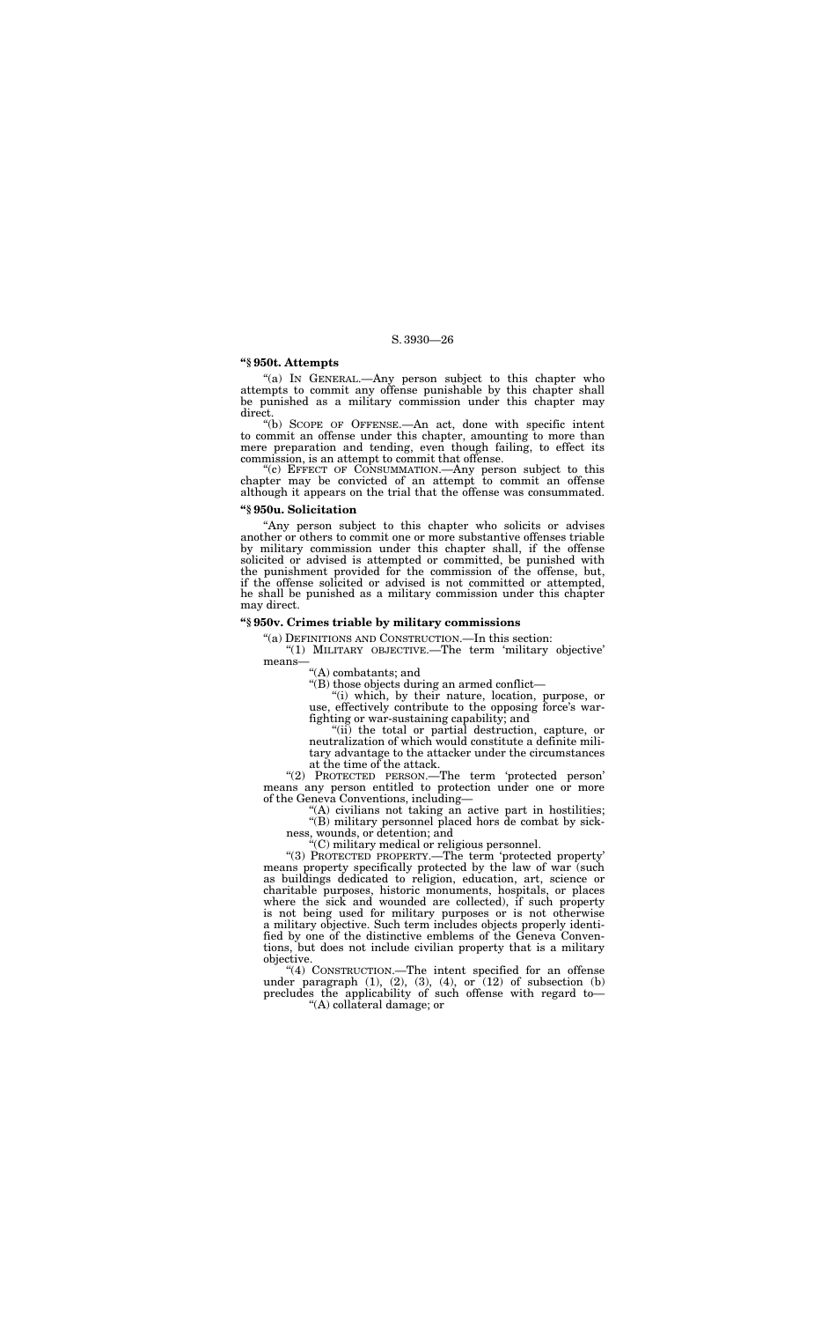## **''§ 950t. Attempts**

"(a) IN GENERAL.—Any person subject to this chapter who attempts to commit any offense punishable by this chapter shall be punished as a military commission under this chapter may

direct.<br>
"(b) SCOPE OF OFFENSE.—An act, done with specific intent to commit an offense under this chapter, amounting to more than mere preparation and tending, even though failing, to effect its commission, is an attempt to commit that offense.<br>"(c) EFFECT OF CONSUMMATION.—Any person subject to this

"Any person subject to this chapter who solicits or advises another or others to commit one or more substantive offenses triable by military commission under this chapter shall, if the offense solicited or advised is attempted or committed, be punished with the punishment provided for the commission of the offense, but, if the offense solicited or advised is not committed or attempted, he shall be punished as a military commission under this chapter may direct.

chapter may be convicted of an attempt to commit an offense although it appears on the trial that the offense was consummated.

#### **''§ 950u. Solicitation**

"(ii) the total or partial destruction, capture, or neutralization of which would constitute a definite military advantage to the attacker under the circumstances

"(2) PROTECTED PERSON.—The term 'protected person' means any person entitled to protection under one or more of the Geneva Conventions, including—

## **''§ 950v. Crimes triable by military commissions**

''(a) DEFINITIONS AND CONSTRUCTION.—In this section: ''(1) MILITARY OBJECTIVE.—The term 'military objective' means—

"(A) combatants; and<br>"(B) those objects during an armed conflict—

"(i) which, by their nature, location, purpose, or use, effectively contribute to the opposing force's war-<br>fighting or war-sustaining capability; and

''(A) civilians not taking an active part in hostilities; ''(B) military personnel placed hors de combat by sickness, wounds, or detention; and

''(C) military medical or religious personnel.

''(3) PROTECTED PROPERTY.—The term 'protected property' means property specifically protected by the law of war (such as buildings dedicated to religion, education, art, science or charitable purposes, historic monuments, hospitals, or places where the sick and wounded are collected), if such property is not being used for military purposes or is not otherwise a military objective. Such term includes objects properly identified by one of the distinctive emblems of the Geneva Conventions, but does not include civilian property that is a military objective.

''(4) CONSTRUCTION.—The intent specified for an offense under paragraph  $(1)$ ,  $(2)$ ,  $(3)$ ,  $(4)$ , or  $(12)$  of subsection  $(b)$ precludes the applicability of such offense with regard to— ''(A) collateral damage; or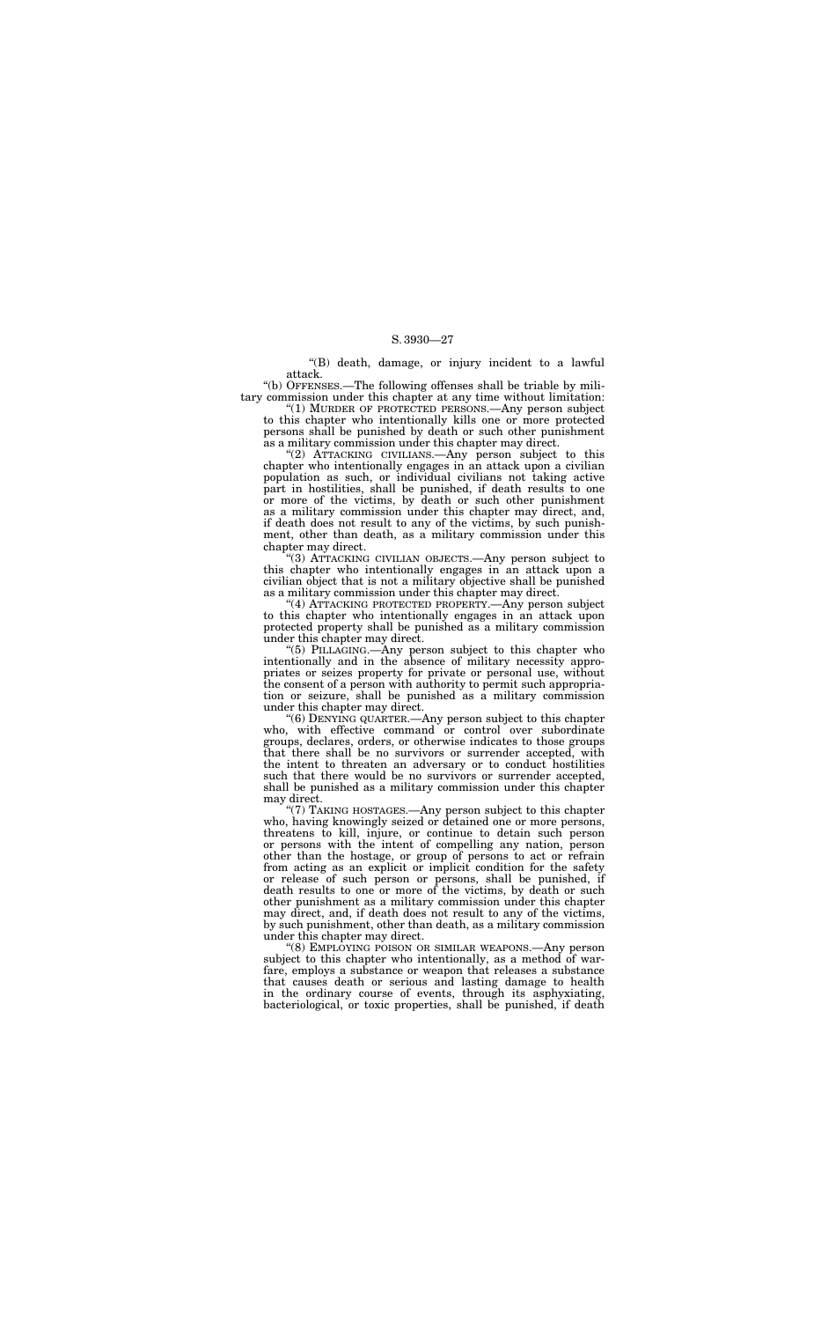''(B) death, damage, or injury incident to a lawful attack.<br>"(b) OFFENSES.—The following offenses shall be triable by mili-

tary commission under this chapter at any time without limitation:

''(1) MURDER OF PROTECTED PERSONS.—Any person subject to this chapter who intentionally kills one or more protected persons shall be punished by death or such other punishment as a military commission under this chapter may direct.

''(2) ATTACKING CIVILIANS.—Any person subject to this chapter who intentionally engages in an attack upon a civilian population as such, or individual civilians not taking active part in hostilities, shall be punished, if death results to one or more of the victims, by death or such other punishment as a military commission under this chapter may direct, and, if death does not result to any of the victims, by such punishment, other than death, as a military commission under this chapter may direct.

"(4) ATTACKING PROTECTED PROPERTY.—Any person subject to this chapter who intentionally engages in an attack upon protected property shall be punished as a military commission under this chapter may direct.

''(3) ATTACKING CIVILIAN OBJECTS.—Any person subject to this chapter who intentionally engages in an attack upon a civilian object that is not a military objective shall be punished as a military commission under this chapter may direct.

"(7) TAKING HOSTAGES.—Any person subject to this chapter who, having knowingly seized or detained one or more persons, threatens to kill, injure, or continue to detain such person or persons with the intent of compelling any nation, person other than the hostage, or group of persons to act or refrain from acting as an explicit or implicit condition for the safety or release of such person or persons, shall be punished, if death results to one or more of the victims, by death or such other punishment as a military commission under this chapter may direct, and, if death does not result to any of the victims, by such punishment, other than death, as a military commission under this chapter may direct.

''(5) PILLAGING.—Any person subject to this chapter who intentionally and in the absence of military necessity appropriates or seizes property for private or personal use, without the consent of a person with authority to permit such appropriation or seizure, shall be punished as a military commission under this chapter may direct.

''(6) DENYING QUARTER.—Any person subject to this chapter who, with effective command or control over subordinate groups, declares, orders, or otherwise indicates to those groups that there shall be no survivors or surrender accepted, with the intent to threaten an adversary or to conduct hostilities such that there would be no survivors or surrender accepted, shall be punished as a military commission under this chapter may direct.

''(8) EMPLOYING POISON OR SIMILAR WEAPONS.—Any person subject to this chapter who intentionally, as a method of warfare, employs a substance or weapon that releases a substance that causes death or serious and lasting damage to health in the ordinary course of events, through its asphyxiating, bacteriological, or toxic properties, shall be punished, if death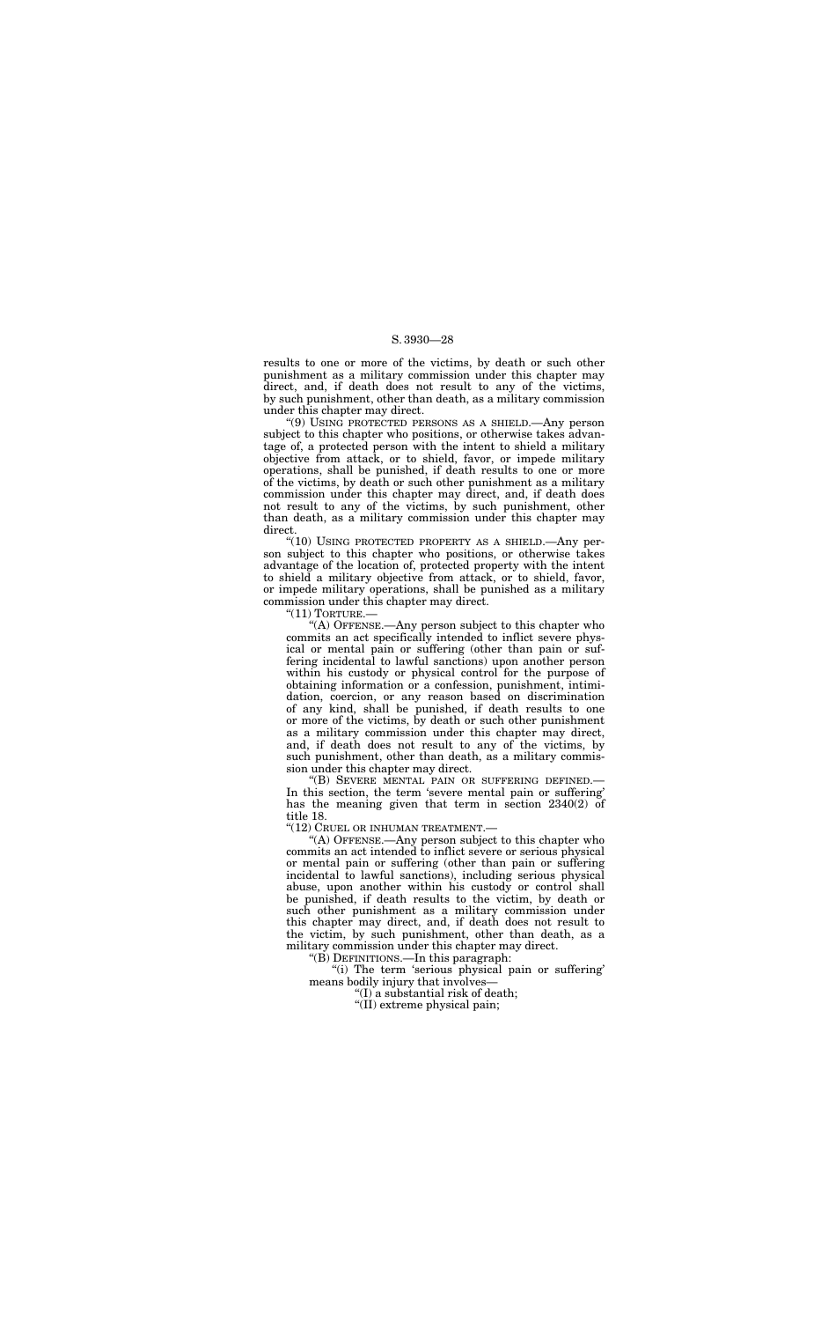results to one or more of the victims, by death or such other punishment as a military commission under this chapter may direct, and, if death does not result to any of the victims, by such punishment, other than death, as a military commission under this chapter may direct.

''(9) USING PROTECTED PERSONS AS A SHIELD.—Any person subject to this chapter who positions, or otherwise takes advantage of, a protected person with the intent to shield a military objective from attack, or to shield, favor, or impede military operations, shall be punished, if death results to one or more of the victims, by death or such other punishment as a military commission under this chapter may direct, and, if death does not result to any of the victims, by such punishment, other than death, as a military commission under this chapter may direct.

(A) OFFENSE.—Any person subject to this chapter who commits an act specifically intended to inflict severe physical or mental pain or suffering (other than pain or suffering incidental to lawful sanctions) upon another person within his custody or physical control for the purpose of obtaining information or a confession, punishment, intimidation, coercion, or any reason based on discrimination of any kind, shall be punished, if death results to one or more of the victims, by death or such other punishment as a military commission under this chapter may direct, and, if death does not result to any of the victims, by such punishment, other than death, as a military commission under this chapter may direct.

''(10) USING PROTECTED PROPERTY AS A SHIELD.—Any person subject to this chapter who positions, or otherwise takes advantage of the location of, protected property with the intent to shield a military objective from attack, or to shield, favor, or impede military operations, shall be punished as a military commission under this chapter may direct.

 $"$ (11) TORTURE.-

"(i) The term 'serious physical pain or suffering' means bodily injury that involves—

''(B) SEVERE MENTAL PAIN OR SUFFERING DEFINED.— In this section, the term 'severe mental pain or suffering' has the meaning given that term in section 2340(2) of title 18.

''(12) CRUEL OR INHUMAN TREATMENT.—

''(A) OFFENSE.—Any person subject to this chapter who commits an act intended to inflict severe or serious physical or mental pain or suffering (other than pain or suffering incidental to lawful sanctions), including serious physical abuse, upon another within his custody or control shall be punished, if death results to the victim, by death or such other punishment as a military commission under this chapter may direct, and, if death does not result to the victim, by such punishment, other than death, as a military commission under this chapter may direct.

''(B) DEFINITIONS.—In this paragraph:

''(I) a substantial risk of death;

''(II) extreme physical pain;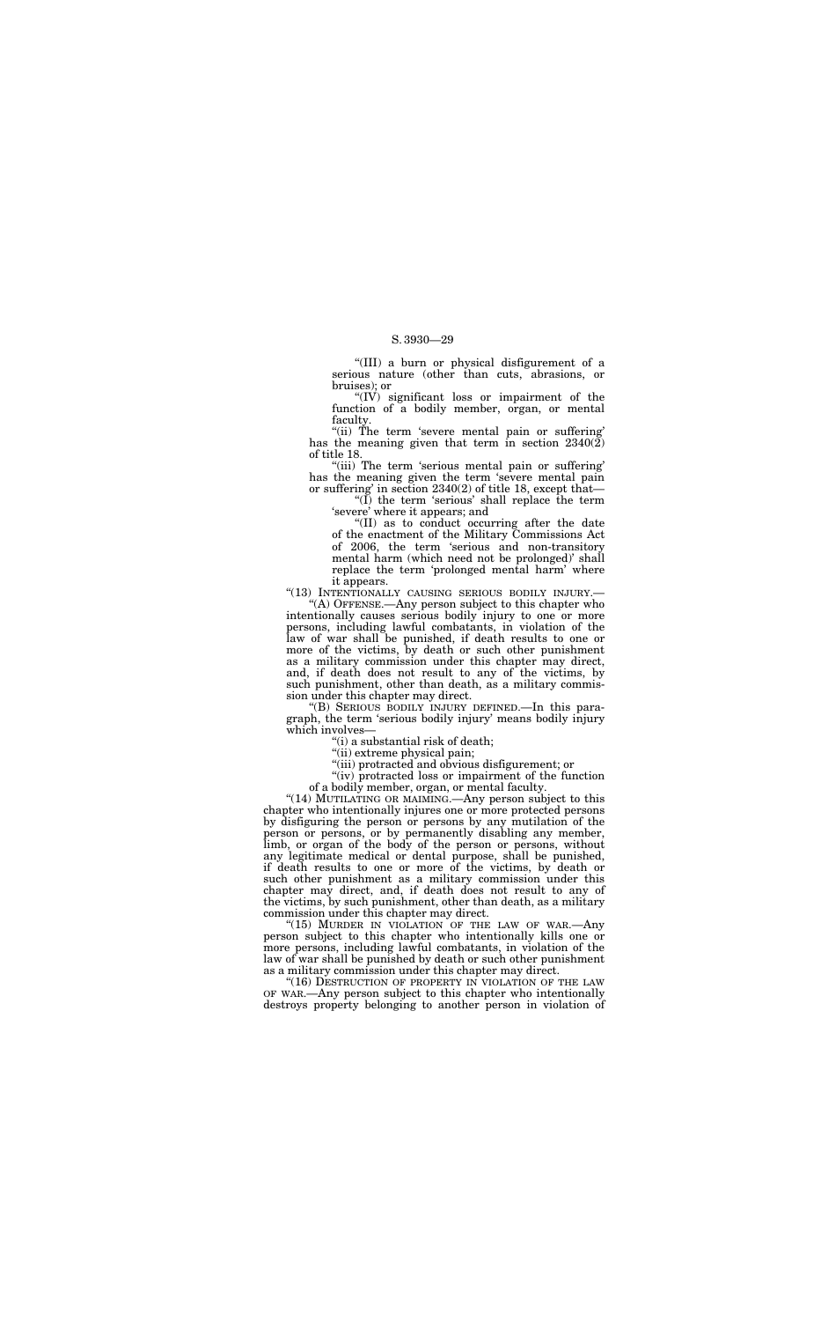''(III) a burn or physical disfigurement of a serious nature (other than cuts, abrasions, or

" $(\mathrm{I}\dot{\mathrm{V}})$  significant loss or impairment of the function of a bodily member, organ, or mental faculty.<br>"(ii) The term 'severe mental pain or suffering'

has the meaning given that term in section  $2340(2)$  of title 18.

"(iii) The term 'serious mental pain or suffering' has the meaning given the term 'severe mental pain

or suffering' in section 2340(2) of title 18, except that—<br>
"(I) the term 'serious' shall replace the term<br>
'severe' where it appears; and<br>
"(II) as to conduct occurring after the date

of the enactment of the Military Commissions Act of 2006, the term 'serious and non-transitory mental harm (which need not be prolonged)' shall replace the term 'prolonged mental harm' where

it appears.<br>"(13) INTENTIONALLY CAUSING SERIOUS BODILY INJURY.—

''(A) OFFENSE.—Any person subject to this chapter who intentionally causes serious bodily injury to one or more persons, including lawful combatants, in violation of the law of war shall be punished, if death results to one or more of the victims, by death or such other punishment as a military commission under this chapter may direct, and, if death does not result to any of the victims, by such punishment, other than death, as a military commission under this chapter may direct.

"(14) MUTILATING OR MAIMING.—Any person subject to this chapter who intentionally injures one or more protected persons by disfiguring the person or persons by any mutilation of the person or persons, or by permanently disabling any member, limb, or organ of the body of the person or persons, without any legitimate medical or dental purpose, shall be punished, if death results to one or more of the victims, by death or such other punishment as a military commission under this chapter may direct, and, if death does not result to any of the victims, by such punishment, other than death, as a military commission under this chapter may direct.

"(15) MURDER IN VIOLATION OF THE LAW OF WAR. - Any person subject to this chapter who intentionally kills one or more persons, including lawful combatants, in violation of the law of war shall be punished by death or such other punishment as a military commission under this chapter may direct.

"(16) DESTRUCTION OF PROPERTY IN VIOLATION OF THE LAW OF WAR.—Any person subject to this chapter who intentionally destroys property belonging to another person in violation of

''(B) SERIOUS BODILY INJURY DEFINED.—In this paragraph, the term 'serious bodily injury' means bodily injury which involves—

''(i) a substantial risk of death;

"(ii) extreme physical pain;

''(iii) protracted and obvious disfigurement; or

''(iv) protracted loss or impairment of the function of a bodily member, organ, or mental faculty.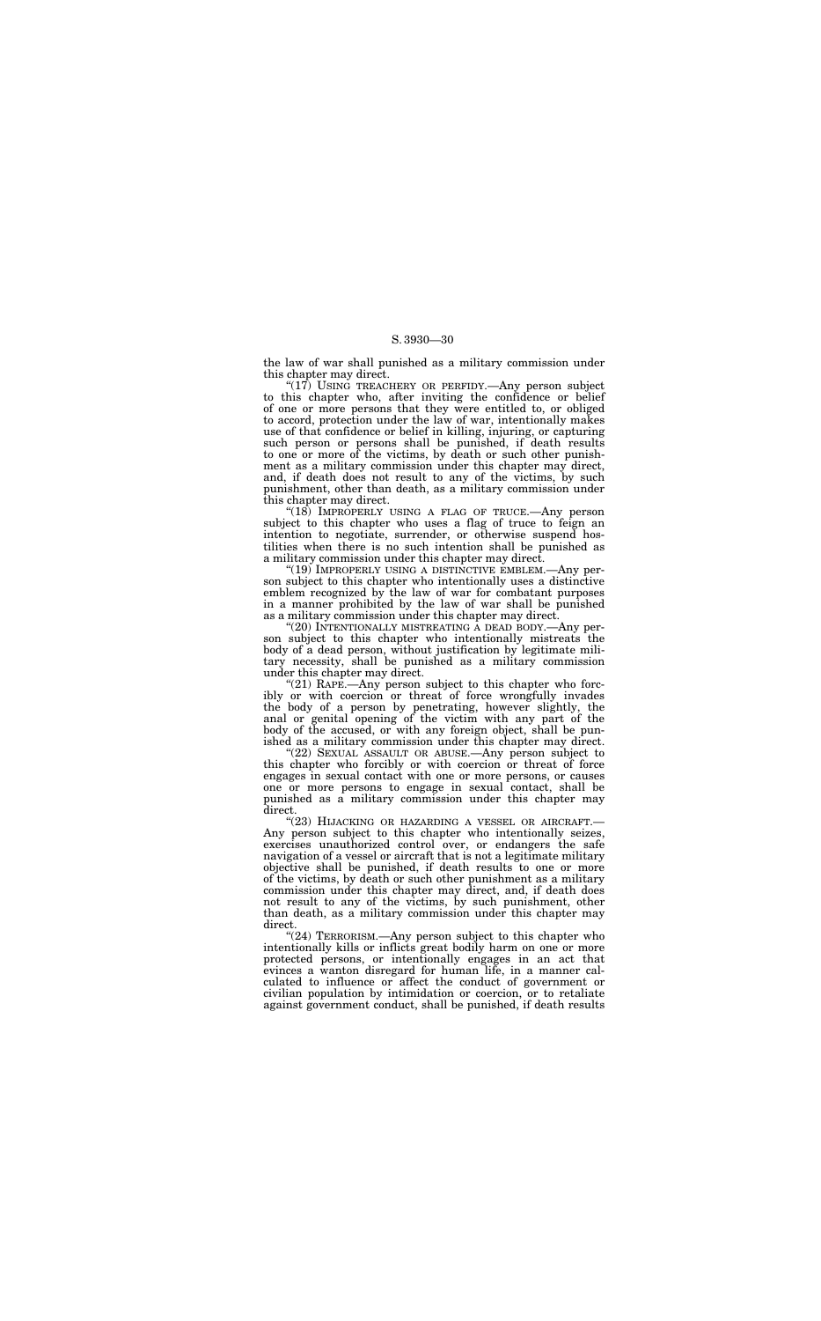the law of war shall punished as a military commission under this chapter may direct.<br>
"(17) USING TREACHERY OR PERFIDY.—Any person subject

to this chapter who, after inviting the confidence or belief of one or more persons that they were entitled to, or obliged to accord, protection under the law of war, intentionally makes use of that confidence or belief in killing, injuring, or capturing such person or persons shall be punished, if death results to one or more of the victims, by death or such other punishment as a military commission under this chapter may direct, and, if death does not result to any of the victims, by such punishment, other than death, as a military commission under this chapter may direct.

"(18) IMPROPERLY USING A FLAG OF TRUCE.—Any person subject to this chapter who uses a flag of truce to feign an intention to negotiate, surrender, or otherwise suspend hostilities when there is no such intention shall be punished as a military commission under this chapter may direct.

"(20) INTENTIONALLY MISTREATING A DEAD BODY.—Any person subject to this chapter who intentionally mistreats the body of a dead person, without justification by legitimate military necessity, shall be punished as a military commission under this chapter may direct.

"(21) RAPE.—Any person subject to this chapter who forcibly or with coercion or threat of force wrongfully invades the body of a person by penetrating, however slightly, the anal or genital opening of the victim with any part of the body of the accused, or with any foreign object, shall be punished as a military commission under this chapter may direct.

"(22) SEXUAL ASSAULT OR ABUSE.—Any person subject to this chapter who forcibly or with coercion or threat of force engages in sexual contact with one or more persons, or causes one or more persons to engage in sexual contact, shall be punished as a military commission under this chapter may direct.

''(19) IMPROPERLY USING A DISTINCTIVE EMBLEM.—Any person subject to this chapter who intentionally uses a distinctive emblem recognized by the law of war for combatant purposes in a manner prohibited by the law of war shall be punished as a military commission under this chapter may direct.

"(23) HIJACKING OR HAZARDING A VESSEL OR AIRCRAFT.-Any person subject to this chapter who intentionally seizes, exercises unauthorized control over, or endangers the safe navigation of a vessel or aircraft that is not a legitimate military objective shall be punished, if death results to one or more of the victims, by death or such other punishment as a military commission under this chapter may direct, and, if death does not result to any of the victims, by such punishment, other than death, as a military commission under this chapter may direct.

"(24) TERRORISM.—Any person subject to this chapter who intentionally kills or inflicts great bodily harm on one or more protected persons, or intentionally engages in an act that evinces a wanton disregard for human life, in a manner calculated to influence or affect the conduct of government or civilian population by intimidation or coercion, or to retaliate against government conduct, shall be punished, if death results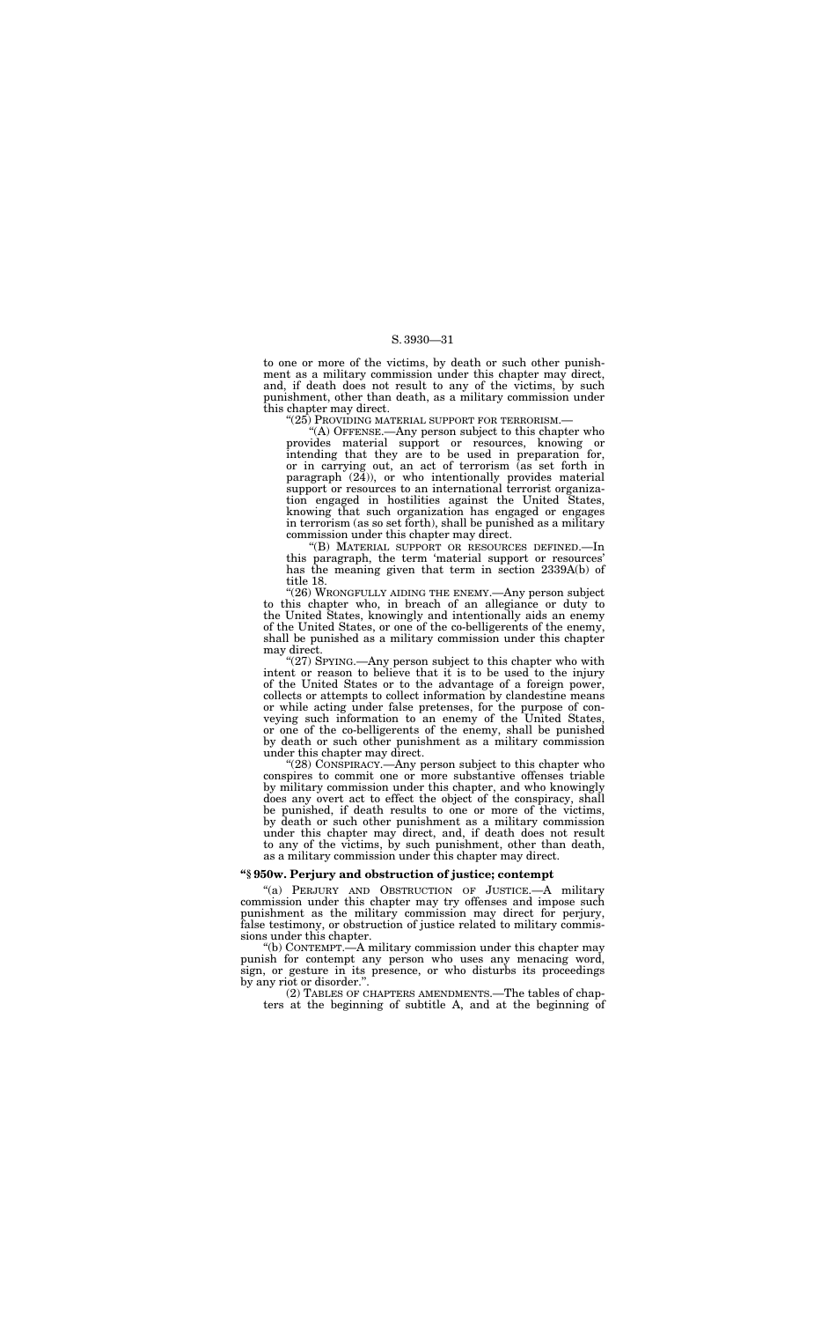to one or more of the victims, by death or such other punishment as a military commission under this chapter may direct, and, if death does not result to any of the victims, by such punishment, other than death, as a military commission under

 $t^*(25)$  Providing material support for terrorism.—

''(A) OFFENSE.—Any person subject to this chapter who provides material support or resources, knowing or intending that they are to be used in preparation for, or in carrying out, an act of terrorism (as set forth in paragraph (24)), or who intentionally provides material support or resources to an international terrorist organization engaged in hostilities against the United States, knowing that such organization has engaged or engages in terrorism (as so set forth), shall be punished as a military commission under this chapter may direct.

"(26) WRONGFULLY AIDING THE ENEMY.—Any person subject to this chapter who, in breach of an allegiance or duty to the United States, knowingly and intentionally aids an enemy of the United States, or one of the co-belligerents of the enemy, shall be punished as a military commission under this chapter may direct.

''(B) MATERIAL SUPPORT OR RESOURCES DEFINED.—In this paragraph, the term 'material support or resources' has the meaning given that term in section 2339A(b) of title 18.

'(28) CONSPIRACY.—Any person subject to this chapter who conspires to commit one or more substantive offenses triable by military commission under this chapter, and who knowingly does any overt act to effect the object of the conspiracy, shall be punished, if death results to one or more of the victims, by death or such other punishment as a military commission under this chapter may direct, and, if death does not result to any of the victims, by such punishment, other than death, as a military commission under this chapter may direct.

''(b) CONTEMPT.—A military commission under this chapter may punish for contempt any person who uses any menacing word, sign, or gesture in its presence, or who disturbs its proceedings by any riot or disorder.".

(2) TABLES OF CHAPTERS AMENDMENTS.—The tables of chapters at the beginning of subtitle A, and at the beginning of

''(27) SPYING.—Any person subject to this chapter who with intent or reason to believe that it is to be used to the injury of the United States or to the advantage of a foreign power, collects or attempts to collect information by clandestine means or while acting under false pretenses, for the purpose of conveying such information to an enemy of the United States, or one of the co-belligerents of the enemy, shall be punished by death or such other punishment as a military commission under this chapter may direct.

### **''§ 950w. Perjury and obstruction of justice; contempt**

''(a) PERJURY AND OBSTRUCTION OF JUSTICE.—A military commission under this chapter may try offenses and impose such punishment as the military commission may direct for perjury, false testimony, or obstruction of justice related to military commissions under this chapter.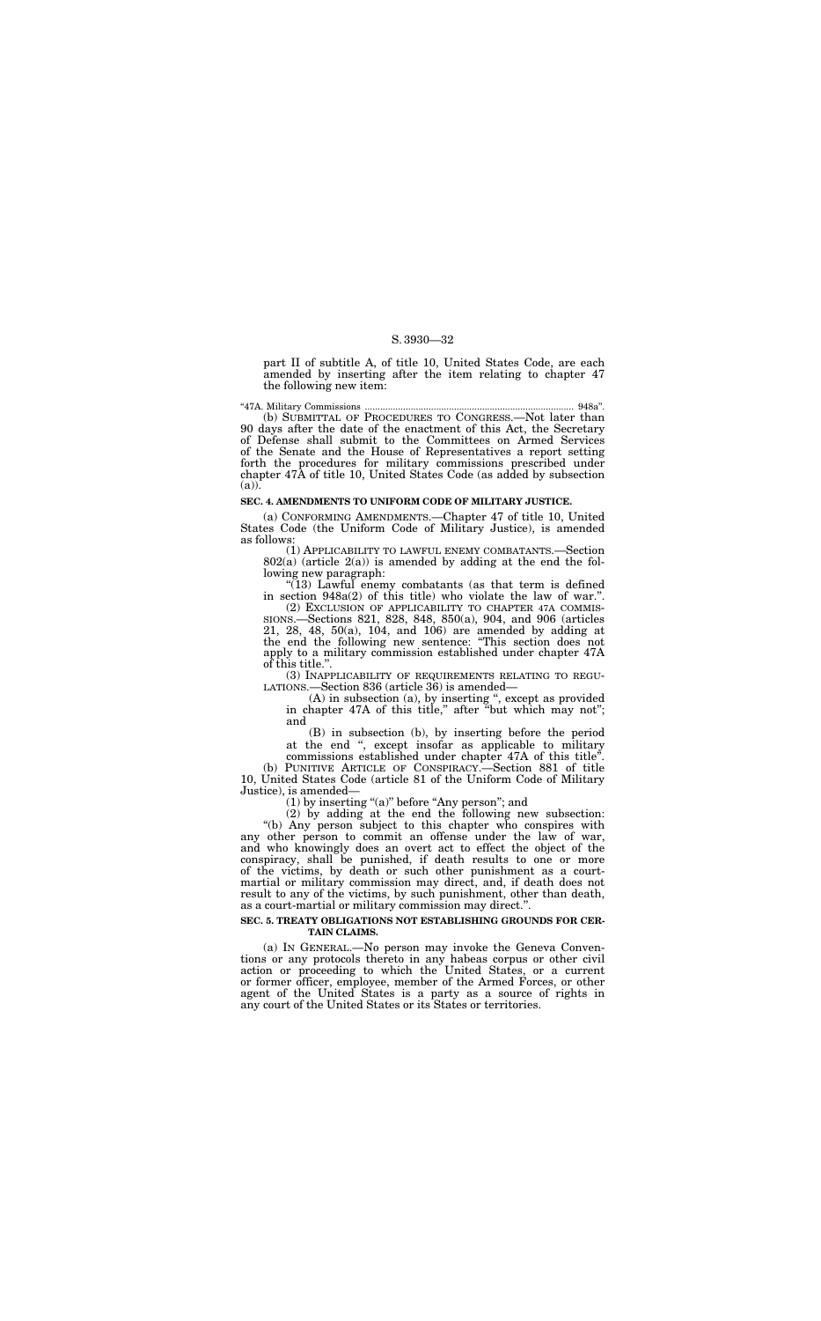part II of subtitle A, of title 10, United States Code, are each amended by inserting after the item relating to chapter 47 the following new item:

''47A. Military Commissions .................................................................................. 948a''. (b) SUBMITTAL OF PROCEDURES TO CONGRESS.—Not later than 90 days after the date of the enactment of this Act, the Secretary of Defense shall submit to the Committees on Armed Services of the Senate and the House of Representatives a report setting forth the procedures for military commissions prescribed under chapter 47A of title 10, United States Code (as added by subsection (a)).

(1) APPLICABILITY TO LAWFUL ENEMY COMBATANTS.—Section  $802(a)$  (article  $2(a)$ ) is amended by adding at the end the fol-<br>lowing new paragraph:

" $(13)$  Lawful enemy combatants (as that term is defined

#### **SEC. 4. AMENDMENTS TO UNIFORM CODE OF MILITARY JUSTICE.**

in section 948a(2) of this title) who violate the law of war.".<br>(2) EXCLUSION OF APPLICABILITY TO CHAPTER 47A COMMIS-<br>SIONS.—Sections 821, 828, 848, 850(a), 904, and 906 (articles 21, 28, 48, 50(a), 104, and 106) are amended by adding at the end the following new sentence: "This section does not apply to a military commission established under chapter 47A of this title.''.

(3) INAPPLICABILITY OF REQUIREMENTS RELATING TO REGULATIONS.—Section 836 (article 36) is amended—

(a) CONFORMING AMENDMENTS.—Chapter 47 of title 10, United States Code (the Uniform Code of Military Justice), is amended as follows:

LATIONS.—Section 836 (article 36) is amended— (A) in subsection (a), by inserting '', except as provided in chapter 47A of this title," after "but which may not"; and

(B) in subsection (b), by inserting before the period at the end '', except insofar as applicable to military

commissions established under chapter 47A of this title''. (b) PUNITIVE ARTICLE OF CONSPIRACY.—Section 881 of title 10, United States Code (article 81 of the Uniform Code of Military Justice), is amended—

(1) by inserting "(a)" before "Any person"; and

(2) by adding at the end the following new subsection: ''(b) Any person subject to this chapter who conspires with any other person to commit an offense under the law of war, and who knowingly does an overt act to effect the object of the conspiracy, shall be punished, if death results to one or more of the victims, by death or such other punishment as a courtmartial or military commission may direct, and, if death does not result to any of the victims, by such punishment, other than death, as a court-martial or military commission may direct.''.

#### **SEC. 5. TREATY OBLIGATIONS NOT ESTABLISHING GROUNDS FOR CER-TAIN CLAIMS.**

(a) IN GENERAL.—No person may invoke the Geneva Conventions or any protocols thereto in any habeas corpus or other civil action or proceeding to which the United States, or a current or former officer, employee, member of the Armed Forces, or other agent of the United States is a party as a source of rights in any court of the United States or its States or territories.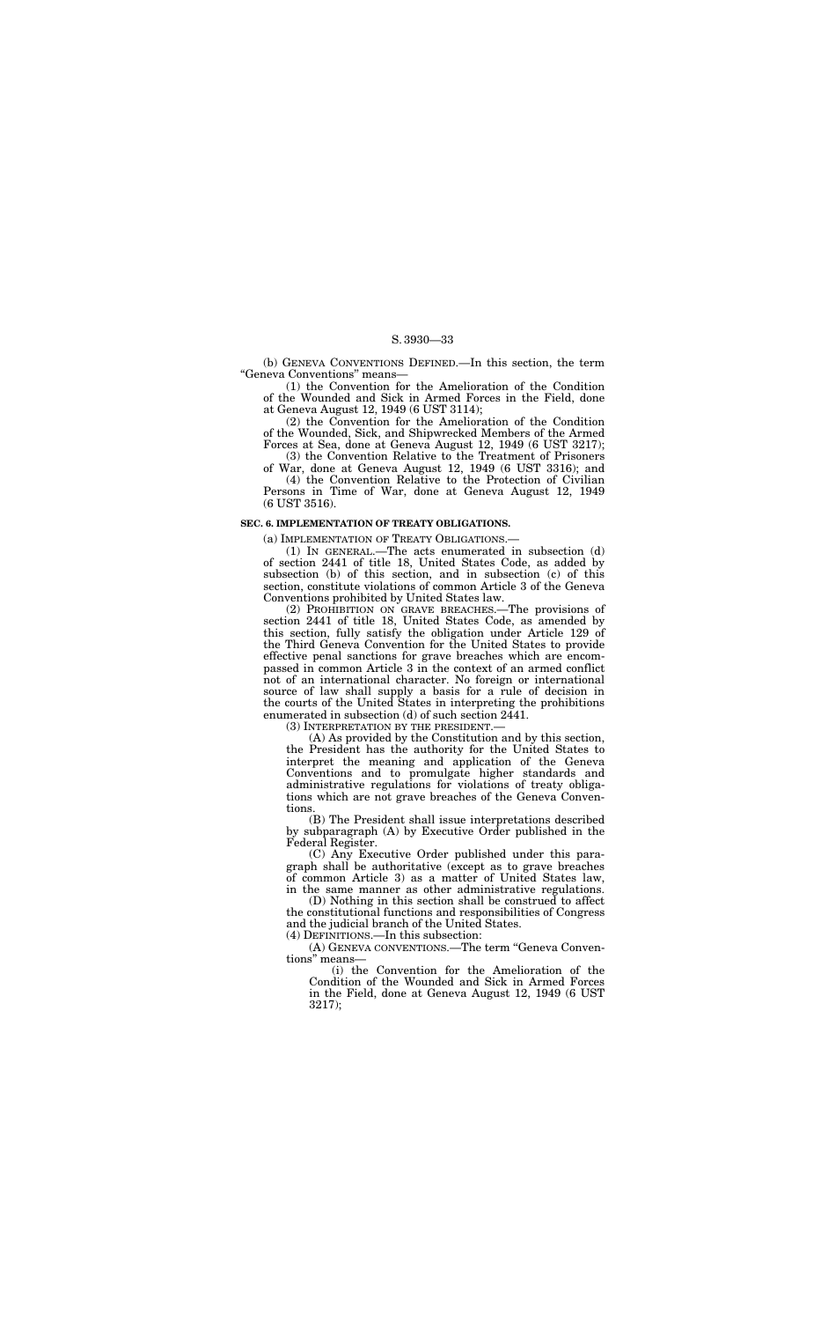(b) GENEVA CONVENTIONS DEFINED.—In this section, the term ''Geneva Conventions'' means—

(1) the Convention for the Amelioration of the Condition of the Wounded and Sick in Armed Forces in the Field, done at Geneva August 12, 1949 (6 UST 3114);

(2) the Convention for the Amelioration of the Condition of the Wounded, Sick, and Shipwrecked Members of the Armed Forces at Sea, done at Geneva August 12, 1949 (6 UST 3217); (3) the Convention Relative to the Treatment of Prisoners

of War, done at Geneva August 12, 1949 (6 UST 3316); and (4) the Convention Relative to the Protection of Civilian Persons in Time of War, done at Geneva August 12, 1949

(6 UST 3516).

## **SEC. 6. IMPLEMENTATION OF TREATY OBLIGATIONS.**

(a) IMPLEMENTATION OF TREATY OBLIGATIONS.—

(1) IN GENERAL.—The acts enumerated in subsection (d) of section 2441 of title 18, United States Code, as added by subsection (b) of this section, and in subsection (c) of this section, constitute violations of common Article 3 of the Geneva Conventions prohibited by United States law.

(A) GENEVA CONVENTIONS.—The term ''Geneva Conventions" means-

(2) PROHIBITION ON GRAVE BREACHES.—The provisions of section 2441 of title 18, United States Code, as amended by this section, fully satisfy the obligation under Article 129 of the Third Geneva Convention for the United States to provide effective penal sanctions for grave breaches which are encompassed in common Article 3 in the context of an armed conflict not of an international character. No foreign or international source of law shall supply a basis for a rule of decision in the courts of the United States in interpreting the prohibitions enumerated in subsection (d) of such section 2441.

(3) INTERPRETATION BY THE PRESIDENT.—

(A) As provided by the Constitution and by this section, the President has the authority for the United States to interpret the meaning and application of the Geneva Conventions and to promulgate higher standards and administrative regulations for violations of treaty obligations which are not grave breaches of the Geneva Conventions.

(B) The President shall issue interpretations described by subparagraph (A) by Executive Order published in the Federal Register.

(C) Any Executive Order published under this paragraph shall be authoritative (except as to grave breaches of common Article 3) as a matter of United States law, in the same manner as other administrative regulations.

(D) Nothing in this section shall be construed to affect the constitutional functions and responsibilities of Congress and the judicial branch of the United States.

(4) DEFINITIONS.—In this subsection:

(i) the Convention for the Amelioration of the Condition of the Wounded and Sick in Armed Forces in the Field, done at Geneva August 12, 1949 (6 UST 3217);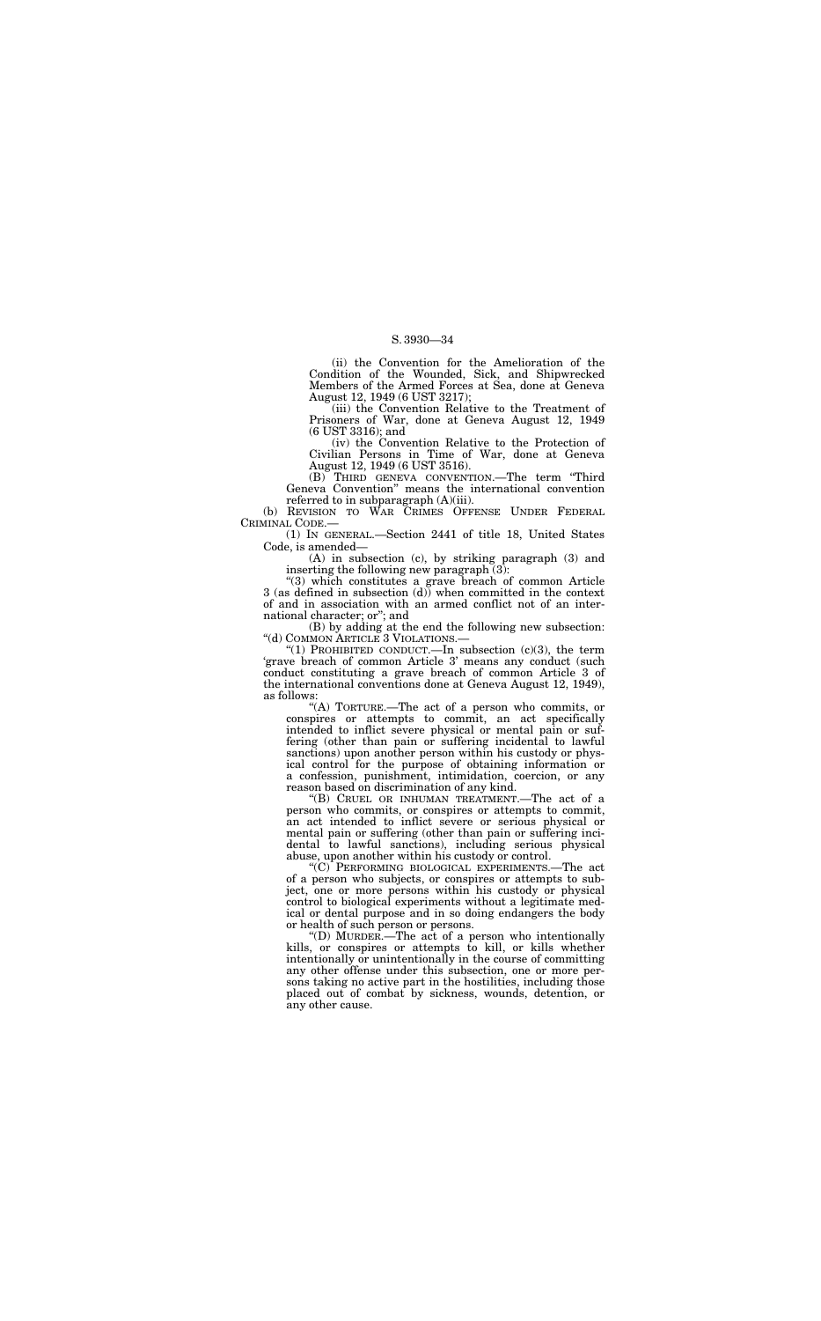(ii) the Convention for the Amelioration of the Condition of the Wounded, Sick, and Shipwrecked Members of the Armed Forces at Sea, done at Geneva August 12, 1949 (6 UST 3217);

(iii) the Convention Relative to the Treatment of Prisoners of War, done at Geneva August 12, 1949 (6 UST 3316); and

(iv) the Convention Relative to the Protection of Civilian Persons in Time of War, done at Geneva August 12, 1949 (6 UST 3516).

(B) THIRD GENEVA CONVENTION.—The term ''Third Geneva Convention'' means the international convention referred to in subparagraph (A)(iii).

(b) REVISION TO WAR CRIMES OFFENSE UNDER FEDERAL CRIMINAL CODE.—

(1) IN GENERAL.—Section 2441 of title 18, United States Code, is amended—

"(1) PROHIBITED CONDUCT.—In subsection  $(c)(3)$ , the term 'grave breach of common Article 3' means any conduct (such conduct constituting a grave breach of common Article 3 of the international conventions done at Geneva August 12, 1949), as follows:

(A) in subsection (c), by striking paragraph (3) and inserting the following new paragraph (3):

''(3) which constitutes a grave breach of common Article 3 (as defined in subsection (d)) when committed in the context of and in association with an armed conflict not of an international character; or''; and

(B) by adding at the end the following new subsection: ''(d) COMMON ARTICLE 3 VIOLATIONS.—

''(A) TORTURE.—The act of a person who commits, or conspires or attempts to commit, an act specifically intended to inflict severe physical or mental pain or suffering (other than pain or suffering incidental to lawful sanctions) upon another person within his custody or physical control for the purpose of obtaining information or a confession, punishment, intimidation, coercion, or any reason based on discrimination of any kind.

''(B) CRUEL OR INHUMAN TREATMENT.—The act of a person who commits, or conspires or attempts to commit, an act intended to inflict severe or serious physical or mental pain or suffering (other than pain or suffering incidental to lawful sanctions), including serious physical abuse, upon another within his custody or control.

''(C) PERFORMING BIOLOGICAL EXPERIMENTS.—The act of a person who subjects, or conspires or attempts to subject, one or more persons within his custody or physical control to biological experiments without a legitimate medical or dental purpose and in so doing endangers the body or health of such person or persons.

''(D) MURDER.—The act of a person who intentionally kills, or conspires or attempts to kill, or kills whether intentionally or unintentionally in the course of committing any other offense under this subsection, one or more persons taking no active part in the hostilities, including those placed out of combat by sickness, wounds, detention, or any other cause.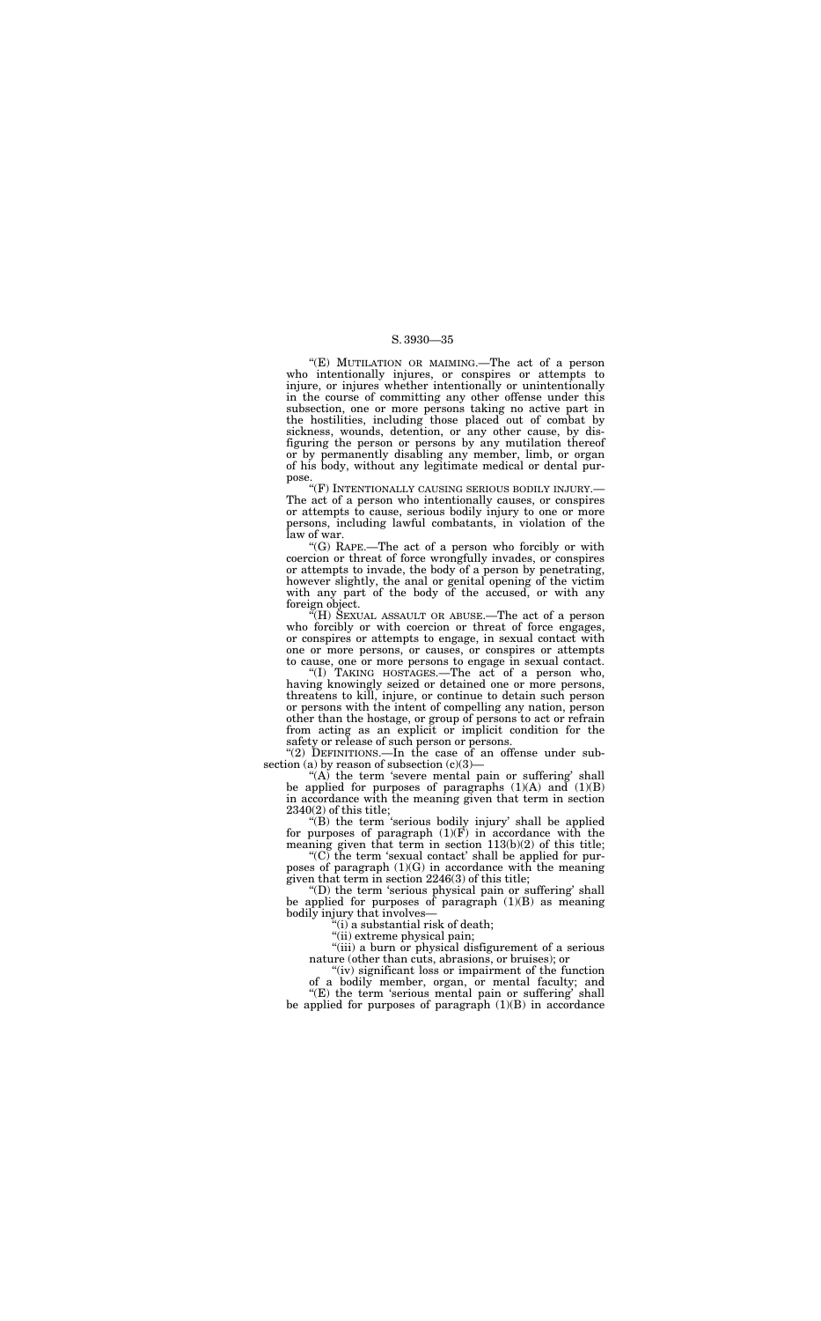"(E) MUTILATION OR MAIMING.—The act of a person who intentionally injures, or conspires or attempts to injure, or injures whether intentionally or unintentionally in the course of committing any other offense under this subsection, one or more persons taking no active part in the hostilities, including those placed out of combat by sickness, wounds, detention, or any other cause, by disfiguring the person or persons by any mutilation thereof or by permanently disabling any member, limb, or organ of his body, without any legitimate medical or dental purpose.

''(F) INTENTIONALLY CAUSING SERIOUS BODILY INJURY.— The act of a person who intentionally causes, or conspires or attempts to cause, serious bodily injury to one or more persons, including lawful combatants, in violation of the law of war.

''(G) RAPE.—The act of a person who forcibly or with coercion or threat of force wrongfully invades, or conspires or attempts to invade, the body of a person by penetrating, however slightly, the anal or genital opening of the victim with any part of the body of the accused, or with any foreign object.

 $\widetilde{H}$ (H) SEXUAL ASSAULT OR ABUSE.—The act of a person who forcibly or with coercion or threat of force engages, or conspires or attempts to engage, in sexual contact with one or more persons, or causes, or conspires or attempts to cause, one or more persons to engage in sexual contact.

"(A) the term 'severe mental pain or suffering' shall be applied for purposes of paragraphs  $(1)(A)$  and  $(1)(B)$ in accordance with the meaning given that term in section 2340(2) of this title;

 $(C)$  the term 'sexual contact' shall be applied for purposes of paragraph  $(1)(G)$  in accordance with the meaning given that term in section 2246(3) of this title;

"(E) the term 'serious mental pain or suffering' shall be applied for purposes of paragraph (1)(B) in accordance

''(I) TAKING HOSTAGES.—The act of a person who, having knowingly seized or detained one or more persons, threatens to kill, injure, or continue to detain such person or persons with the intent of compelling any nation, person other than the hostage, or group of persons to act or refrain from acting as an explicit or implicit condition for the safety or release of such person or persons.

"(2) DEFINITIONS.—In the case of an offense under subsection (a) by reason of subsection (c)(3)—

''(B) the term 'serious bodily injury' shall be applied for purposes of paragraph  $(1)(F)$  in accordance with the meaning given that term in section 113(b)(2) of this title;

''(D) the term 'serious physical pain or suffering' shall be applied for purposes of paragraph (1)(B) as meaning bodily injury that involves—

"(i) a substantial risk of death;

''(ii) extreme physical pain;

''(iii) a burn or physical disfigurement of a serious nature (other than cuts, abrasions, or bruises); or

''(iv) significant loss or impairment of the function of a bodily member, organ, or mental faculty; and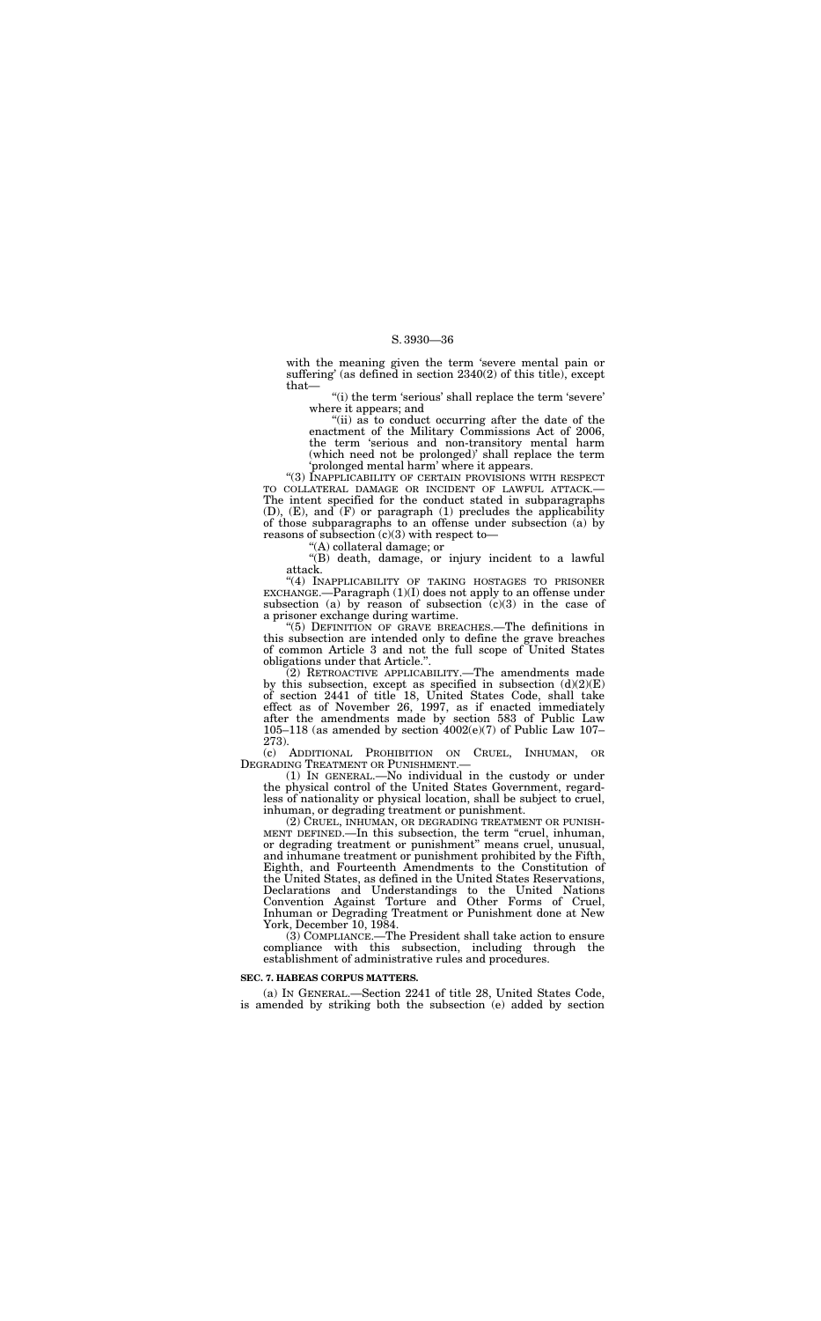with the meaning given the term 'severe mental pain or suffering' (as defined in section 2340(2) of this title), except

that—<br>
"(i) the term 'serious' shall replace the term 'severe'<br>
where it appears; and<br>
"(ii) as to conduct occurring after the date of the

enactment of the Military Commissions Act of 2006, the term 'serious and non-transitory mental harm<br>(which need not be prolonged)' shall replace the term

"(4) INAPPLICABILITY OF TAKING HOSTAGES TO PRISONER EXCHANGE.—Paragraph (1)(I) does not apply to an offense under subsection (a) by reason of subsection  $(c)(3)$  in the case of a prisoner exchange during wartime.

(which need not be prolonged)' shall replace the term 'prolonged mental harm' where it appears. ''(3) INAPPLICABILITY OF CERTAIN PROVISIONS WITH RESPECT TO COLLATERAL DAMAGE OR INCIDENT OF LAWFUL ATTACK.— The intent specified for the conduct stated in subparagraphs (D), (E), and (F) or paragraph (1) precludes the applicability of those subparagraphs to an offense under subsection (a) by reasons of subsection (c)(3) with respect to—

''(A) collateral damage; or

''(B) death, damage, or injury incident to a lawful attack.

''(5) DEFINITION OF GRAVE BREACHES.—The definitions in this subsection are intended only to define the grave breaches of common Article 3 and not the full scope of United States obligations under that Article.''.

(2) RETROACTIVE APPLICABILITY.—The amendments made by this subsection, except as specified in subsection  $(d)(2)(E)$ of section 2441 of title 18, United States Code, shall take effect as of November 26, 1997, as if enacted immediately after the amendments made by section 583 of Public Law 105–118 (as amended by section  $4002(e)(7)$  of Public Law 107– 273).

(c) ADDITIONAL PROHIBITION ON CRUEL, INHUMAN, OR DEGRADING TREATMENT OR PUNISHMENT.—

(1) IN GENERAL.—No individual in the custody or under the physical control of the United States Government, regardless of nationality or physical location, shall be subject to cruel, inhuman, or degrading treatment or punishment.

(2) CRUEL, INHUMAN, OR DEGRADING TREATMENT OR PUNISH-MENT DEFINED.—In this subsection, the term ''cruel, inhuman, or degrading treatment or punishment'' means cruel, unusual, and inhumane treatment or punishment prohibited by the Fifth, Eighth, and Fourteenth Amendments to the Constitution of the United States, as defined in the United States Reservations, Declarations and Understandings to the United Nations Convention Against Torture and Other Forms of Cruel, Inhuman or Degrading Treatment or Punishment done at New York, December 10, 1984.

(3) COMPLIANCE.—The President shall take action to ensure compliance with this subsection, including through the establishment of administrative rules and procedures.

#### **SEC. 7. HABEAS CORPUS MATTERS.**

(a) IN GENERAL.—Section 2241 of title 28, United States Code, is amended by striking both the subsection (e) added by section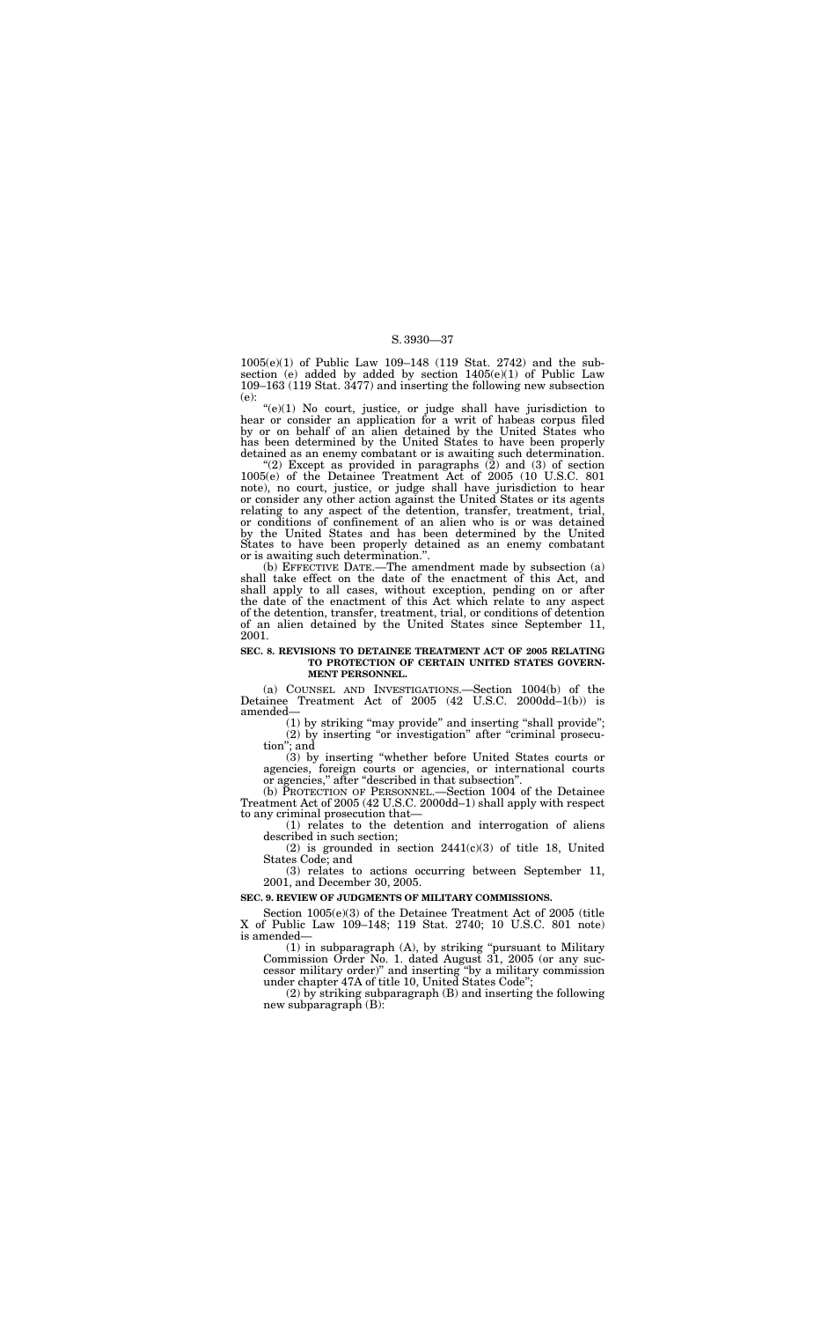1005(e)(1) of Public Law 109–148 (119 Stat. 2742) and the subsection (e) added by added by section 1405(e)(1) of Public Law 109–163 (119 Stat. 3477) and inserting the following new subsection

(e):  $\degree$  (e)(1) No court, justice, or judge shall have jurisdiction to hear or consider an application for a writ of habeas corpus filed by or on behalf of an alien detained by the United States who has been determined by the United States to have been properly detained as an enemy combatant or is awaiting such determination. ''(2) Except as provided in paragraphs (2) and (3) of section

1005(e) of the Detainee Treatment Act of 2005 (10 U.S.C. 801 note), no court, justice, or judge shall have jurisdiction to hear or consider any other action against the United States or its agents relating to any aspect of the detention, transfer, treatment, trial, or conditions of confinement of an alien who is or was detained by the United States and has been determined by the United States to have been properly detained as an enemy combatant or is awaiting such determination.".

(b) EFFECTIVE DATE.—The amendment made by subsection  $(a)$ shall take effect on the date of the enactment of this Act, and shall apply to all cases, without exception, pending on or after the date of the enactment of this Act which relate to any aspect of the detention, transfer, treatment, trial, or conditions of detention of an alien detained by the United States since September 11, 2001.

(3) by inserting ''whether before United States courts or agencies, foreign courts or agencies, or international courts or agencies," after "described in that subsection".

(b) PROTECTION OF PERSONNEL.—Section 1004 of the Detainee Treatment Act of 2005 (42 U.S.C. 2000dd–1) shall apply with respect

#### **SEC. 8. REVISIONS TO DETAINEE TREATMENT ACT OF 2005 RELATING TO PROTECTION OF CERTAIN UNITED STATES GOVERN-MENT PERSONNEL.**

(a) COUNSEL AND INVESTIGATIONS.—Section 1004(b) of the Detainee Treatment Act of 2005 (42 U.S.C. 2000dd–1(b)) is amended—

(1) by striking ''may provide'' and inserting ''shall provide''; (2) by inserting "or investigation" after "criminal prosecution''; and

to any criminal prosecution that— (1) relates to the detention and interrogation of aliens described in such section;

(2) is grounded in section 2441(c)(3) of title 18, United States Code; and

(3) relates to actions occurring between September 11, 2001, and December 30, 2005.

### **SEC. 9. REVIEW OF JUDGMENTS OF MILITARY COMMISSIONS.**

Section 1005(e)(3) of the Detainee Treatment Act of 2005 (title X of Public Law 109–148; 119 Stat. 2740; 10 U.S.C. 801 note) is amended—

(1) in subparagraph (A), by striking ''pursuant to Military Commission Order No. 1. dated August 31, 2005 (or any successor military order)'' and inserting ''by a military commission under chapter 47A of title 10, United States Code'';

(2) by striking subparagraph (B) and inserting the following new subparagraph (B):